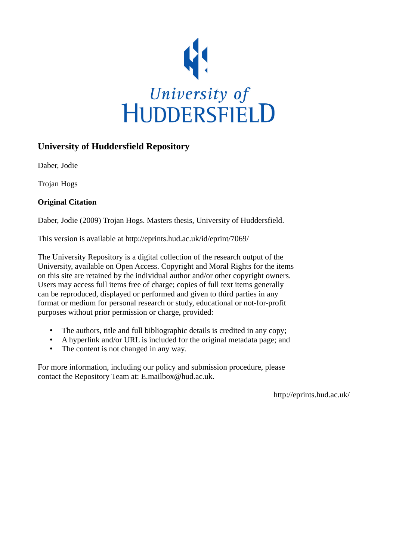

## **University of Huddersfield Repository**

Daber, Jodie

Trojan Hogs

## **Original Citation**

Daber, Jodie (2009) Trojan Hogs. Masters thesis, University of Huddersfield.

This version is available at http://eprints.hud.ac.uk/id/eprint/7069/

The University Repository is a digital collection of the research output of the University, available on Open Access. Copyright and Moral Rights for the items on this site are retained by the individual author and/or other copyright owners. Users may access full items free of charge; copies of full text items generally can be reproduced, displayed or performed and given to third parties in any format or medium for personal research or study, educational or not-for-profit purposes without prior permission or charge, provided:

- The authors, title and full bibliographic details is credited in any copy;
- A hyperlink and/or URL is included for the original metadata page; and
- The content is not changed in any way.

For more information, including our policy and submission procedure, please contact the Repository Team at: E.mailbox@hud.ac.uk.

http://eprints.hud.ac.uk/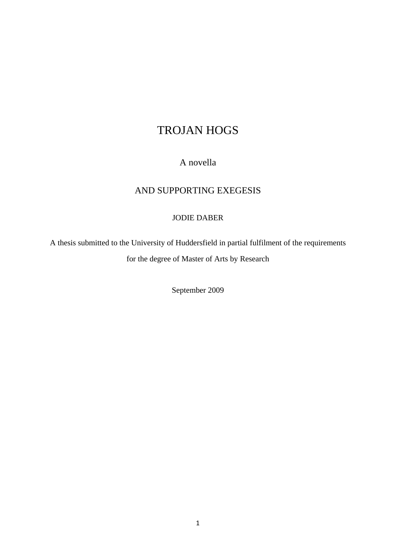# TROJAN HOGS

## A novella

## AND SUPPORTING EXEGESIS

### JODIE DABER

A thesis submitted to the University of Huddersfield in partial fulfilment of the requirements for the degree of Master of Arts by Research

September 2009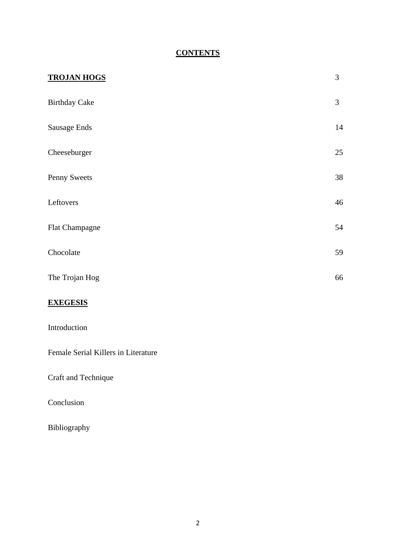# **CONTENTS**

| <b>TROJAN HOGS</b>   | 3  |
|----------------------|----|
| <b>Birthday Cake</b> | 3  |
| Sausage Ends         | 14 |
| Cheeseburger         | 25 |
| Penny Sweets         | 38 |
| Leftovers            | 46 |
| Flat Champagne       | 54 |
| Chocolate            | 59 |
| The Trojan Hog       | 66 |
| <b>EVECECIC</b>      |    |

### **EXEGESIS**

Female Serial Killers in Literature

Craft and Technique

Conclusion

Bibliography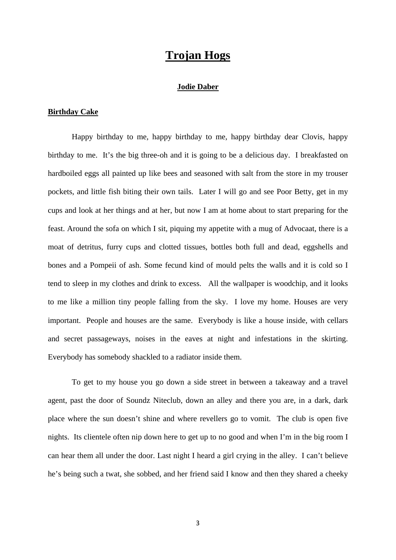# **Trojan Hogs**

#### **Jodie Daber**

#### **Birthday Cake**

Happy birthday to me, happy birthday to me, happy birthday dear Clovis, happy birthday to me. It's the big three-oh and it is going to be a delicious day. I breakfasted on hardboiled eggs all painted up like bees and seasoned with salt from the store in my trouser pockets, and little fish biting their own tails. Later I will go and see Poor Betty, get in my cups and look at her things and at her, but now I am at home about to start preparing for the feast. Around the sofa on which I sit, piquing my appetite with a mug of Advocaat, there is a moat of detritus, furry cups and clotted tissues, bottles both full and dead, eggshells and bones and a Pompeii of ash. Some fecund kind of mould pelts the walls and it is cold so I tend to sleep in my clothes and drink to excess. All the wallpaper is woodchip, and it looks to me like a million tiny people falling from the sky. I love my home. Houses are very important. People and houses are the same. Everybody is like a house inside, with cellars and secret passageways, noises in the eaves at night and infestations in the skirting. Everybody has somebody shackled to a radiator inside them.

To get to my house you go down a side street in between a takeaway and a travel agent, past the door of Soundz Niteclub, down an alley and there you are, in a dark, dark place where the sun doesn't shine and where revellers go to vomit. The club is open five nights. Its clientele often nip down here to get up to no good and when I'm in the big room I can hear them all under the door. Last night I heard a girl crying in the alley. I can't believe he's being such a twat, she sobbed, and her friend said I know and then they shared a cheeky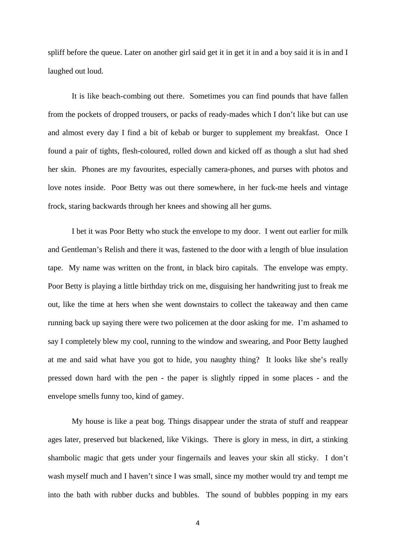spliff before the queue. Later on another girl said get it in get it in and a boy said it is in and I laughed out loud.

It is like beach-combing out there. Sometimes you can find pounds that have fallen from the pockets of dropped trousers, or packs of ready-mades which I don't like but can use and almost every day I find a bit of kebab or burger to supplement my breakfast. Once I found a pair of tights, flesh-coloured, rolled down and kicked off as though a slut had shed her skin. Phones are my favourites, especially camera-phones, and purses with photos and love notes inside. Poor Betty was out there somewhere, in her fuck-me heels and vintage frock, staring backwards through her knees and showing all her gums.

I bet it was Poor Betty who stuck the envelope to my door. I went out earlier for milk and Gentleman's Relish and there it was, fastened to the door with a length of blue insulation tape. My name was written on the front, in black biro capitals. The envelope was empty. Poor Betty is playing a little birthday trick on me, disguising her handwriting just to freak me out, like the time at hers when she went downstairs to collect the takeaway and then came running back up saying there were two policemen at the door asking for me. I'm ashamed to say I completely blew my cool, running to the window and swearing, and Poor Betty laughed at me and said what have you got to hide, you naughty thing? It looks like she's really pressed down hard with the pen - the paper is slightly ripped in some places - and the envelope smells funny too, kind of gamey.

My house is like a peat bog. Things disappear under the strata of stuff and reappear ages later, preserved but blackened, like Vikings. There is glory in mess, in dirt, a stinking shambolic magic that gets under your fingernails and leaves your skin all sticky. I don't wash myself much and I haven't since I was small, since my mother would try and tempt me into the bath with rubber ducks and bubbles. The sound of bubbles popping in my ears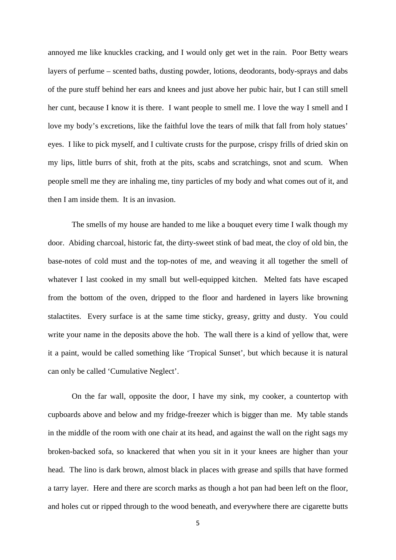annoyed me like knuckles cracking, and I would only get wet in the rain. Poor Betty wears layers of perfume – scented baths, dusting powder, lotions, deodorants, body-sprays and dabs of the pure stuff behind her ears and knees and just above her pubic hair, but I can still smell her cunt, because I know it is there. I want people to smell me. I love the way I smell and I love my body's excretions, like the faithful love the tears of milk that fall from holy statues' eyes. I like to pick myself, and I cultivate crusts for the purpose, crispy frills of dried skin on my lips, little burrs of shit, froth at the pits, scabs and scratchings, snot and scum. When people smell me they are inhaling me, tiny particles of my body and what comes out of it, and then I am inside them. It is an invasion.

The smells of my house are handed to me like a bouquet every time I walk though my door. Abiding charcoal, historic fat, the dirty-sweet stink of bad meat, the cloy of old bin, the base-notes of cold must and the top-notes of me, and weaving it all together the smell of whatever I last cooked in my small but well-equipped kitchen. Melted fats have escaped from the bottom of the oven, dripped to the floor and hardened in layers like browning stalactites. Every surface is at the same time sticky, greasy, gritty and dusty. You could write your name in the deposits above the hob. The wall there is a kind of yellow that, were it a paint, would be called something like 'Tropical Sunset', but which because it is natural can only be called 'Cumulative Neglect'.

On the far wall, opposite the door, I have my sink, my cooker, a countertop with cupboards above and below and my fridge-freezer which is bigger than me. My table stands in the middle of the room with one chair at its head, and against the wall on the right sags my broken-backed sofa, so knackered that when you sit in it your knees are higher than your head. The lino is dark brown, almost black in places with grease and spills that have formed a tarry layer. Here and there are scorch marks as though a hot pan had been left on the floor, and holes cut or ripped through to the wood beneath, and everywhere there are cigarette butts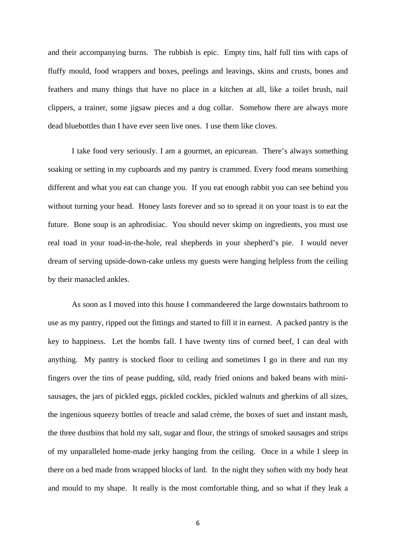and their accompanying burns. The rubbish is epic. Empty tins, half full tins with caps of fluffy mould, food wrappers and boxes, peelings and leavings, skins and crusts, bones and feathers and many things that have no place in a kitchen at all, like a toilet brush, nail clippers, a trainer, some jigsaw pieces and a dog collar. Somehow there are always more dead bluebottles than I have ever seen live ones. I use them like cloves.

I take food very seriously. I am a gourmet, an epicurean. There's always something soaking or setting in my cupboards and my pantry is crammed. Every food means something different and what you eat can change you. If you eat enough rabbit you can see behind you without turning your head. Honey lasts forever and so to spread it on your toast is to eat the future. Bone soup is an aphrodisiac. You should never skimp on ingredients, you must use real toad in your toad-in-the-hole, real shepherds in your shepherd's pie. I would never dream of serving upside-down-cake unless my guests were hanging helpless from the ceiling by their manacled ankles.

As soon as I moved into this house I commandeered the large downstairs bathroom to use as my pantry, ripped out the fittings and started to fill it in earnest. A packed pantry is the key to happiness. Let the bombs fall. I have twenty tins of corned beef, I can deal with anything. My pantry is stocked floor to ceiling and sometimes I go in there and run my fingers over the tins of pease pudding, sild, ready fried onions and baked beans with minisausages, the jars of pickled eggs, pickled cockles, pickled walnuts and gherkins of all sizes, the ingenious squeezy bottles of treacle and salad crème, the boxes of suet and instant mash, the three dustbins that hold my salt, sugar and flour, the strings of smoked sausages and strips of my unparalleled home-made jerky hanging from the ceiling. Once in a while I sleep in there on a bed made from wrapped blocks of lard. In the night they soften with my body heat and mould to my shape. It really is the most comfortable thing, and so what if they leak a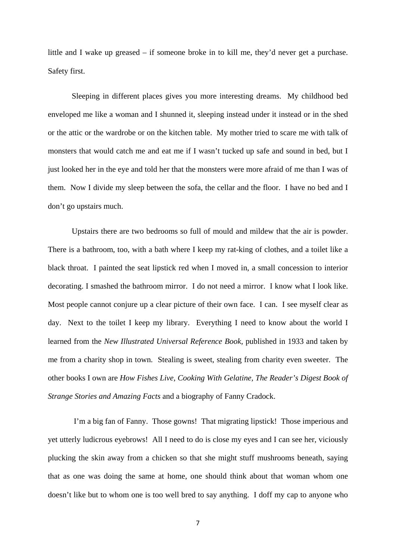little and I wake up greased – if someone broke in to kill me, they'd never get a purchase. Safety first.

Sleeping in different places gives you more interesting dreams. My childhood bed enveloped me like a woman and I shunned it, sleeping instead under it instead or in the shed or the attic or the wardrobe or on the kitchen table. My mother tried to scare me with talk of monsters that would catch me and eat me if I wasn't tucked up safe and sound in bed, but I just looked her in the eye and told her that the monsters were more afraid of me than I was of them. Now I divide my sleep between the sofa, the cellar and the floor. I have no bed and I don't go upstairs much.

Upstairs there are two bedrooms so full of mould and mildew that the air is powder. There is a bathroom, too, with a bath where I keep my rat-king of clothes, and a toilet like a black throat. I painted the seat lipstick red when I moved in, a small concession to interior decorating. I smashed the bathroom mirror. I do not need a mirror. I know what I look like. Most people cannot conjure up a clear picture of their own face. I can. I see myself clear as day. Next to the toilet I keep my library. Everything I need to know about the world I learned from the *New Illustrated Universal Reference Book,* published in 1933 and taken by me from a charity shop in town. Stealing is sweet, stealing from charity even sweeter. The other books I own are *How Fishes Live, Cooking With Gelatine, The Reader's Digest Book of Strange Stories and Amazing Facts* and a biography of Fanny Cradock.

 I'm a big fan of Fanny. Those gowns! That migrating lipstick! Those imperious and yet utterly ludicrous eyebrows! All I need to do is close my eyes and I can see her, viciously plucking the skin away from a chicken so that she might stuff mushrooms beneath, saying that as one was doing the same at home, one should think about that woman whom one doesn't like but to whom one is too well bred to say anything. I doff my cap to anyone who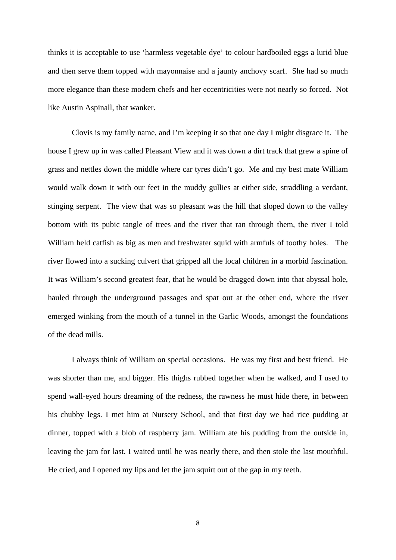thinks it is acceptable to use 'harmless vegetable dye' to colour hardboiled eggs a lurid blue and then serve them topped with mayonnaise and a jaunty anchovy scarf. She had so much more elegance than these modern chefs and her eccentricities were not nearly so forced. Not like Austin Aspinall, that wanker.

Clovis is my family name, and I'm keeping it so that one day I might disgrace it. The house I grew up in was called Pleasant View and it was down a dirt track that grew a spine of grass and nettles down the middle where car tyres didn't go. Me and my best mate William would walk down it with our feet in the muddy gullies at either side, straddling a verdant, stinging serpent. The view that was so pleasant was the hill that sloped down to the valley bottom with its pubic tangle of trees and the river that ran through them, the river I told William held catfish as big as men and freshwater squid with armfuls of toothy holes. The river flowed into a sucking culvert that gripped all the local children in a morbid fascination. It was William's second greatest fear, that he would be dragged down into that abyssal hole, hauled through the underground passages and spat out at the other end, where the river emerged winking from the mouth of a tunnel in the Garlic Woods, amongst the foundations of the dead mills.

I always think of William on special occasions. He was my first and best friend. He was shorter than me, and bigger. His thighs rubbed together when he walked, and I used to spend wall-eyed hours dreaming of the redness, the rawness he must hide there, in between his chubby legs. I met him at Nursery School, and that first day we had rice pudding at dinner, topped with a blob of raspberry jam. William ate his pudding from the outside in, leaving the jam for last. I waited until he was nearly there, and then stole the last mouthful. He cried, and I opened my lips and let the jam squirt out of the gap in my teeth.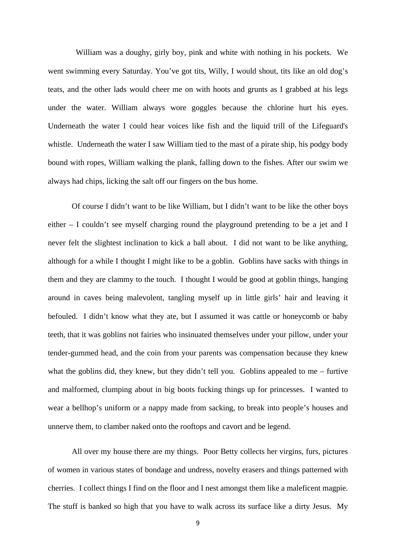William was a doughy, girly boy, pink and white with nothing in his pockets. We went swimming every Saturday. You've got tits, Willy, I would shout, tits like an old dog's teats, and the other lads would cheer me on with hoots and grunts as I grabbed at his legs under the water. William always wore goggles because the chlorine hurt his eyes. Underneath the water I could hear voices like fish and the liquid trill of the Lifeguard's whistle. Underneath the water I saw William tied to the mast of a pirate ship, his podgy body bound with ropes, William walking the plank, falling down to the fishes. After our swim we always had chips, licking the salt off our fingers on the bus home.

Of course I didn't want to be like William, but I didn't want to be like the other boys either – I couldn't see myself charging round the playground pretending to be a jet and I never felt the slightest inclination to kick a ball about. I did not want to be like anything, although for a while I thought I might like to be a goblin. Goblins have sacks with things in them and they are clammy to the touch. I thought I would be good at goblin things, hanging around in caves being malevolent, tangling myself up in little girls' hair and leaving it befouled. I didn't know what they ate, but I assumed it was cattle or honeycomb or baby teeth, that it was goblins not fairies who insinuated themselves under your pillow, under your tender-gummed head, and the coin from your parents was compensation because they knew what the goblins did, they knew, but they didn't tell you. Goblins appealed to me – furtive and malformed, clumping about in big boots fucking things up for princesses. I wanted to wear a bellhop's uniform or a nappy made from sacking, to break into people's houses and unnerve them, to clamber naked onto the rooftops and cavort and be legend.

All over my house there are my things. Poor Betty collects her virgins, furs, pictures of women in various states of bondage and undress, novelty erasers and things patterned with cherries. I collect things I find on the floor and I nest amongst them like a maleficent magpie. The stuff is banked so high that you have to walk across its surface like a dirty Jesus. My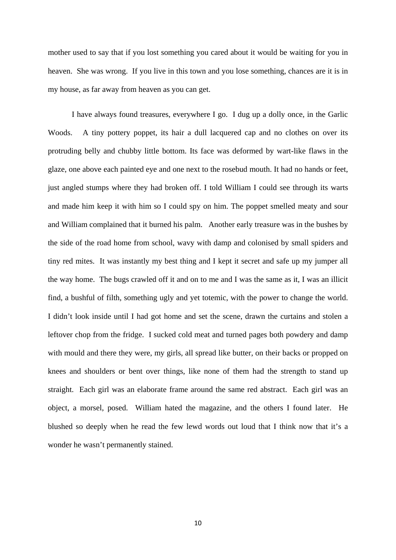mother used to say that if you lost something you cared about it would be waiting for you in heaven. She was wrong. If you live in this town and you lose something, chances are it is in my house, as far away from heaven as you can get.

I have always found treasures, everywhere I go. I dug up a dolly once, in the Garlic Woods. A tiny pottery poppet, its hair a dull lacquered cap and no clothes on over its protruding belly and chubby little bottom. Its face was deformed by wart-like flaws in the glaze, one above each painted eye and one next to the rosebud mouth. It had no hands or feet, just angled stumps where they had broken off. I told William I could see through its warts and made him keep it with him so I could spy on him. The poppet smelled meaty and sour and William complained that it burned his palm. Another early treasure was in the bushes by the side of the road home from school, wavy with damp and colonised by small spiders and tiny red mites. It was instantly my best thing and I kept it secret and safe up my jumper all the way home. The bugs crawled off it and on to me and I was the same as it, I was an illicit find, a bushful of filth, something ugly and yet totemic, with the power to change the world. I didn't look inside until I had got home and set the scene, drawn the curtains and stolen a leftover chop from the fridge. I sucked cold meat and turned pages both powdery and damp with mould and there they were, my girls, all spread like butter, on their backs or propped on knees and shoulders or bent over things, like none of them had the strength to stand up straight. Each girl was an elaborate frame around the same red abstract. Each girl was an object, a morsel, posed. William hated the magazine, and the others I found later. He blushed so deeply when he read the few lewd words out loud that I think now that it's a wonder he wasn't permanently stained.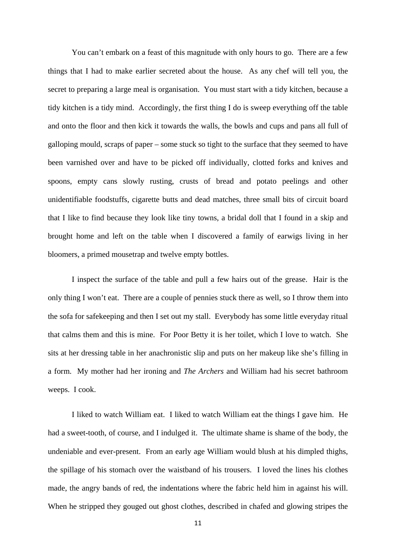You can't embark on a feast of this magnitude with only hours to go. There are a few things that I had to make earlier secreted about the house. As any chef will tell you, the secret to preparing a large meal is organisation. You must start with a tidy kitchen, because a tidy kitchen is a tidy mind. Accordingly, the first thing I do is sweep everything off the table and onto the floor and then kick it towards the walls, the bowls and cups and pans all full of galloping mould, scraps of paper – some stuck so tight to the surface that they seemed to have been varnished over and have to be picked off individually, clotted forks and knives and spoons, empty cans slowly rusting, crusts of bread and potato peelings and other unidentifiable foodstuffs, cigarette butts and dead matches, three small bits of circuit board that I like to find because they look like tiny towns, a bridal doll that I found in a skip and brought home and left on the table when I discovered a family of earwigs living in her bloomers, a primed mousetrap and twelve empty bottles.

I inspect the surface of the table and pull a few hairs out of the grease. Hair is the only thing I won't eat. There are a couple of pennies stuck there as well, so I throw them into the sofa for safekeeping and then I set out my stall. Everybody has some little everyday ritual that calms them and this is mine. For Poor Betty it is her toilet, which I love to watch. She sits at her dressing table in her anachronistic slip and puts on her makeup like she's filling in a form. My mother had her ironing and *The Archers* and William had his secret bathroom weeps. I cook.

I liked to watch William eat. I liked to watch William eat the things I gave him. He had a sweet-tooth, of course, and I indulged it. The ultimate shame is shame of the body, the undeniable and ever-present. From an early age William would blush at his dimpled thighs, the spillage of his stomach over the waistband of his trousers. I loved the lines his clothes made, the angry bands of red, the indentations where the fabric held him in against his will. When he stripped they gouged out ghost clothes, described in chafed and glowing stripes the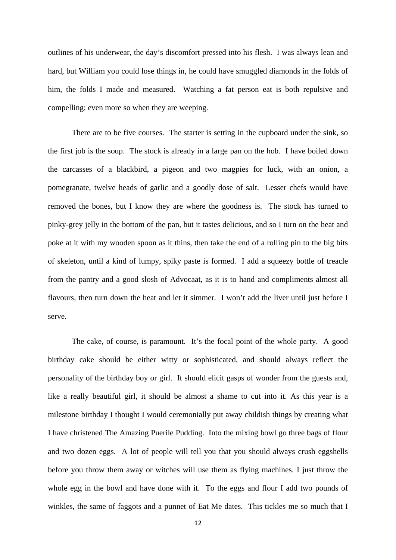outlines of his underwear, the day's discomfort pressed into his flesh. I was always lean and hard, but William you could lose things in, he could have smuggled diamonds in the folds of him, the folds I made and measured. Watching a fat person eat is both repulsive and compelling; even more so when they are weeping.

There are to be five courses. The starter is setting in the cupboard under the sink, so the first job is the soup. The stock is already in a large pan on the hob. I have boiled down the carcasses of a blackbird, a pigeon and two magpies for luck, with an onion, a pomegranate, twelve heads of garlic and a goodly dose of salt. Lesser chefs would have removed the bones, but I know they are where the goodness is. The stock has turned to pinky-grey jelly in the bottom of the pan, but it tastes delicious, and so I turn on the heat and poke at it with my wooden spoon as it thins, then take the end of a rolling pin to the big bits of skeleton, until a kind of lumpy, spiky paste is formed. I add a squeezy bottle of treacle from the pantry and a good slosh of Advocaat, as it is to hand and compliments almost all flavours, then turn down the heat and let it simmer. I won't add the liver until just before I serve.

The cake, of course, is paramount. It's the focal point of the whole party. A good birthday cake should be either witty or sophisticated, and should always reflect the personality of the birthday boy or girl. It should elicit gasps of wonder from the guests and, like a really beautiful girl, it should be almost a shame to cut into it. As this year is a milestone birthday I thought I would ceremonially put away childish things by creating what I have christened The Amazing Puerile Pudding. Into the mixing bowl go three bags of flour and two dozen eggs. A lot of people will tell you that you should always crush eggshells before you throw them away or witches will use them as flying machines. I just throw the whole egg in the bowl and have done with it. To the eggs and flour I add two pounds of winkles, the same of faggots and a punnet of Eat Me dates. This tickles me so much that I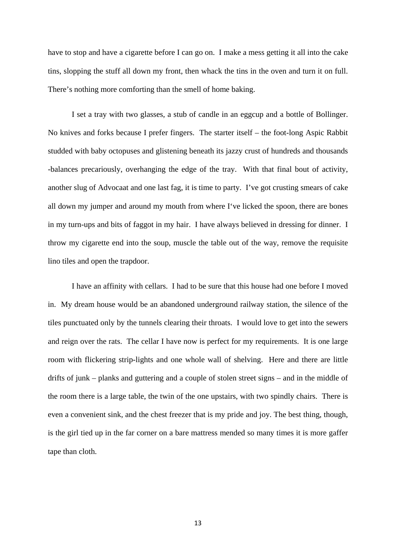have to stop and have a cigarette before I can go on. I make a mess getting it all into the cake tins, slopping the stuff all down my front, then whack the tins in the oven and turn it on full. There's nothing more comforting than the smell of home baking.

I set a tray with two glasses, a stub of candle in an eggcup and a bottle of Bollinger. No knives and forks because I prefer fingers. The starter itself – the foot-long Aspic Rabbit studded with baby octopuses and glistening beneath its jazzy crust of hundreds and thousands -balances precariously, overhanging the edge of the tray. With that final bout of activity, another slug of Advocaat and one last fag, it is time to party. I've got crusting smears of cake all down my jumper and around my mouth from where I've licked the spoon, there are bones in my turn-ups and bits of faggot in my hair. I have always believed in dressing for dinner. I throw my cigarette end into the soup, muscle the table out of the way, remove the requisite lino tiles and open the trapdoor.

I have an affinity with cellars. I had to be sure that this house had one before I moved in. My dream house would be an abandoned underground railway station, the silence of the tiles punctuated only by the tunnels clearing their throats. I would love to get into the sewers and reign over the rats. The cellar I have now is perfect for my requirements. It is one large room with flickering strip-lights and one whole wall of shelving. Here and there are little drifts of junk – planks and guttering and a couple of stolen street signs – and in the middle of the room there is a large table, the twin of the one upstairs, with two spindly chairs. There is even a convenient sink, and the chest freezer that is my pride and joy. The best thing, though, is the girl tied up in the far corner on a bare mattress mended so many times it is more gaffer tape than cloth.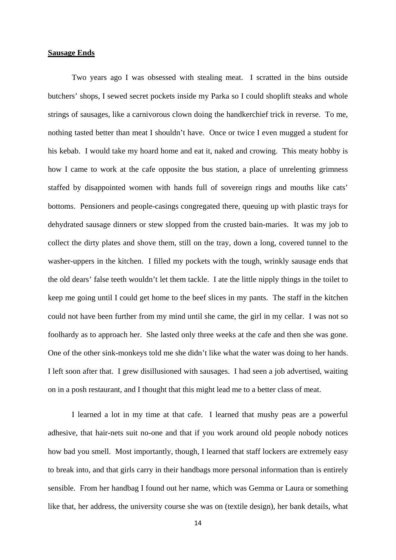#### **Sausage Ends**

Two years ago I was obsessed with stealing meat. I scratted in the bins outside butchers' shops, I sewed secret pockets inside my Parka so I could shoplift steaks and whole strings of sausages, like a carnivorous clown doing the handkerchief trick in reverse. To me, nothing tasted better than meat I shouldn't have. Once or twice I even mugged a student for his kebab. I would take my hoard home and eat it, naked and crowing. This meaty hobby is how I came to work at the cafe opposite the bus station, a place of unrelenting grimness staffed by disappointed women with hands full of sovereign rings and mouths like cats' bottoms. Pensioners and people-casings congregated there, queuing up with plastic trays for dehydrated sausage dinners or stew slopped from the crusted bain-maries. It was my job to collect the dirty plates and shove them, still on the tray, down a long, covered tunnel to the washer-uppers in the kitchen. I filled my pockets with the tough, wrinkly sausage ends that the old dears' false teeth wouldn't let them tackle. I ate the little nipply things in the toilet to keep me going until I could get home to the beef slices in my pants. The staff in the kitchen could not have been further from my mind until she came, the girl in my cellar. I was not so foolhardy as to approach her. She lasted only three weeks at the cafe and then she was gone. One of the other sink-monkeys told me she didn't like what the water was doing to her hands. I left soon after that. I grew disillusioned with sausages. I had seen a job advertised, waiting on in a posh restaurant, and I thought that this might lead me to a better class of meat.

I learned a lot in my time at that cafe. I learned that mushy peas are a powerful adhesive, that hair-nets suit no-one and that if you work around old people nobody notices how bad you smell. Most importantly, though, I learned that staff lockers are extremely easy to break into, and that girls carry in their handbags more personal information than is entirely sensible. From her handbag I found out her name, which was Gemma or Laura or something like that, her address, the university course she was on (textile design), her bank details, what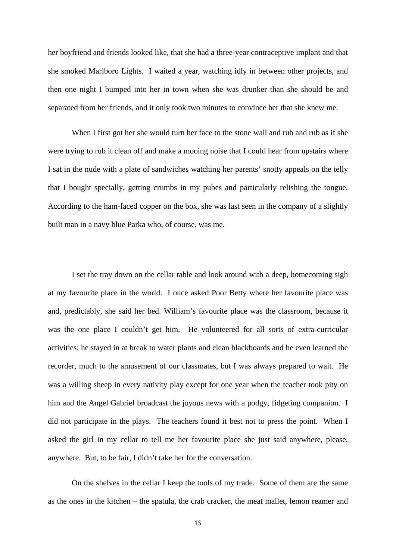her boyfriend and friends looked like, that she had a three-year contraceptive implant and that she smoked Marlboro Lights. I waited a year, watching idly in between other projects, and then one night I bumped into her in town when she was drunker than she should be and separated from her friends, and it only took two minutes to convince her that she knew me.

When I first got her she would turn her face to the stone wall and rub and rub as if she were trying to rub it clean off and make a mooing noise that I could hear from upstairs where I sat in the nude with a plate of sandwiches watching her parents' snotty appeals on the telly that I bought specially, getting crumbs in my pubes and particularly relishing the tongue. According to the ham-faced copper on the box, she was last seen in the company of a slightly built man in a navy blue Parka who, of course, was me.

I set the tray down on the cellar table and look around with a deep, homecoming sigh at my favourite place in the world. I once asked Poor Betty where her favourite place was and, predictably, she said her bed. William's favourite place was the classroom, because it was the one place I couldn't get him. He volunteered for all sorts of extra-curricular activities; he stayed in at break to water plants and clean blackboards and he even learned the recorder, much to the amusement of our classmates, but I was always prepared to wait. He was a willing sheep in every nativity play except for one year when the teacher took pity on him and the Angel Gabriel broadcast the joyous news with a podgy, fidgeting companion. I did not participate in the plays. The teachers found it best not to press the point. When I asked the girl in my cellar to tell me her favourite place she just said anywhere, please, anywhere. But, to be fair, I didn't take her for the conversation.

On the shelves in the cellar I keep the tools of my trade. Some of them are the same as the ones in the kitchen – the spatula, the crab cracker, the meat mallet, lemon reamer and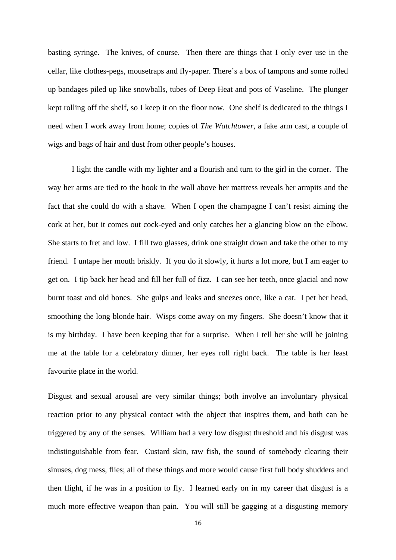basting syringe. The knives, of course. Then there are things that I only ever use in the cellar, like clothes-pegs, mousetraps and fly-paper. There's a box of tampons and some rolled up bandages piled up like snowballs, tubes of Deep Heat and pots of Vaseline. The plunger kept rolling off the shelf, so I keep it on the floor now. One shelf is dedicated to the things I need when I work away from home; copies of *The Watchtower*, a fake arm cast, a couple of wigs and bags of hair and dust from other people's houses.

I light the candle with my lighter and a flourish and turn to the girl in the corner. The way her arms are tied to the hook in the wall above her mattress reveals her armpits and the fact that she could do with a shave. When I open the champagne I can't resist aiming the cork at her, but it comes out cock-eyed and only catches her a glancing blow on the elbow. She starts to fret and low. I fill two glasses, drink one straight down and take the other to my friend. I untape her mouth briskly. If you do it slowly, it hurts a lot more, but I am eager to get on. I tip back her head and fill her full of fizz. I can see her teeth, once glacial and now burnt toast and old bones. She gulps and leaks and sneezes once, like a cat. I pet her head, smoothing the long blonde hair. Wisps come away on my fingers. She doesn't know that it is my birthday. I have been keeping that for a surprise. When I tell her she will be joining me at the table for a celebratory dinner, her eyes roll right back. The table is her least favourite place in the world.

Disgust and sexual arousal are very similar things; both involve an involuntary physical reaction prior to any physical contact with the object that inspires them, and both can be triggered by any of the senses. William had a very low disgust threshold and his disgust was indistinguishable from fear. Custard skin, raw fish, the sound of somebody clearing their sinuses, dog mess, flies; all of these things and more would cause first full body shudders and then flight, if he was in a position to fly. I learned early on in my career that disgust is a much more effective weapon than pain. You will still be gagging at a disgusting memory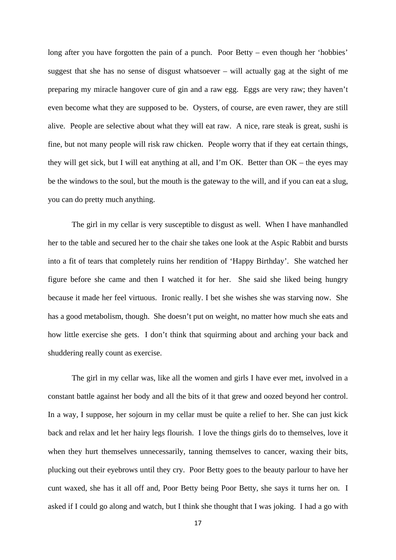long after you have forgotten the pain of a punch. Poor Betty – even though her 'hobbies' suggest that she has no sense of disgust whatsoever – will actually gag at the sight of me preparing my miracle hangover cure of gin and a raw egg. Eggs are very raw; they haven't even become what they are supposed to be. Oysters, of course, are even rawer, they are still alive. People are selective about what they will eat raw. A nice, rare steak is great, sushi is fine, but not many people will risk raw chicken. People worry that if they eat certain things, they will get sick, but I will eat anything at all, and I'm OK. Better than OK – the eyes may be the windows to the soul, but the mouth is the gateway to the will, and if you can eat a slug, you can do pretty much anything.

The girl in my cellar is very susceptible to disgust as well. When I have manhandled her to the table and secured her to the chair she takes one look at the Aspic Rabbit and bursts into a fit of tears that completely ruins her rendition of 'Happy Birthday'. She watched her figure before she came and then I watched it for her. She said she liked being hungry because it made her feel virtuous. Ironic really. I bet she wishes she was starving now. She has a good metabolism, though. She doesn't put on weight, no matter how much she eats and how little exercise she gets. I don't think that squirming about and arching your back and shuddering really count as exercise.

The girl in my cellar was, like all the women and girls I have ever met, involved in a constant battle against her body and all the bits of it that grew and oozed beyond her control. In a way, I suppose, her sojourn in my cellar must be quite a relief to her. She can just kick back and relax and let her hairy legs flourish. I love the things girls do to themselves, love it when they hurt themselves unnecessarily, tanning themselves to cancer, waxing their bits, plucking out their eyebrows until they cry. Poor Betty goes to the beauty parlour to have her cunt waxed, she has it all off and, Poor Betty being Poor Betty, she says it turns her on. I asked if I could go along and watch, but I think she thought that I was joking. I had a go with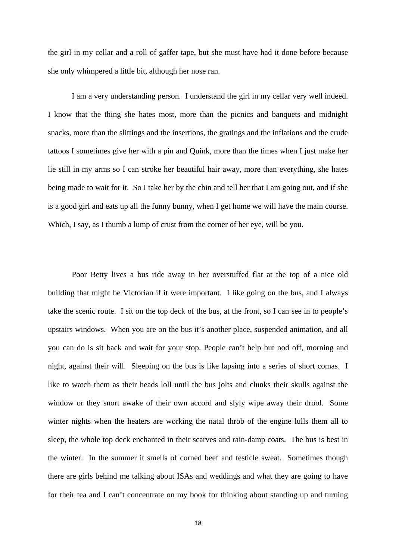the girl in my cellar and a roll of gaffer tape, but she must have had it done before because she only whimpered a little bit, although her nose ran.

 I am a very understanding person. I understand the girl in my cellar very well indeed. I know that the thing she hates most, more than the picnics and banquets and midnight snacks, more than the slittings and the insertions, the gratings and the inflations and the crude tattoos I sometimes give her with a pin and Quink, more than the times when I just make her lie still in my arms so I can stroke her beautiful hair away, more than everything, she hates being made to wait for it. So I take her by the chin and tell her that I am going out, and if she is a good girl and eats up all the funny bunny, when I get home we will have the main course. Which, I say, as I thumb a lump of crust from the corner of her eye, will be you.

Poor Betty lives a bus ride away in her overstuffed flat at the top of a nice old building that might be Victorian if it were important. I like going on the bus, and I always take the scenic route. I sit on the top deck of the bus, at the front, so I can see in to people's upstairs windows. When you are on the bus it's another place, suspended animation, and all you can do is sit back and wait for your stop. People can't help but nod off, morning and night, against their will. Sleeping on the bus is like lapsing into a series of short comas. I like to watch them as their heads loll until the bus jolts and clunks their skulls against the window or they snort awake of their own accord and slyly wipe away their drool. Some winter nights when the heaters are working the natal throb of the engine lulls them all to sleep, the whole top deck enchanted in their scarves and rain-damp coats. The bus is best in the winter. In the summer it smells of corned beef and testicle sweat. Sometimes though there are girls behind me talking about ISAs and weddings and what they are going to have for their tea and I can't concentrate on my book for thinking about standing up and turning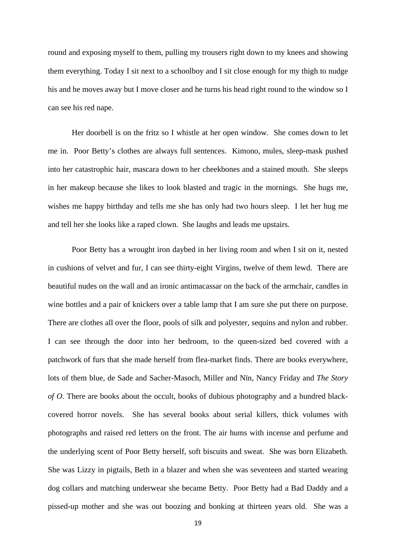round and exposing myself to them, pulling my trousers right down to my knees and showing them everything. Today I sit next to a schoolboy and I sit close enough for my thigh to nudge his and he moves away but I move closer and he turns his head right round to the window so I can see his red nape.

Her doorbell is on the fritz so I whistle at her open window. She comes down to let me in. Poor Betty's clothes are always full sentences. Kimono, mules, sleep-mask pushed into her catastrophic hair, mascara down to her cheekbones and a stained mouth. She sleeps in her makeup because she likes to look blasted and tragic in the mornings. She hugs me, wishes me happy birthday and tells me she has only had two hours sleep. I let her hug me and tell her she looks like a raped clown. She laughs and leads me upstairs.

Poor Betty has a wrought iron daybed in her living room and when I sit on it, nested in cushions of velvet and fur, I can see thirty-eight Virgins, twelve of them lewd. There are beautiful nudes on the wall and an ironic antimacassar on the back of the armchair, candles in wine bottles and a pair of knickers over a table lamp that I am sure she put there on purpose. There are clothes all over the floor, pools of silk and polyester, sequins and nylon and rubber. I can see through the door into her bedroom, to the queen-sized bed covered with a patchwork of furs that she made herself from flea-market finds. There are books everywhere, lots of them blue, de Sade and Sacher-Masoch, Miller and Nïn, Nancy Friday and *The Story of O*. There are books about the occult, books of dubious photography and a hundred blackcovered horror novels. She has several books about serial killers, thick volumes with photographs and raised red letters on the front. The air hums with incense and perfume and the underlying scent of Poor Betty herself, soft biscuits and sweat. She was born Elizabeth. She was Lizzy in pigtails, Beth in a blazer and when she was seventeen and started wearing dog collars and matching underwear she became Betty. Poor Betty had a Bad Daddy and a pissed-up mother and she was out boozing and bonking at thirteen years old. She was a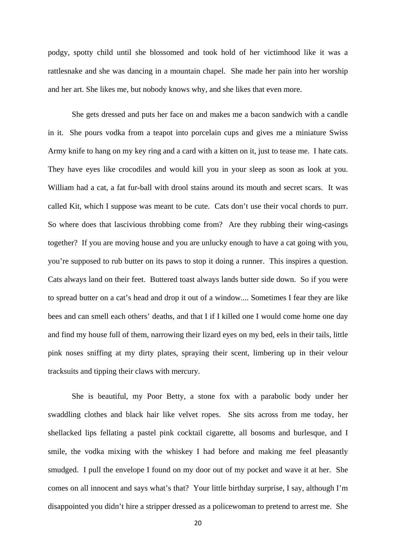podgy, spotty child until she blossomed and took hold of her victimhood like it was a rattlesnake and she was dancing in a mountain chapel. She made her pain into her worship and her art. She likes me, but nobody knows why, and she likes that even more.

She gets dressed and puts her face on and makes me a bacon sandwich with a candle in it. She pours vodka from a teapot into porcelain cups and gives me a miniature Swiss Army knife to hang on my key ring and a card with a kitten on it, just to tease me. I hate cats. They have eyes like crocodiles and would kill you in your sleep as soon as look at you. William had a cat, a fat fur-ball with drool stains around its mouth and secret scars. It was called Kit, which I suppose was meant to be cute. Cats don't use their vocal chords to purr. So where does that lascivious throbbing come from? Are they rubbing their wing-casings together? If you are moving house and you are unlucky enough to have a cat going with you, you're supposed to rub butter on its paws to stop it doing a runner. This inspires a question. Cats always land on their feet. Buttered toast always lands butter side down. So if you were to spread butter on a cat's head and drop it out of a window.... Sometimes I fear they are like bees and can smell each others' deaths, and that I if I killed one I would come home one day and find my house full of them, narrowing their lizard eyes on my bed, eels in their tails, little pink noses sniffing at my dirty plates, spraying their scent, limbering up in their velour tracksuits and tipping their claws with mercury.

She is beautiful, my Poor Betty, a stone fox with a parabolic body under her swaddling clothes and black hair like velvet ropes. She sits across from me today, her shellacked lips fellating a pastel pink cocktail cigarette, all bosoms and burlesque, and I smile, the vodka mixing with the whiskey I had before and making me feel pleasantly smudged. I pull the envelope I found on my door out of my pocket and wave it at her. She comes on all innocent and says what's that? Your little birthday surprise, I say, although I'm disappointed you didn't hire a stripper dressed as a policewoman to pretend to arrest me. She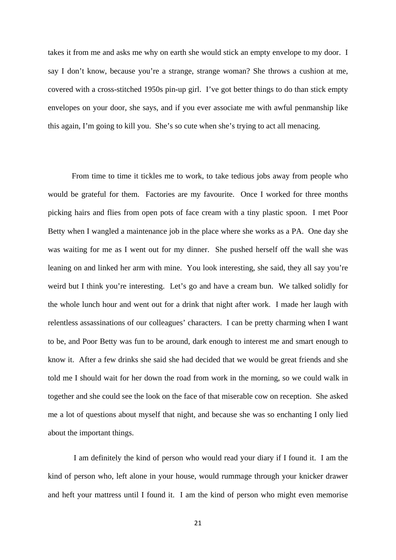takes it from me and asks me why on earth she would stick an empty envelope to my door. I say I don't know, because you're a strange, strange woman? She throws a cushion at me, covered with a cross-stitched 1950s pin-up girl. I've got better things to do than stick empty envelopes on your door, she says, and if you ever associate me with awful penmanship like this again, I'm going to kill you. She's so cute when she's trying to act all menacing.

From time to time it tickles me to work, to take tedious jobs away from people who would be grateful for them. Factories are my favourite. Once I worked for three months picking hairs and flies from open pots of face cream with a tiny plastic spoon. I met Poor Betty when I wangled a maintenance job in the place where she works as a PA. One day she was waiting for me as I went out for my dinner. She pushed herself off the wall she was leaning on and linked her arm with mine. You look interesting, she said, they all say you're weird but I think you're interesting. Let's go and have a cream bun. We talked solidly for the whole lunch hour and went out for a drink that night after work. I made her laugh with relentless assassinations of our colleagues' characters. I can be pretty charming when I want to be, and Poor Betty was fun to be around, dark enough to interest me and smart enough to know it. After a few drinks she said she had decided that we would be great friends and she told me I should wait for her down the road from work in the morning, so we could walk in together and she could see the look on the face of that miserable cow on reception. She asked me a lot of questions about myself that night, and because she was so enchanting I only lied about the important things.

 I am definitely the kind of person who would read your diary if I found it. I am the kind of person who, left alone in your house, would rummage through your knicker drawer and heft your mattress until I found it. I am the kind of person who might even memorise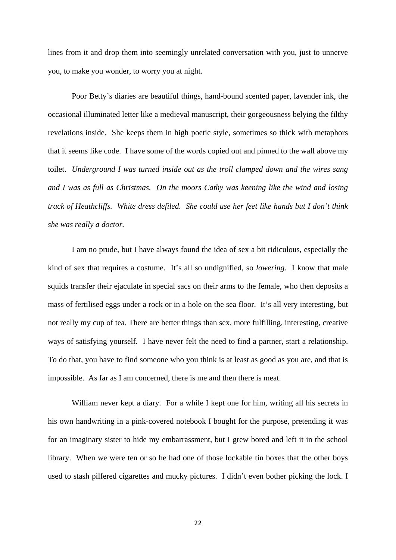lines from it and drop them into seemingly unrelated conversation with you, just to unnerve you, to make you wonder, to worry you at night.

Poor Betty's diaries are beautiful things, hand-bound scented paper, lavender ink, the occasional illuminated letter like a medieval manuscript, their gorgeousness belying the filthy revelations inside. She keeps them in high poetic style, sometimes so thick with metaphors that it seems like code. I have some of the words copied out and pinned to the wall above my toilet. *Underground I was turned inside out as the troll clamped down and the wires sang and I was as full as Christmas. On the moors Cathy was keening like the wind and losing track of Heathcliffs. White dress defiled. She could use her feet like hands but I don't think she was really a doctor.* 

I am no prude, but I have always found the idea of sex a bit ridiculous, especially the kind of sex that requires a costume. It's all so undignified, so *lowering*. I know that male squids transfer their ejaculate in special sacs on their arms to the female, who then deposits a mass of fertilised eggs under a rock or in a hole on the sea floor. It's all very interesting, but not really my cup of tea. There are better things than sex, more fulfilling, interesting, creative ways of satisfying yourself. I have never felt the need to find a partner, start a relationship. To do that, you have to find someone who you think is at least as good as you are, and that is impossible. As far as I am concerned, there is me and then there is meat.

William never kept a diary. For a while I kept one for him, writing all his secrets in his own handwriting in a pink-covered notebook I bought for the purpose, pretending it was for an imaginary sister to hide my embarrassment, but I grew bored and left it in the school library. When we were ten or so he had one of those lockable tin boxes that the other boys used to stash pilfered cigarettes and mucky pictures. I didn't even bother picking the lock. I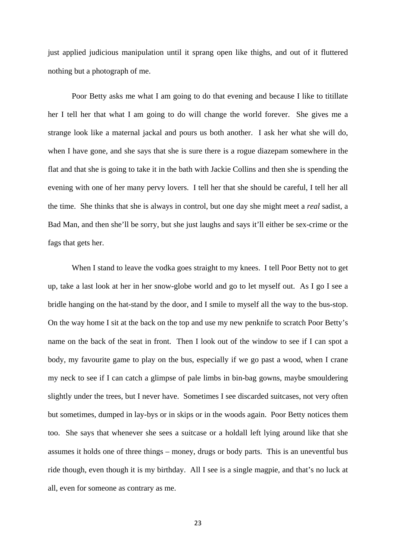just applied judicious manipulation until it sprang open like thighs, and out of it fluttered nothing but a photograph of me.

Poor Betty asks me what I am going to do that evening and because I like to titillate her I tell her that what I am going to do will change the world forever. She gives me a strange look like a maternal jackal and pours us both another. I ask her what she will do, when I have gone, and she says that she is sure there is a rogue diazepam somewhere in the flat and that she is going to take it in the bath with Jackie Collins and then she is spending the evening with one of her many pervy lovers. I tell her that she should be careful, I tell her all the time. She thinks that she is always in control, but one day she might meet a *real* sadist, a Bad Man, and then she'll be sorry, but she just laughs and says it'll either be sex-crime or the fags that gets her.

When I stand to leave the vodka goes straight to my knees. I tell Poor Betty not to get up, take a last look at her in her snow-globe world and go to let myself out. As I go I see a bridle hanging on the hat-stand by the door, and I smile to myself all the way to the bus-stop. On the way home I sit at the back on the top and use my new penknife to scratch Poor Betty's name on the back of the seat in front. Then I look out of the window to see if I can spot a body, my favourite game to play on the bus, especially if we go past a wood, when I crane my neck to see if I can catch a glimpse of pale limbs in bin-bag gowns, maybe smouldering slightly under the trees, but I never have. Sometimes I see discarded suitcases, not very often but sometimes, dumped in lay-bys or in skips or in the woods again. Poor Betty notices them too. She says that whenever she sees a suitcase or a holdall left lying around like that she assumes it holds one of three things – money, drugs or body parts. This is an uneventful bus ride though, even though it is my birthday. All I see is a single magpie, and that's no luck at all, even for someone as contrary as me.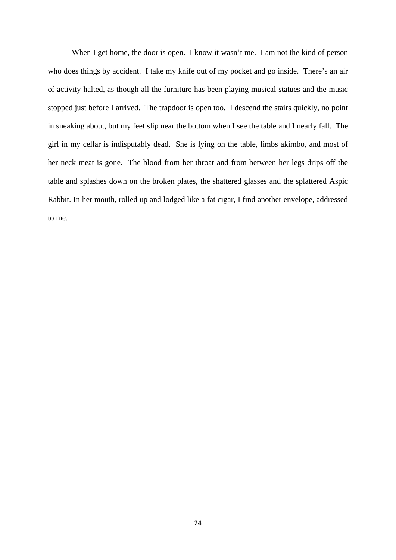When I get home, the door is open. I know it wasn't me. I am not the kind of person who does things by accident. I take my knife out of my pocket and go inside. There's an air of activity halted, as though all the furniture has been playing musical statues and the music stopped just before I arrived. The trapdoor is open too. I descend the stairs quickly, no point in sneaking about, but my feet slip near the bottom when I see the table and I nearly fall. The girl in my cellar is indisputably dead. She is lying on the table, limbs akimbo, and most of her neck meat is gone. The blood from her throat and from between her legs drips off the table and splashes down on the broken plates, the shattered glasses and the splattered Aspic Rabbit. In her mouth, rolled up and lodged like a fat cigar, I find another envelope, addressed to me.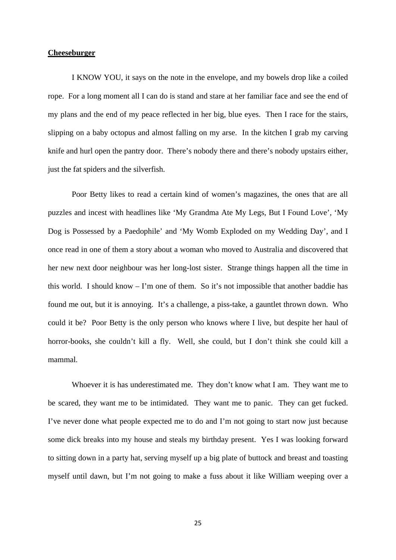#### **Cheeseburger**

I KNOW YOU, it says on the note in the envelope, and my bowels drop like a coiled rope. For a long moment all I can do is stand and stare at her familiar face and see the end of my plans and the end of my peace reflected in her big, blue eyes. Then I race for the stairs, slipping on a baby octopus and almost falling on my arse. In the kitchen I grab my carving knife and hurl open the pantry door. There's nobody there and there's nobody upstairs either, just the fat spiders and the silverfish.

Poor Betty likes to read a certain kind of women's magazines, the ones that are all puzzles and incest with headlines like 'My Grandma Ate My Legs, But I Found Love', 'My Dog is Possessed by a Paedophile' and 'My Womb Exploded on my Wedding Day', and I once read in one of them a story about a woman who moved to Australia and discovered that her new next door neighbour was her long-lost sister. Strange things happen all the time in this world. I should know – I'm one of them. So it's not impossible that another baddie has found me out, but it is annoying. It's a challenge, a piss-take, a gauntlet thrown down. Who could it be? Poor Betty is the only person who knows where I live, but despite her haul of horror-books, she couldn't kill a fly. Well, she could, but I don't think she could kill a mammal.

Whoever it is has underestimated me. They don't know what I am. They want me to be scared, they want me to be intimidated. They want me to panic. They can get fucked. I've never done what people expected me to do and I'm not going to start now just because some dick breaks into my house and steals my birthday present. Yes I was looking forward to sitting down in a party hat, serving myself up a big plate of buttock and breast and toasting myself until dawn, but I'm not going to make a fuss about it like William weeping over a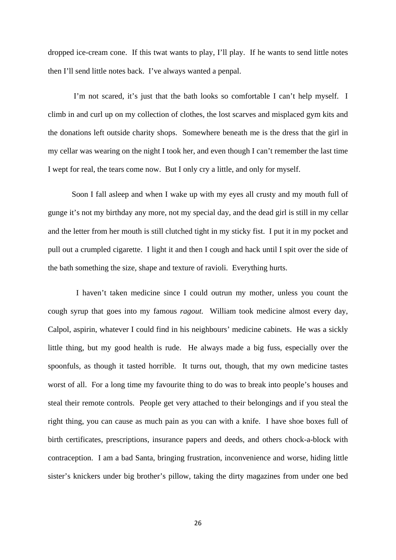dropped ice-cream cone. If this twat wants to play, I'll play. If he wants to send little notes then I'll send little notes back. I've always wanted a penpal.

 I'm not scared, it's just that the bath looks so comfortable I can't help myself. I climb in and curl up on my collection of clothes, the lost scarves and misplaced gym kits and the donations left outside charity shops. Somewhere beneath me is the dress that the girl in my cellar was wearing on the night I took her, and even though I can't remember the last time I wept for real, the tears come now. But I only cry a little, and only for myself.

Soon I fall asleep and when I wake up with my eyes all crusty and my mouth full of gunge it's not my birthday any more, not my special day, and the dead girl is still in my cellar and the letter from her mouth is still clutched tight in my sticky fist. I put it in my pocket and pull out a crumpled cigarette. I light it and then I cough and hack until I spit over the side of the bath something the size, shape and texture of ravioli. Everything hurts.

I haven't taken medicine since I could outrun my mother, unless you count the cough syrup that goes into my famous *ragout.* William took medicine almost every day, Calpol, aspirin, whatever I could find in his neighbours' medicine cabinets. He was a sickly little thing, but my good health is rude. He always made a big fuss, especially over the spoonfuls, as though it tasted horrible. It turns out, though, that my own medicine tastes worst of all. For a long time my favourite thing to do was to break into people's houses and steal their remote controls. People get very attached to their belongings and if you steal the right thing, you can cause as much pain as you can with a knife. I have shoe boxes full of birth certificates, prescriptions, insurance papers and deeds, and others chock-a-block with contraception. I am a bad Santa, bringing frustration, inconvenience and worse, hiding little sister's knickers under big brother's pillow, taking the dirty magazines from under one bed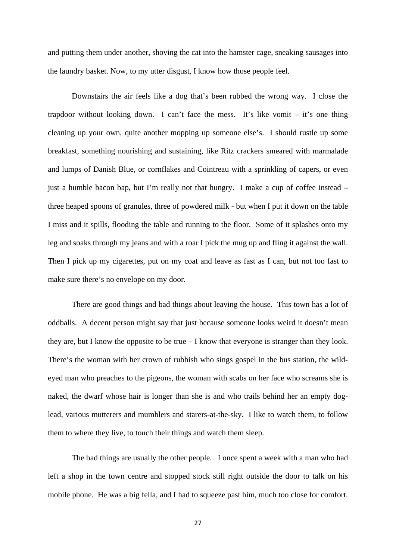and putting them under another, shoving the cat into the hamster cage, sneaking sausages into the laundry basket. Now, to my utter disgust, I know how those people feel.

Downstairs the air feels like a dog that's been rubbed the wrong way. I close the trapdoor without looking down. I can't face the mess. It's like vomit – it's one thing cleaning up your own, quite another mopping up someone else's. I should rustle up some breakfast, something nourishing and sustaining, like Ritz crackers smeared with marmalade and lumps of Danish Blue, or cornflakes and Cointreau with a sprinkling of capers, or even just a humble bacon bap, but I'm really not that hungry. I make a cup of coffee instead – three heaped spoons of granules, three of powdered milk - but when I put it down on the table I miss and it spills, flooding the table and running to the floor. Some of it splashes onto my leg and soaks through my jeans and with a roar I pick the mug up and fling it against the wall. Then I pick up my cigarettes, put on my coat and leave as fast as I can, but not too fast to make sure there's no envelope on my door.

There are good things and bad things about leaving the house. This town has a lot of oddballs. A decent person might say that just because someone looks weird it doesn't mean they are, but I know the opposite to be true – I know that everyone is stranger than they look. There's the woman with her crown of rubbish who sings gospel in the bus station, the wildeyed man who preaches to the pigeons, the woman with scabs on her face who screams she is naked, the dwarf whose hair is longer than she is and who trails behind her an empty doglead, various mutterers and mumblers and starers-at-the-sky. I like to watch them, to follow them to where they live, to touch their things and watch them sleep.

The bad things are usually the other people. I once spent a week with a man who had left a shop in the town centre and stopped stock still right outside the door to talk on his mobile phone. He was a big fella, and I had to squeeze past him, much too close for comfort.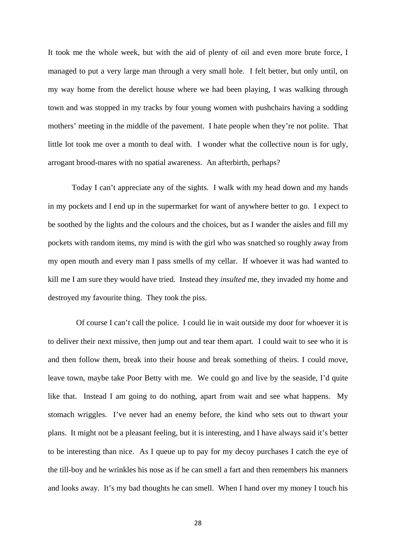It took me the whole week, but with the aid of plenty of oil and even more brute force, I managed to put a very large man through a very small hole. I felt better, but only until, on my way home from the derelict house where we had been playing, I was walking through town and was stopped in my tracks by four young women with pushchairs having a sodding mothers' meeting in the middle of the pavement. I hate people when they're not polite. That little lot took me over a month to deal with. I wonder what the collective noun is for ugly, arrogant brood-mares with no spatial awareness. An afterbirth, perhaps?

Today I can't appreciate any of the sights. I walk with my head down and my hands in my pockets and I end up in the supermarket for want of anywhere better to go. I expect to be soothed by the lights and the colours and the choices, but as I wander the aisles and fill my pockets with random items, my mind is with the girl who was snatched so roughly away from my open mouth and every man I pass smells of my cellar. If whoever it was had wanted to kill me I am sure they would have tried. Instead they *insulted* me, they invaded my home and destroyed my favourite thing. They took the piss.

Of course I can't call the police. I could lie in wait outside my door for whoever it is to deliver their next missive, then jump out and tear them apart. I could wait to see who it is and then follow them, break into their house and break something of theirs. I could move, leave town, maybe take Poor Betty with me. We could go and live by the seaside, I'd quite like that. Instead I am going to do nothing, apart from wait and see what happens. My stomach wriggles. I've never had an enemy before, the kind who sets out to thwart your plans. It might not be a pleasant feeling, but it is interesting, and I have always said it's better to be interesting than nice. As I queue up to pay for my decoy purchases I catch the eye of the till-boy and he wrinkles his nose as if he can smell a fart and then remembers his manners and looks away. It's my bad thoughts he can smell. When I hand over my money I touch his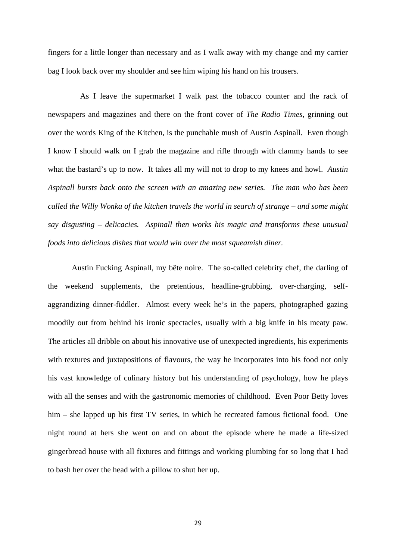fingers for a little longer than necessary and as I walk away with my change and my carrier bag I look back over my shoulder and see him wiping his hand on his trousers.

 As I leave the supermarket I walk past the tobacco counter and the rack of newspapers and magazines and there on the front cover of *The Radio Times*, grinning out over the words King of the Kitchen, is the punchable mush of Austin Aspinall. Even though I know I should walk on I grab the magazine and rifle through with clammy hands to see what the bastard's up to now. It takes all my will not to drop to my knees and howl. *Austin Aspinall bursts back onto the screen with an amazing new series. The man who has been called the Willy Wonka of the kitchen travels the world in search of strange – and some might say disgusting – delicacies. Aspinall then works his magic and transforms these unusual foods into delicious dishes that would win over the most squeamish diner.* 

Austin Fucking Aspinall, my bête noire. The so-called celebrity chef, the darling of the weekend supplements, the pretentious, headline-grubbing, over-charging, selfaggrandizing dinner-fiddler. Almost every week he's in the papers, photographed gazing moodily out from behind his ironic spectacles, usually with a big knife in his meaty paw. The articles all dribble on about his innovative use of unexpected ingredients, his experiments with textures and juxtapositions of flavours, the way he incorporates into his food not only his vast knowledge of culinary history but his understanding of psychology, how he plays with all the senses and with the gastronomic memories of childhood. Even Poor Betty loves him – she lapped up his first TV series, in which he recreated famous fictional food. One night round at hers she went on and on about the episode where he made a life-sized gingerbread house with all fixtures and fittings and working plumbing for so long that I had to bash her over the head with a pillow to shut her up.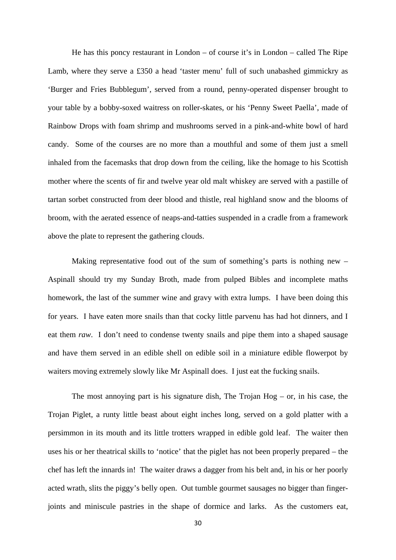He has this poncy restaurant in London – of course it's in London – called The Ripe Lamb, where they serve a £350 a head 'taster menu' full of such unabashed gimmickry as 'Burger and Fries Bubblegum', served from a round, penny-operated dispenser brought to your table by a bobby-soxed waitress on roller-skates, or his 'Penny Sweet Paella', made of Rainbow Drops with foam shrimp and mushrooms served in a pink-and-white bowl of hard candy. Some of the courses are no more than a mouthful and some of them just a smell inhaled from the facemasks that drop down from the ceiling, like the homage to his Scottish mother where the scents of fir and twelve year old malt whiskey are served with a pastille of tartan sorbet constructed from deer blood and thistle, real highland snow and the blooms of broom, with the aerated essence of neaps-and-tatties suspended in a cradle from a framework above the plate to represent the gathering clouds.

Making representative food out of the sum of something's parts is nothing new – Aspinall should try my Sunday Broth, made from pulped Bibles and incomplete maths homework, the last of the summer wine and gravy with extra lumps. I have been doing this for years. I have eaten more snails than that cocky little parvenu has had hot dinners, and I eat them *raw*. I don't need to condense twenty snails and pipe them into a shaped sausage and have them served in an edible shell on edible soil in a miniature edible flowerpot by waiters moving extremely slowly like Mr Aspinall does. I just eat the fucking snails.

The most annoying part is his signature dish, The Trojan  $Hog - or$ , in his case, the Trojan Piglet, a runty little beast about eight inches long, served on a gold platter with a persimmon in its mouth and its little trotters wrapped in edible gold leaf. The waiter then uses his or her theatrical skills to 'notice' that the piglet has not been properly prepared – the chef has left the innards in! The waiter draws a dagger from his belt and, in his or her poorly acted wrath, slits the piggy's belly open. Out tumble gourmet sausages no bigger than fingerjoints and miniscule pastries in the shape of dormice and larks. As the customers eat,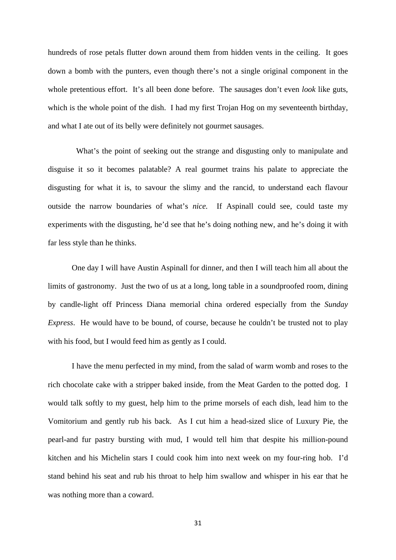hundreds of rose petals flutter down around them from hidden vents in the ceiling. It goes down a bomb with the punters, even though there's not a single original component in the whole pretentious effort. It's all been done before. The sausages don't even *look* like guts, which is the whole point of the dish. I had my first Trojan Hog on my seventeenth birthday, and what I ate out of its belly were definitely not gourmet sausages.

 What's the point of seeking out the strange and disgusting only to manipulate and disguise it so it becomes palatable? A real gourmet trains his palate to appreciate the disgusting for what it is, to savour the slimy and the rancid, to understand each flavour outside the narrow boundaries of what's *nice.* If Aspinall could see, could taste my experiments with the disgusting, he'd see that he's doing nothing new, and he's doing it with far less style than he thinks.

 One day I will have Austin Aspinall for dinner, and then I will teach him all about the limits of gastronomy. Just the two of us at a long, long table in a soundproofed room, dining by candle-light off Princess Diana memorial china ordered especially from the *Sunday Express*. He would have to be bound, of course, because he couldn't be trusted not to play with his food, but I would feed him as gently as I could.

I have the menu perfected in my mind, from the salad of warm womb and roses to the rich chocolate cake with a stripper baked inside, from the Meat Garden to the potted dog. I would talk softly to my guest, help him to the prime morsels of each dish, lead him to the Vomitorium and gently rub his back. As I cut him a head-sized slice of Luxury Pie, the pearl-and fur pastry bursting with mud, I would tell him that despite his million-pound kitchen and his Michelin stars I could cook him into next week on my four-ring hob. I'd stand behind his seat and rub his throat to help him swallow and whisper in his ear that he was nothing more than a coward.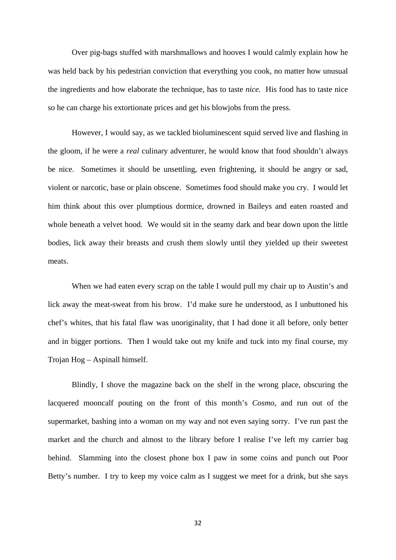Over pig-bags stuffed with marshmallows and hooves I would calmly explain how he was held back by his pedestrian conviction that everything you cook, no matter how unusual the ingredients and how elaborate the technique, has to taste *nice.* His food has to taste nice so he can charge his extortionate prices and get his blowjobs from the press.

However, I would say, as we tackled bioluminescent squid served live and flashing in the gloom, if he were a *real* culinary adventurer, he would know that food shouldn't always be nice. Sometimes it should be unsettling, even frightening, it should be angry or sad, violent or narcotic, base or plain obscene. Sometimes food should make you cry. I would let him think about this over plumptious dormice, drowned in Baileys and eaten roasted and whole beneath a velvet hood. We would sit in the seamy dark and bear down upon the little bodies, lick away their breasts and crush them slowly until they yielded up their sweetest meats.

When we had eaten every scrap on the table I would pull my chair up to Austin's and lick away the meat-sweat from his brow. I'd make sure he understood, as I unbuttoned his chef's whites, that his fatal flaw was unoriginality, that I had done it all before, only better and in bigger portions. Then I would take out my knife and tuck into my final course, my Trojan Hog – Aspinall himself.

Blindly, I shove the magazine back on the shelf in the wrong place, obscuring the lacquered mooncalf pouting on the front of this month's *Cosmo*, and run out of the supermarket, bashing into a woman on my way and not even saying sorry. I've run past the market and the church and almost to the library before I realise I've left my carrier bag behind. Slamming into the closest phone box I paw in some coins and punch out Poor Betty's number. I try to keep my voice calm as I suggest we meet for a drink, but she says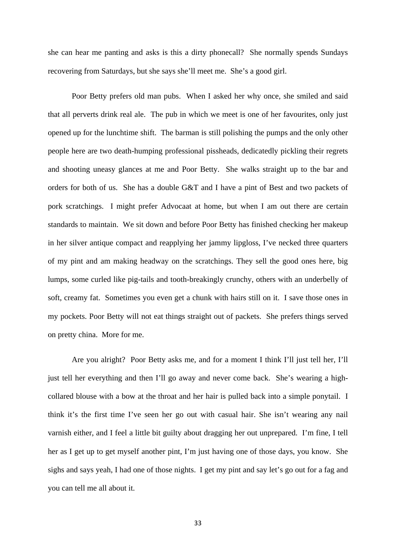she can hear me panting and asks is this a dirty phonecall? She normally spends Sundays recovering from Saturdays, but she says she'll meet me. She's a good girl.

Poor Betty prefers old man pubs. When I asked her why once, she smiled and said that all perverts drink real ale. The pub in which we meet is one of her favourites, only just opened up for the lunchtime shift. The barman is still polishing the pumps and the only other people here are two death-humping professional pissheads, dedicatedly pickling their regrets and shooting uneasy glances at me and Poor Betty. She walks straight up to the bar and orders for both of us. She has a double G&T and I have a pint of Best and two packets of pork scratchings. I might prefer Advocaat at home, but when I am out there are certain standards to maintain. We sit down and before Poor Betty has finished checking her makeup in her silver antique compact and reapplying her jammy lipgloss, I've necked three quarters of my pint and am making headway on the scratchings. They sell the good ones here, big lumps, some curled like pig-tails and tooth-breakingly crunchy, others with an underbelly of soft, creamy fat. Sometimes you even get a chunk with hairs still on it. I save those ones in my pockets. Poor Betty will not eat things straight out of packets. She prefers things served on pretty china. More for me.

Are you alright? Poor Betty asks me, and for a moment I think I'll just tell her, I'll just tell her everything and then I'll go away and never come back. She's wearing a highcollared blouse with a bow at the throat and her hair is pulled back into a simple ponytail. I think it's the first time I've seen her go out with casual hair. She isn't wearing any nail varnish either, and I feel a little bit guilty about dragging her out unprepared. I'm fine, I tell her as I get up to get myself another pint, I'm just having one of those days, you know. She sighs and says yeah, I had one of those nights. I get my pint and say let's go out for a fag and you can tell me all about it.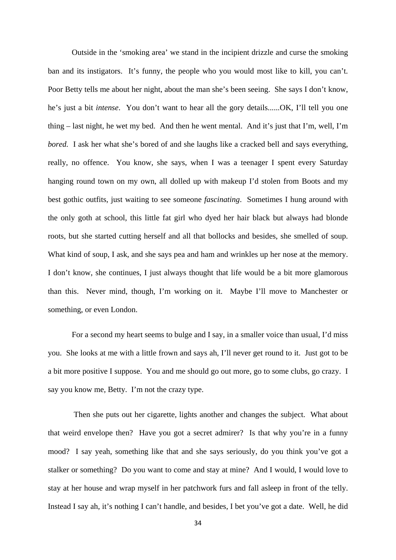Outside in the 'smoking area' we stand in the incipient drizzle and curse the smoking ban and its instigators. It's funny, the people who you would most like to kill, you can't. Poor Betty tells me about her night, about the man she's been seeing. She says I don't know, he's just a bit *intense*. You don't want to hear all the gory details......OK, I'll tell you one thing – last night, he wet my bed. And then he went mental. And it's just that I'm, well, I'm *bored.* I ask her what she's bored of and she laughs like a cracked bell and says everything, really, no offence. You know, she says, when I was a teenager I spent every Saturday hanging round town on my own, all dolled up with makeup I'd stolen from Boots and my best gothic outfits, just waiting to see someone *fascinating*. Sometimes I hung around with the only goth at school, this little fat girl who dyed her hair black but always had blonde roots, but she started cutting herself and all that bollocks and besides, she smelled of soup. What kind of soup, I ask, and she says pea and ham and wrinkles up her nose at the memory. I don't know, she continues, I just always thought that life would be a bit more glamorous than this. Never mind, though, I'm working on it. Maybe I'll move to Manchester or something, or even London.

For a second my heart seems to bulge and I say, in a smaller voice than usual, I'd miss you. She looks at me with a little frown and says ah, I'll never get round to it. Just got to be a bit more positive I suppose. You and me should go out more, go to some clubs, go crazy. I say you know me, Betty. I'm not the crazy type.

 Then she puts out her cigarette, lights another and changes the subject. What about that weird envelope then? Have you got a secret admirer? Is that why you're in a funny mood? I say yeah, something like that and she says seriously, do you think you've got a stalker or something? Do you want to come and stay at mine? And I would, I would love to stay at her house and wrap myself in her patchwork furs and fall asleep in front of the telly. Instead I say ah, it's nothing I can't handle, and besides, I bet you've got a date. Well, he did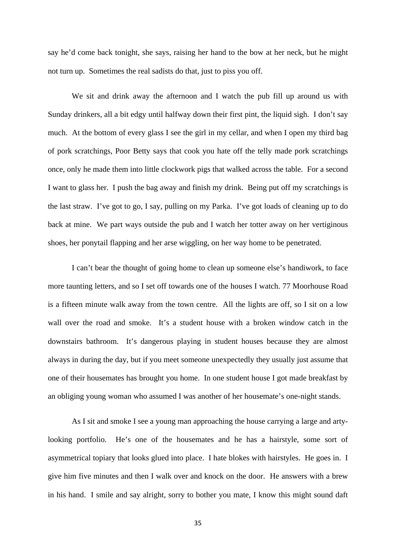say he'd come back tonight, she says, raising her hand to the bow at her neck, but he might not turn up. Sometimes the real sadists do that, just to piss you off.

We sit and drink away the afternoon and I watch the pub fill up around us with Sunday drinkers, all a bit edgy until halfway down their first pint, the liquid sigh. I don't say much. At the bottom of every glass I see the girl in my cellar, and when I open my third bag of pork scratchings, Poor Betty says that cook you hate off the telly made pork scratchings once, only he made them into little clockwork pigs that walked across the table. For a second I want to glass her. I push the bag away and finish my drink. Being put off my scratchings is the last straw. I've got to go, I say, pulling on my Parka. I've got loads of cleaning up to do back at mine. We part ways outside the pub and I watch her totter away on her vertiginous shoes, her ponytail flapping and her arse wiggling, on her way home to be penetrated.

 I can't bear the thought of going home to clean up someone else's handiwork, to face more taunting letters, and so I set off towards one of the houses I watch. 77 Moorhouse Road is a fifteen minute walk away from the town centre. All the lights are off, so I sit on a low wall over the road and smoke. It's a student house with a broken window catch in the downstairs bathroom. It's dangerous playing in student houses because they are almost always in during the day, but if you meet someone unexpectedly they usually just assume that one of their housemates has brought you home. In one student house I got made breakfast by an obliging young woman who assumed I was another of her housemate's one-night stands.

As I sit and smoke I see a young man approaching the house carrying a large and artylooking portfolio. He's one of the housemates and he has a hairstyle, some sort of asymmetrical topiary that looks glued into place. I hate blokes with hairstyles. He goes in. I give him five minutes and then I walk over and knock on the door. He answers with a brew in his hand. I smile and say alright, sorry to bother you mate, I know this might sound daft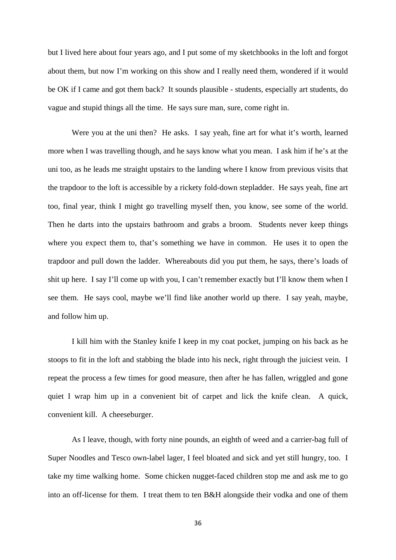but I lived here about four years ago, and I put some of my sketchbooks in the loft and forgot about them, but now I'm working on this show and I really need them, wondered if it would be OK if I came and got them back? It sounds plausible - students, especially art students, do vague and stupid things all the time. He says sure man, sure, come right in.

Were you at the uni then? He asks. I say yeah, fine art for what it's worth, learned more when I was travelling though, and he says know what you mean. I ask him if he's at the uni too, as he leads me straight upstairs to the landing where I know from previous visits that the trapdoor to the loft is accessible by a rickety fold-down stepladder. He says yeah, fine art too, final year, think I might go travelling myself then, you know, see some of the world. Then he darts into the upstairs bathroom and grabs a broom. Students never keep things where you expect them to, that's something we have in common. He uses it to open the trapdoor and pull down the ladder. Whereabouts did you put them, he says, there's loads of shit up here. I say I'll come up with you, I can't remember exactly but I'll know them when I see them. He says cool, maybe we'll find like another world up there. I say yeah, maybe, and follow him up.

I kill him with the Stanley knife I keep in my coat pocket, jumping on his back as he stoops to fit in the loft and stabbing the blade into his neck, right through the juiciest vein. I repeat the process a few times for good measure, then after he has fallen, wriggled and gone quiet I wrap him up in a convenient bit of carpet and lick the knife clean. A quick, convenient kill. A cheeseburger.

As I leave, though, with forty nine pounds, an eighth of weed and a carrier-bag full of Super Noodles and Tesco own-label lager, I feel bloated and sick and yet still hungry, too. I take my time walking home. Some chicken nugget-faced children stop me and ask me to go into an off-license for them. I treat them to ten B&H alongside their vodka and one of them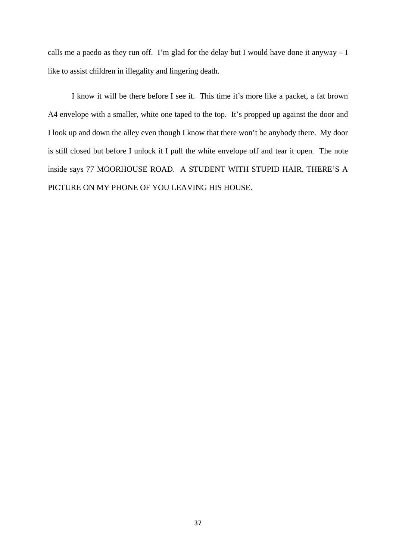calls me a paedo as they run off. I'm glad for the delay but I would have done it anyway  $-I$ like to assist children in illegality and lingering death.

I know it will be there before I see it. This time it's more like a packet, a fat brown A4 envelope with a smaller, white one taped to the top. It's propped up against the door and I look up and down the alley even though I know that there won't be anybody there. My door is still closed but before I unlock it I pull the white envelope off and tear it open. The note inside says 77 MOORHOUSE ROAD. A STUDENT WITH STUPID HAIR. THERE'S A PICTURE ON MY PHONE OF YOU LEAVING HIS HOUSE.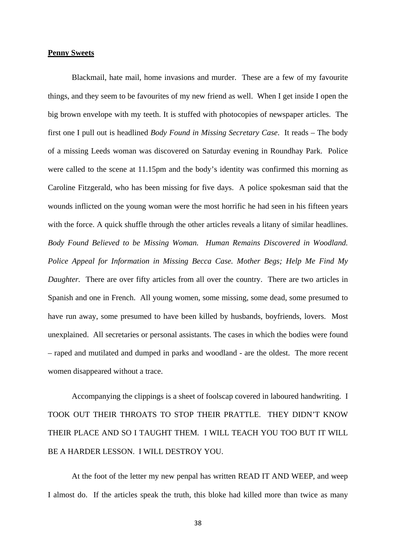## **Penny Sweets**

Blackmail, hate mail, home invasions and murder. These are a few of my favourite things, and they seem to be favourites of my new friend as well. When I get inside I open the big brown envelope with my teeth. It is stuffed with photocopies of newspaper articles. The first one I pull out is headlined *Body Found in Missing Secretary Case*. It reads – The body of a missing Leeds woman was discovered on Saturday evening in Roundhay Park. Police were called to the scene at 11.15pm and the body's identity was confirmed this morning as Caroline Fitzgerald, who has been missing for five days. A police spokesman said that the wounds inflicted on the young woman were the most horrific he had seen in his fifteen years with the force. A quick shuffle through the other articles reveals a litany of similar headlines. *Body Found Believed to be Missing Woman. Human Remains Discovered in Woodland. Police Appeal for Information in Missing Becca Case. Mother Begs; Help Me Find My Daughter.* There are over fifty articles from all over the country. There are two articles in Spanish and one in French. All young women, some missing, some dead, some presumed to have run away, some presumed to have been killed by husbands, boyfriends, lovers. Most unexplained. All secretaries or personal assistants. The cases in which the bodies were found – raped and mutilated and dumped in parks and woodland - are the oldest. The more recent women disappeared without a trace.

Accompanying the clippings is a sheet of foolscap covered in laboured handwriting. I TOOK OUT THEIR THROATS TO STOP THEIR PRATTLE. THEY DIDN'T KNOW THEIR PLACE AND SO I TAUGHT THEM. I WILL TEACH YOU TOO BUT IT WILL BE A HARDER LESSON. I WILL DESTROY YOU.

At the foot of the letter my new penpal has written READ IT AND WEEP, and weep I almost do. If the articles speak the truth, this bloke had killed more than twice as many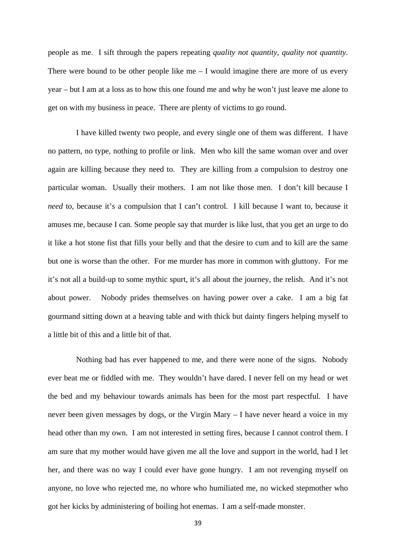people as me. I sift through the papers repeating *quality not quantity, quality not quantity*. There were bound to be other people like me  $-1$  would imagine there are more of us every year – but I am at a loss as to how this one found me and why he won't just leave me alone to get on with my business in peace. There are plenty of victims to go round.

I have killed twenty two people, and every single one of them was different. I have no pattern, no type, nothing to profile or link. Men who kill the same woman over and over again are killing because they need to. They are killing from a compulsion to destroy one particular woman. Usually their mothers. I am not like those men. I don't kill because I *need* to, because it's a compulsion that I can't control. I kill because I want to, because it amuses me, because I can. Some people say that murder is like lust, that you get an urge to do it like a hot stone fist that fills your belly and that the desire to cum and to kill are the same but one is worse than the other. For me murder has more in common with gluttony. For me it's not all a build-up to some mythic spurt, it's all about the journey, the relish. And it's not about power. Nobody prides themselves on having power over a cake. I am a big fat gourmand sitting down at a heaving table and with thick but dainty fingers helping myself to a little bit of this and a little bit of that.

Nothing bad has ever happened to me, and there were none of the signs. Nobody ever beat me or fiddled with me. They wouldn't have dared. I never fell on my head or wet the bed and my behaviour towards animals has been for the most part respectful. I have never been given messages by dogs, or the Virgin Mary – I have never heard a voice in my head other than my own. I am not interested in setting fires, because I cannot control them. I am sure that my mother would have given me all the love and support in the world, had I let her, and there was no way I could ever have gone hungry. I am not revenging myself on anyone, no love who rejected me, no whore who humiliated me, no wicked stepmother who got her kicks by administering of boiling hot enemas. I am a self-made monster.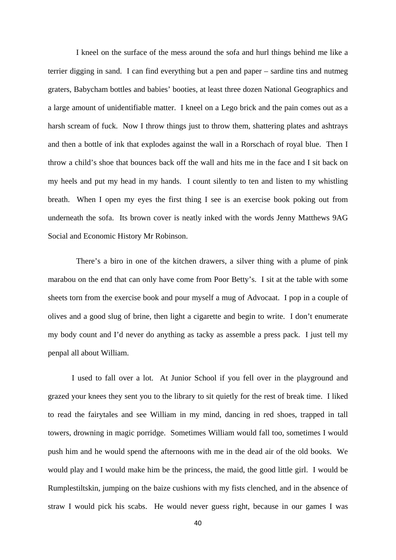I kneel on the surface of the mess around the sofa and hurl things behind me like a terrier digging in sand. I can find everything but a pen and paper – sardine tins and nutmeg graters, Babycham bottles and babies' booties, at least three dozen National Geographics and a large amount of unidentifiable matter. I kneel on a Lego brick and the pain comes out as a harsh scream of fuck. Now I throw things just to throw them, shattering plates and ashtrays and then a bottle of ink that explodes against the wall in a Rorschach of royal blue. Then I throw a child's shoe that bounces back off the wall and hits me in the face and I sit back on my heels and put my head in my hands. I count silently to ten and listen to my whistling breath. When I open my eyes the first thing I see is an exercise book poking out from underneath the sofa. Its brown cover is neatly inked with the words Jenny Matthews 9AG Social and Economic History Mr Robinson.

There's a biro in one of the kitchen drawers, a silver thing with a plume of pink marabou on the end that can only have come from Poor Betty's. I sit at the table with some sheets torn from the exercise book and pour myself a mug of Advocaat. I pop in a couple of olives and a good slug of brine, then light a cigarette and begin to write. I don't enumerate my body count and I'd never do anything as tacky as assemble a press pack. I just tell my penpal all about William.

I used to fall over a lot. At Junior School if you fell over in the playground and grazed your knees they sent you to the library to sit quietly for the rest of break time. I liked to read the fairytales and see William in my mind, dancing in red shoes, trapped in tall towers, drowning in magic porridge. Sometimes William would fall too, sometimes I would push him and he would spend the afternoons with me in the dead air of the old books. We would play and I would make him be the princess, the maid, the good little girl. I would be Rumplestiltskin, jumping on the baize cushions with my fists clenched, and in the absence of straw I would pick his scabs. He would never guess right, because in our games I was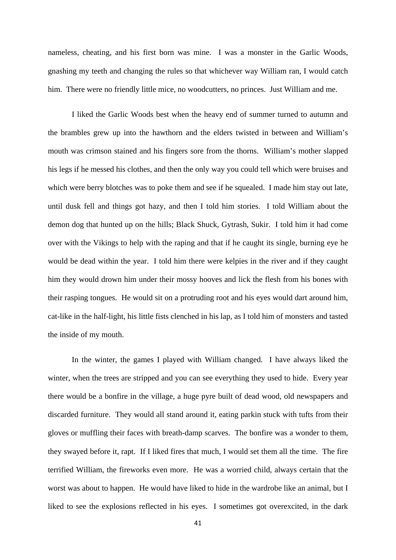nameless, cheating, and his first born was mine. I was a monster in the Garlic Woods, gnashing my teeth and changing the rules so that whichever way William ran, I would catch him. There were no friendly little mice, no woodcutters, no princes. Just William and me.

I liked the Garlic Woods best when the heavy end of summer turned to autumn and the brambles grew up into the hawthorn and the elders twisted in between and William's mouth was crimson stained and his fingers sore from the thorns. William's mother slapped his legs if he messed his clothes, and then the only way you could tell which were bruises and which were berry blotches was to poke them and see if he squealed. I made him stay out late, until dusk fell and things got hazy, and then I told him stories. I told William about the demon dog that hunted up on the hills; Black Shuck, Gytrash, Sukir. I told him it had come over with the Vikings to help with the raping and that if he caught its single, burning eye he would be dead within the year. I told him there were kelpies in the river and if they caught him they would drown him under their mossy hooves and lick the flesh from his bones with their rasping tongues. He would sit on a protruding root and his eyes would dart around him, cat-like in the half-light, his little fists clenched in his lap, as I told him of monsters and tasted the inside of my mouth.

In the winter, the games I played with William changed. I have always liked the winter, when the trees are stripped and you can see everything they used to hide. Every year there would be a bonfire in the village, a huge pyre built of dead wood, old newspapers and discarded furniture. They would all stand around it, eating parkin stuck with tufts from their gloves or muffling their faces with breath-damp scarves. The bonfire was a wonder to them, they swayed before it, rapt. If I liked fires that much, I would set them all the time. The fire terrified William, the fireworks even more. He was a worried child, always certain that the worst was about to happen. He would have liked to hide in the wardrobe like an animal, but I liked to see the explosions reflected in his eyes. I sometimes got overexcited, in the dark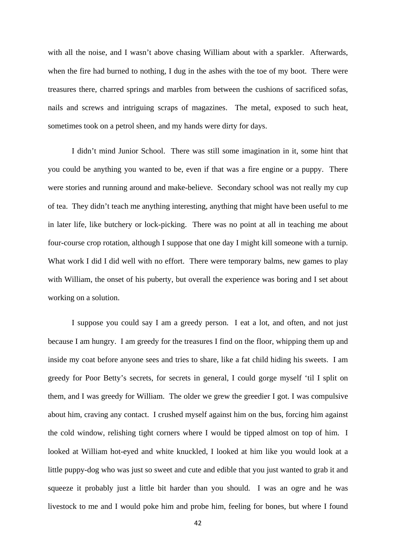with all the noise, and I wasn't above chasing William about with a sparkler. Afterwards, when the fire had burned to nothing, I dug in the ashes with the toe of my boot. There were treasures there, charred springs and marbles from between the cushions of sacrificed sofas, nails and screws and intriguing scraps of magazines. The metal, exposed to such heat, sometimes took on a petrol sheen, and my hands were dirty for days.

I didn't mind Junior School. There was still some imagination in it, some hint that you could be anything you wanted to be, even if that was a fire engine or a puppy. There were stories and running around and make-believe. Secondary school was not really my cup of tea. They didn't teach me anything interesting, anything that might have been useful to me in later life, like butchery or lock-picking. There was no point at all in teaching me about four-course crop rotation, although I suppose that one day I might kill someone with a turnip. What work I did I did well with no effort. There were temporary balms, new games to play with William, the onset of his puberty, but overall the experience was boring and I set about working on a solution.

I suppose you could say I am a greedy person. I eat a lot, and often, and not just because I am hungry. I am greedy for the treasures I find on the floor, whipping them up and inside my coat before anyone sees and tries to share, like a fat child hiding his sweets. I am greedy for Poor Betty's secrets, for secrets in general, I could gorge myself 'til I split on them, and I was greedy for William. The older we grew the greedier I got. I was compulsive about him, craving any contact. I crushed myself against him on the bus, forcing him against the cold window, relishing tight corners where I would be tipped almost on top of him. I looked at William hot-eyed and white knuckled, I looked at him like you would look at a little puppy-dog who was just so sweet and cute and edible that you just wanted to grab it and squeeze it probably just a little bit harder than you should. I was an ogre and he was livestock to me and I would poke him and probe him, feeling for bones, but where I found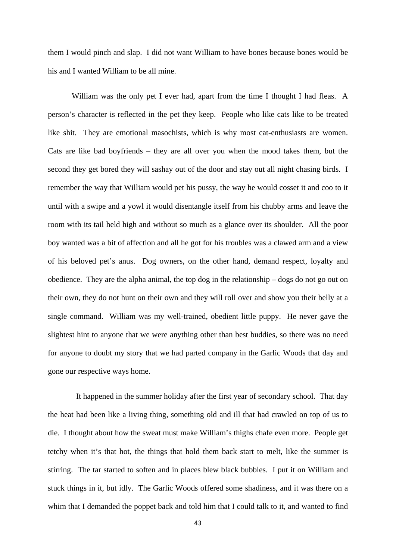them I would pinch and slap. I did not want William to have bones because bones would be his and I wanted William to be all mine.

William was the only pet I ever had, apart from the time I thought I had fleas. A person's character is reflected in the pet they keep. People who like cats like to be treated like shit. They are emotional masochists, which is why most cat-enthusiasts are women. Cats are like bad boyfriends – they are all over you when the mood takes them, but the second they get bored they will sashay out of the door and stay out all night chasing birds. I remember the way that William would pet his pussy, the way he would cosset it and coo to it until with a swipe and a yowl it would disentangle itself from his chubby arms and leave the room with its tail held high and without so much as a glance over its shoulder. All the poor boy wanted was a bit of affection and all he got for his troubles was a clawed arm and a view of his beloved pet's anus. Dog owners, on the other hand, demand respect, loyalty and obedience. They are the alpha animal, the top dog in the relationship – dogs do not go out on their own, they do not hunt on their own and they will roll over and show you their belly at a single command. William was my well-trained, obedient little puppy. He never gave the slightest hint to anyone that we were anything other than best buddies, so there was no need for anyone to doubt my story that we had parted company in the Garlic Woods that day and gone our respective ways home.

It happened in the summer holiday after the first year of secondary school. That day the heat had been like a living thing, something old and ill that had crawled on top of us to die. I thought about how the sweat must make William's thighs chafe even more. People get tetchy when it's that hot, the things that hold them back start to melt, like the summer is stirring. The tar started to soften and in places blew black bubbles. I put it on William and stuck things in it, but idly. The Garlic Woods offered some shadiness, and it was there on a whim that I demanded the poppet back and told him that I could talk to it, and wanted to find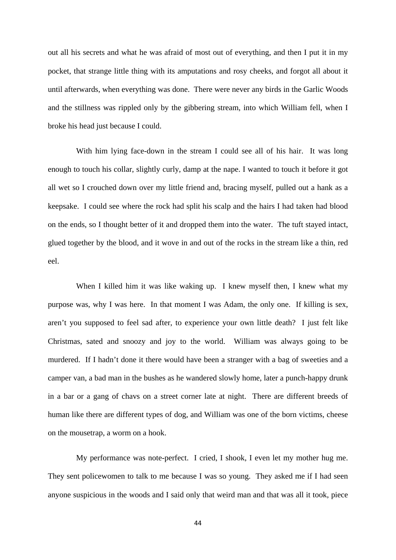out all his secrets and what he was afraid of most out of everything, and then I put it in my pocket, that strange little thing with its amputations and rosy cheeks, and forgot all about it until afterwards, when everything was done. There were never any birds in the Garlic Woods and the stillness was rippled only by the gibbering stream, into which William fell, when I broke his head just because I could.

With him lying face-down in the stream I could see all of his hair. It was long enough to touch his collar, slightly curly, damp at the nape. I wanted to touch it before it got all wet so I crouched down over my little friend and, bracing myself, pulled out a hank as a keepsake. I could see where the rock had split his scalp and the hairs I had taken had blood on the ends, so I thought better of it and dropped them into the water. The tuft stayed intact, glued together by the blood, and it wove in and out of the rocks in the stream like a thin, red eel.

When I killed him it was like waking up. I knew myself then, I knew what my purpose was, why I was here. In that moment I was Adam, the only one. If killing is sex, aren't you supposed to feel sad after, to experience your own little death? I just felt like Christmas, sated and snoozy and joy to the world. William was always going to be murdered. If I hadn't done it there would have been a stranger with a bag of sweeties and a camper van, a bad man in the bushes as he wandered slowly home, later a punch-happy drunk in a bar or a gang of chavs on a street corner late at night. There are different breeds of human like there are different types of dog, and William was one of the born victims, cheese on the mousetrap, a worm on a hook.

My performance was note-perfect. I cried, I shook, I even let my mother hug me. They sent policewomen to talk to me because I was so young. They asked me if I had seen anyone suspicious in the woods and I said only that weird man and that was all it took, piece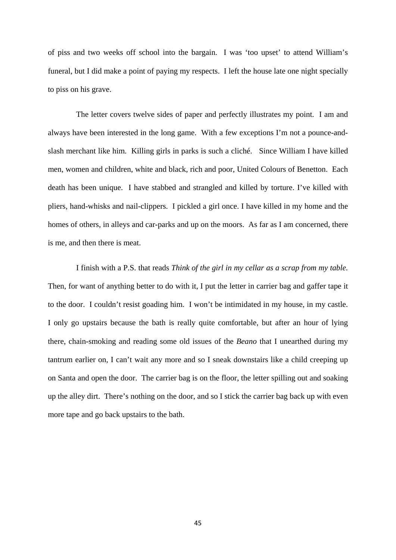of piss and two weeks off school into the bargain. I was 'too upset' to attend William's funeral, but I did make a point of paying my respects. I left the house late one night specially to piss on his grave.

The letter covers twelve sides of paper and perfectly illustrates my point. I am and always have been interested in the long game. With a few exceptions I'm not a pounce-andslash merchant like him. Killing girls in parks is such a cliché. Since William I have killed men, women and children, white and black, rich and poor, United Colours of Benetton. Each death has been unique. I have stabbed and strangled and killed by torture. I've killed with pliers, hand-whisks and nail-clippers. I pickled a girl once. I have killed in my home and the homes of others, in alleys and car-parks and up on the moors. As far as I am concerned, there is me, and then there is meat.

I finish with a P.S. that reads *Think of the girl in my cellar as a scrap from my table.*  Then, for want of anything better to do with it, I put the letter in carrier bag and gaffer tape it to the door. I couldn't resist goading him. I won't be intimidated in my house, in my castle. I only go upstairs because the bath is really quite comfortable, but after an hour of lying there, chain-smoking and reading some old issues of the *Beano* that I unearthed during my tantrum earlier on, I can't wait any more and so I sneak downstairs like a child creeping up on Santa and open the door. The carrier bag is on the floor, the letter spilling out and soaking up the alley dirt. There's nothing on the door, and so I stick the carrier bag back up with even more tape and go back upstairs to the bath.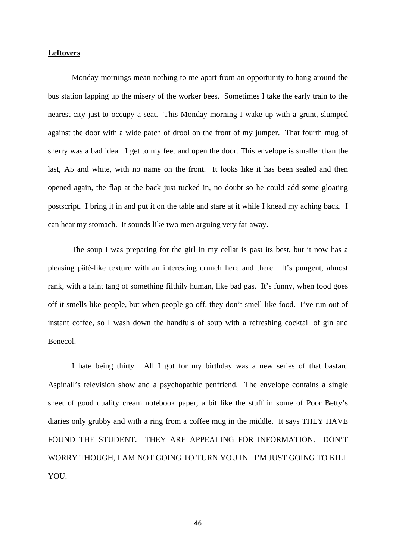# **Leftovers**

Monday mornings mean nothing to me apart from an opportunity to hang around the bus station lapping up the misery of the worker bees. Sometimes I take the early train to the nearest city just to occupy a seat. This Monday morning I wake up with a grunt, slumped against the door with a wide patch of drool on the front of my jumper. That fourth mug of sherry was a bad idea. I get to my feet and open the door. This envelope is smaller than the last, A5 and white, with no name on the front. It looks like it has been sealed and then opened again, the flap at the back just tucked in, no doubt so he could add some gloating postscript. I bring it in and put it on the table and stare at it while I knead my aching back. I can hear my stomach. It sounds like two men arguing very far away.

The soup I was preparing for the girl in my cellar is past its best, but it now has a pleasing pâté-like texture with an interesting crunch here and there. It's pungent, almost rank, with a faint tang of something filthily human, like bad gas. It's funny, when food goes off it smells like people, but when people go off, they don't smell like food. I've run out of instant coffee, so I wash down the handfuls of soup with a refreshing cocktail of gin and Benecol.

I hate being thirty. All I got for my birthday was a new series of that bastard Aspinall's television show and a psychopathic penfriend. The envelope contains a single sheet of good quality cream notebook paper, a bit like the stuff in some of Poor Betty's diaries only grubby and with a ring from a coffee mug in the middle. It says THEY HAVE FOUND THE STUDENT. THEY ARE APPEALING FOR INFORMATION. DON'T WORRY THOUGH, I AM NOT GOING TO TURN YOU IN. I'M JUST GOING TO KILL YOU.

46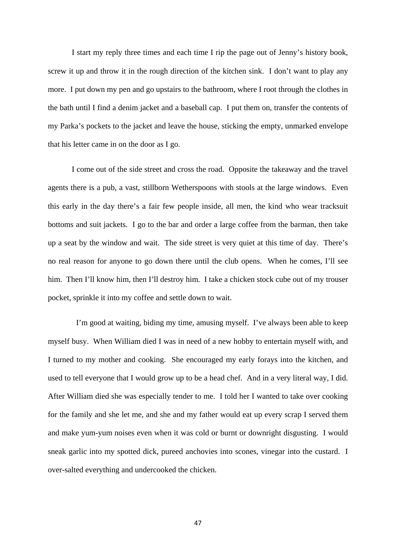I start my reply three times and each time I rip the page out of Jenny's history book, screw it up and throw it in the rough direction of the kitchen sink. I don't want to play any more. I put down my pen and go upstairs to the bathroom, where I root through the clothes in the bath until I find a denim jacket and a baseball cap. I put them on, transfer the contents of my Parka's pockets to the jacket and leave the house, sticking the empty, unmarked envelope that his letter came in on the door as I go.

I come out of the side street and cross the road. Opposite the takeaway and the travel agents there is a pub, a vast, stillborn Wetherspoons with stools at the large windows. Even this early in the day there's a fair few people inside, all men, the kind who wear tracksuit bottoms and suit jackets. I go to the bar and order a large coffee from the barman, then take up a seat by the window and wait. The side street is very quiet at this time of day. There's no real reason for anyone to go down there until the club opens. When he comes, I'll see him. Then I'll know him, then I'll destroy him. I take a chicken stock cube out of my trouser pocket, sprinkle it into my coffee and settle down to wait.

I'm good at waiting, biding my time, amusing myself. I've always been able to keep myself busy. When William died I was in need of a new hobby to entertain myself with, and I turned to my mother and cooking. She encouraged my early forays into the kitchen, and used to tell everyone that I would grow up to be a head chef. And in a very literal way, I did. After William died she was especially tender to me. I told her I wanted to take over cooking for the family and she let me, and she and my father would eat up every scrap I served them and make yum-yum noises even when it was cold or burnt or downright disgusting. I would sneak garlic into my spotted dick, pureed anchovies into scones, vinegar into the custard. I over-salted everything and undercooked the chicken.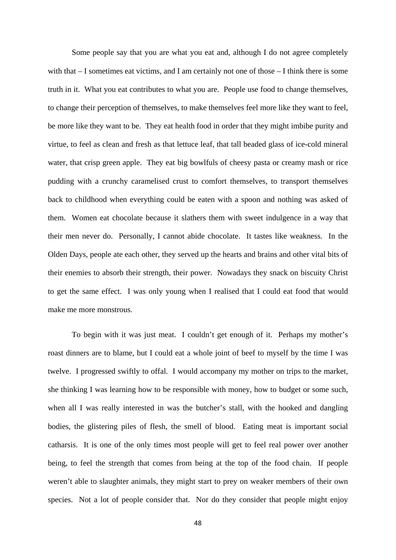Some people say that you are what you eat and, although I do not agree completely with that – I sometimes eat victims, and I am certainly not one of those – I think there is some truth in it. What you eat contributes to what you are. People use food to change themselves, to change their perception of themselves, to make themselves feel more like they want to feel, be more like they want to be. They eat health food in order that they might imbibe purity and virtue, to feel as clean and fresh as that lettuce leaf, that tall beaded glass of ice-cold mineral water, that crisp green apple. They eat big bowlfuls of cheesy pasta or creamy mash or rice pudding with a crunchy caramelised crust to comfort themselves, to transport themselves back to childhood when everything could be eaten with a spoon and nothing was asked of them. Women eat chocolate because it slathers them with sweet indulgence in a way that their men never do. Personally, I cannot abide chocolate. It tastes like weakness. In the Olden Days, people ate each other, they served up the hearts and brains and other vital bits of their enemies to absorb their strength, their power. Nowadays they snack on biscuity Christ to get the same effect. I was only young when I realised that I could eat food that would make me more monstrous.

To begin with it was just meat. I couldn't get enough of it. Perhaps my mother's roast dinners are to blame, but I could eat a whole joint of beef to myself by the time I was twelve. I progressed swiftly to offal. I would accompany my mother on trips to the market, she thinking I was learning how to be responsible with money, how to budget or some such, when all I was really interested in was the butcher's stall, with the hooked and dangling bodies, the glistering piles of flesh, the smell of blood. Eating meat is important social catharsis. It is one of the only times most people will get to feel real power over another being, to feel the strength that comes from being at the top of the food chain. If people weren't able to slaughter animals, they might start to prey on weaker members of their own species. Not a lot of people consider that. Nor do they consider that people might enjoy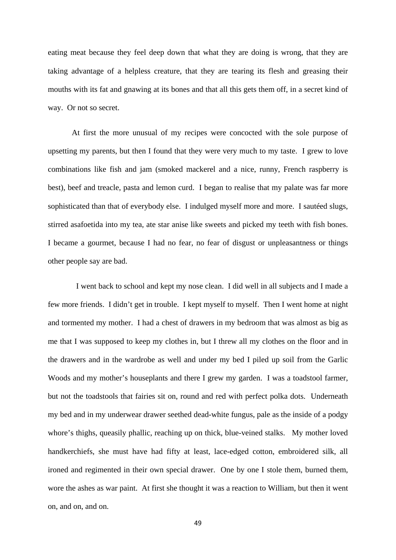eating meat because they feel deep down that what they are doing is wrong, that they are taking advantage of a helpless creature, that they are tearing its flesh and greasing their mouths with its fat and gnawing at its bones and that all this gets them off, in a secret kind of way. Or not so secret.

At first the more unusual of my recipes were concocted with the sole purpose of upsetting my parents, but then I found that they were very much to my taste. I grew to love combinations like fish and jam (smoked mackerel and a nice, runny, French raspberry is best), beef and treacle, pasta and lemon curd. I began to realise that my palate was far more sophisticated than that of everybody else. I indulged myself more and more. I sautéed slugs, stirred asafoetida into my tea, ate star anise like sweets and picked my teeth with fish bones. I became a gourmet, because I had no fear, no fear of disgust or unpleasantness or things other people say are bad.

I went back to school and kept my nose clean. I did well in all subjects and I made a few more friends. I didn't get in trouble. I kept myself to myself. Then I went home at night and tormented my mother. I had a chest of drawers in my bedroom that was almost as big as me that I was supposed to keep my clothes in, but I threw all my clothes on the floor and in the drawers and in the wardrobe as well and under my bed I piled up soil from the Garlic Woods and my mother's houseplants and there I grew my garden. I was a toadstool farmer, but not the toadstools that fairies sit on, round and red with perfect polka dots. Underneath my bed and in my underwear drawer seethed dead-white fungus, pale as the inside of a podgy whore's thighs, queasily phallic, reaching up on thick, blue-veined stalks. My mother loved handkerchiefs, she must have had fifty at least, lace-edged cotton, embroidered silk, all ironed and regimented in their own special drawer. One by one I stole them, burned them, wore the ashes as war paint. At first she thought it was a reaction to William, but then it went on, and on, and on.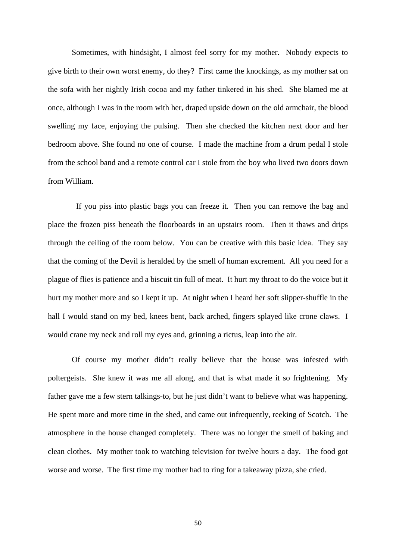Sometimes, with hindsight, I almost feel sorry for my mother. Nobody expects to give birth to their own worst enemy, do they? First came the knockings, as my mother sat on the sofa with her nightly Irish cocoa and my father tinkered in his shed. She blamed me at once, although I was in the room with her, draped upside down on the old armchair, the blood swelling my face, enjoying the pulsing. Then she checked the kitchen next door and her bedroom above. She found no one of course. I made the machine from a drum pedal I stole from the school band and a remote control car I stole from the boy who lived two doors down from William.

If you piss into plastic bags you can freeze it. Then you can remove the bag and place the frozen piss beneath the floorboards in an upstairs room. Then it thaws and drips through the ceiling of the room below. You can be creative with this basic idea. They say that the coming of the Devil is heralded by the smell of human excrement. All you need for a plague of flies is patience and a biscuit tin full of meat. It hurt my throat to do the voice but it hurt my mother more and so I kept it up. At night when I heard her soft slipper-shuffle in the hall I would stand on my bed, knees bent, back arched, fingers splayed like crone claws. I would crane my neck and roll my eyes and, grinning a rictus, leap into the air.

Of course my mother didn't really believe that the house was infested with poltergeists. She knew it was me all along, and that is what made it so frightening. My father gave me a few stern talkings-to, but he just didn't want to believe what was happening. He spent more and more time in the shed, and came out infrequently, reeking of Scotch. The atmosphere in the house changed completely. There was no longer the smell of baking and clean clothes. My mother took to watching television for twelve hours a day. The food got worse and worse. The first time my mother had to ring for a takeaway pizza, she cried.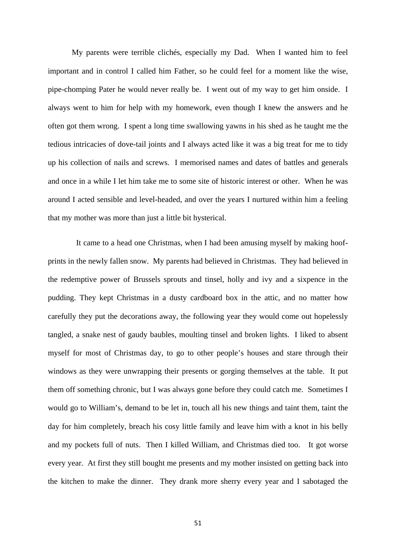My parents were terrible clichés, especially my Dad. When I wanted him to feel important and in control I called him Father, so he could feel for a moment like the wise, pipe-chomping Pater he would never really be. I went out of my way to get him onside. I always went to him for help with my homework, even though I knew the answers and he often got them wrong. I spent a long time swallowing yawns in his shed as he taught me the tedious intricacies of dove-tail joints and I always acted like it was a big treat for me to tidy up his collection of nails and screws. I memorised names and dates of battles and generals and once in a while I let him take me to some site of historic interest or other. When he was around I acted sensible and level-headed, and over the years I nurtured within him a feeling that my mother was more than just a little bit hysterical.

It came to a head one Christmas, when I had been amusing myself by making hoofprints in the newly fallen snow. My parents had believed in Christmas. They had believed in the redemptive power of Brussels sprouts and tinsel, holly and ivy and a sixpence in the pudding. They kept Christmas in a dusty cardboard box in the attic, and no matter how carefully they put the decorations away, the following year they would come out hopelessly tangled, a snake nest of gaudy baubles, moulting tinsel and broken lights. I liked to absent myself for most of Christmas day, to go to other people's houses and stare through their windows as they were unwrapping their presents or gorging themselves at the table. It put them off something chronic, but I was always gone before they could catch me. Sometimes I would go to William's, demand to be let in, touch all his new things and taint them, taint the day for him completely, breach his cosy little family and leave him with a knot in his belly and my pockets full of nuts. Then I killed William, and Christmas died too. It got worse every year. At first they still bought me presents and my mother insisted on getting back into the kitchen to make the dinner. They drank more sherry every year and I sabotaged the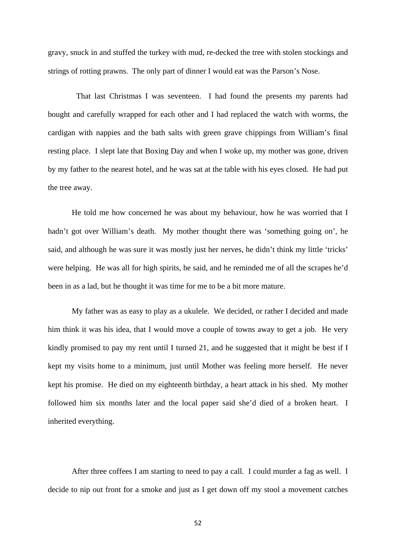gravy, snuck in and stuffed the turkey with mud, re-decked the tree with stolen stockings and strings of rotting prawns. The only part of dinner I would eat was the Parson's Nose.

That last Christmas I was seventeen. I had found the presents my parents had bought and carefully wrapped for each other and I had replaced the watch with worms, the cardigan with nappies and the bath salts with green grave chippings from William's final resting place. I slept late that Boxing Day and when I woke up, my mother was gone, driven by my father to the nearest hotel, and he was sat at the table with his eyes closed. He had put the tree away.

He told me how concerned he was about my behaviour, how he was worried that I hadn't got over William's death. My mother thought there was 'something going on', he said, and although he was sure it was mostly just her nerves, he didn't think my little 'tricks' were helping. He was all for high spirits, he said, and he reminded me of all the scrapes he'd been in as a lad, but he thought it was time for me to be a bit more mature.

My father was as easy to play as a ukulele. We decided, or rather I decided and made him think it was his idea, that I would move a couple of towns away to get a job. He very kindly promised to pay my rent until I turned 21, and he suggested that it might be best if I kept my visits home to a minimum, just until Mother was feeling more herself. He never kept his promise. He died on my eighteenth birthday, a heart attack in his shed. My mother followed him six months later and the local paper said she'd died of a broken heart. I inherited everything.

After three coffees I am starting to need to pay a call. I could murder a fag as well. I decide to nip out front for a smoke and just as I get down off my stool a movement catches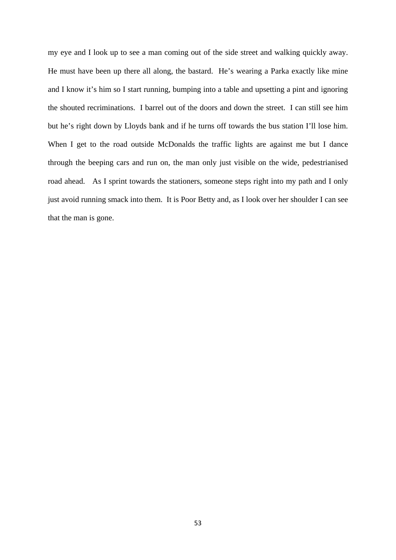my eye and I look up to see a man coming out of the side street and walking quickly away. He must have been up there all along, the bastard. He's wearing a Parka exactly like mine and I know it's him so I start running, bumping into a table and upsetting a pint and ignoring the shouted recriminations. I barrel out of the doors and down the street. I can still see him but he's right down by Lloyds bank and if he turns off towards the bus station I'll lose him. When I get to the road outside McDonalds the traffic lights are against me but I dance through the beeping cars and run on, the man only just visible on the wide, pedestrianised road ahead. As I sprint towards the stationers, someone steps right into my path and I only just avoid running smack into them. It is Poor Betty and, as I look over her shoulder I can see that the man is gone.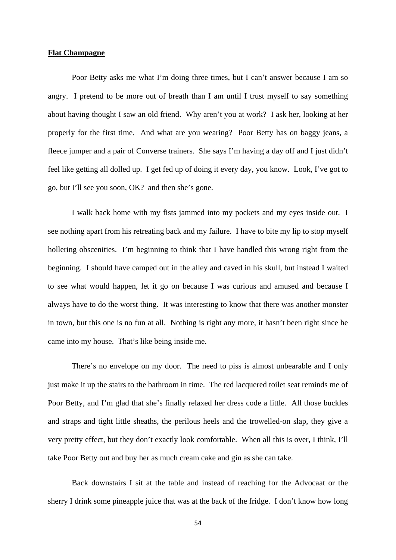#### **Flat Champagne**

Poor Betty asks me what I'm doing three times, but I can't answer because I am so angry. I pretend to be more out of breath than I am until I trust myself to say something about having thought I saw an old friend. Why aren't you at work? I ask her, looking at her properly for the first time. And what are you wearing? Poor Betty has on baggy jeans, a fleece jumper and a pair of Converse trainers. She says I'm having a day off and I just didn't feel like getting all dolled up. I get fed up of doing it every day, you know. Look, I've got to go, but I'll see you soon, OK? and then she's gone.

I walk back home with my fists jammed into my pockets and my eyes inside out. I see nothing apart from his retreating back and my failure. I have to bite my lip to stop myself hollering obscenities. I'm beginning to think that I have handled this wrong right from the beginning. I should have camped out in the alley and caved in his skull, but instead I waited to see what would happen, let it go on because I was curious and amused and because I always have to do the worst thing. It was interesting to know that there was another monster in town, but this one is no fun at all. Nothing is right any more, it hasn't been right since he came into my house. That's like being inside me.

 There's no envelope on my door. The need to piss is almost unbearable and I only just make it up the stairs to the bathroom in time. The red lacquered toilet seat reminds me of Poor Betty, and I'm glad that she's finally relaxed her dress code a little. All those buckles and straps and tight little sheaths, the perilous heels and the trowelled-on slap, they give a very pretty effect, but they don't exactly look comfortable. When all this is over, I think, I'll take Poor Betty out and buy her as much cream cake and gin as she can take.

 Back downstairs I sit at the table and instead of reaching for the Advocaat or the sherry I drink some pineapple juice that was at the back of the fridge. I don't know how long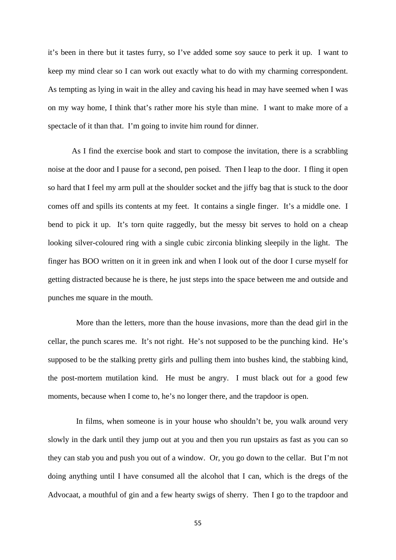it's been in there but it tastes furry, so I've added some soy sauce to perk it up. I want to keep my mind clear so I can work out exactly what to do with my charming correspondent. As tempting as lying in wait in the alley and caving his head in may have seemed when I was on my way home, I think that's rather more his style than mine. I want to make more of a spectacle of it than that. I'm going to invite him round for dinner.

As I find the exercise book and start to compose the invitation, there is a scrabbling noise at the door and I pause for a second, pen poised. Then I leap to the door. I fling it open so hard that I feel my arm pull at the shoulder socket and the jiffy bag that is stuck to the door comes off and spills its contents at my feet. It contains a single finger. It's a middle one. I bend to pick it up. It's torn quite raggedly, but the messy bit serves to hold on a cheap looking silver-coloured ring with a single cubic zirconia blinking sleepily in the light. The finger has BOO written on it in green ink and when I look out of the door I curse myself for getting distracted because he is there, he just steps into the space between me and outside and punches me square in the mouth.

More than the letters, more than the house invasions, more than the dead girl in the cellar, the punch scares me. It's not right. He's not supposed to be the punching kind. He's supposed to be the stalking pretty girls and pulling them into bushes kind, the stabbing kind, the post-mortem mutilation kind. He must be angry. I must black out for a good few moments, because when I come to, he's no longer there, and the trapdoor is open.

In films, when someone is in your house who shouldn't be, you walk around very slowly in the dark until they jump out at you and then you run upstairs as fast as you can so they can stab you and push you out of a window. Or, you go down to the cellar. But I'm not doing anything until I have consumed all the alcohol that I can, which is the dregs of the Advocaat, a mouthful of gin and a few hearty swigs of sherry. Then I go to the trapdoor and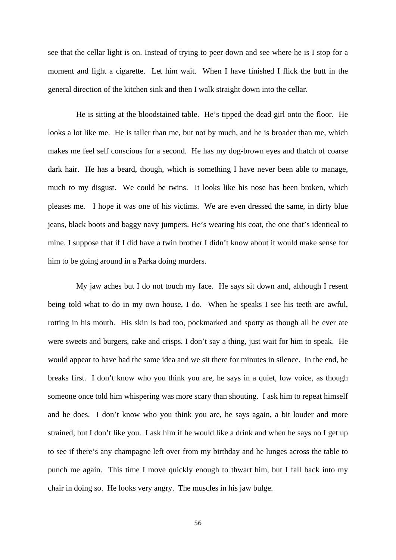see that the cellar light is on. Instead of trying to peer down and see where he is I stop for a moment and light a cigarette. Let him wait. When I have finished I flick the butt in the general direction of the kitchen sink and then I walk straight down into the cellar.

He is sitting at the bloodstained table. He's tipped the dead girl onto the floor. He looks a lot like me. He is taller than me, but not by much, and he is broader than me, which makes me feel self conscious for a second. He has my dog-brown eyes and thatch of coarse dark hair. He has a beard, though, which is something I have never been able to manage, much to my disgust. We could be twins. It looks like his nose has been broken, which pleases me. I hope it was one of his victims. We are even dressed the same, in dirty blue jeans, black boots and baggy navy jumpers. He's wearing his coat, the one that's identical to mine. I suppose that if I did have a twin brother I didn't know about it would make sense for him to be going around in a Parka doing murders.

My jaw aches but I do not touch my face. He says sit down and, although I resent being told what to do in my own house, I do. When he speaks I see his teeth are awful, rotting in his mouth. His skin is bad too, pockmarked and spotty as though all he ever ate were sweets and burgers, cake and crisps. I don't say a thing, just wait for him to speak. He would appear to have had the same idea and we sit there for minutes in silence. In the end, he breaks first. I don't know who you think you are, he says in a quiet, low voice, as though someone once told him whispering was more scary than shouting. I ask him to repeat himself and he does. I don't know who you think you are, he says again, a bit louder and more strained, but I don't like you. I ask him if he would like a drink and when he says no I get up to see if there's any champagne left over from my birthday and he lunges across the table to punch me again. This time I move quickly enough to thwart him, but I fall back into my chair in doing so. He looks very angry. The muscles in his jaw bulge.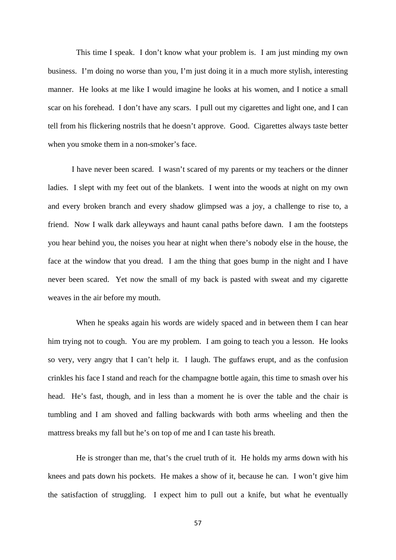This time I speak. I don't know what your problem is. I am just minding my own business. I'm doing no worse than you, I'm just doing it in a much more stylish, interesting manner. He looks at me like I would imagine he looks at his women, and I notice a small scar on his forehead. I don't have any scars. I pull out my cigarettes and light one, and I can tell from his flickering nostrils that he doesn't approve. Good. Cigarettes always taste better when you smoke them in a non-smoker's face.

I have never been scared. I wasn't scared of my parents or my teachers or the dinner ladies. I slept with my feet out of the blankets. I went into the woods at night on my own and every broken branch and every shadow glimpsed was a joy, a challenge to rise to, a friend. Now I walk dark alleyways and haunt canal paths before dawn. I am the footsteps you hear behind you, the noises you hear at night when there's nobody else in the house, the face at the window that you dread. I am the thing that goes bump in the night and I have never been scared. Yet now the small of my back is pasted with sweat and my cigarette weaves in the air before my mouth.

When he speaks again his words are widely spaced and in between them I can hear him trying not to cough. You are my problem. I am going to teach you a lesson. He looks so very, very angry that I can't help it. I laugh. The guffaws erupt, and as the confusion crinkles his face I stand and reach for the champagne bottle again, this time to smash over his head. He's fast, though, and in less than a moment he is over the table and the chair is tumbling and I am shoved and falling backwards with both arms wheeling and then the mattress breaks my fall but he's on top of me and I can taste his breath.

He is stronger than me, that's the cruel truth of it. He holds my arms down with his knees and pats down his pockets. He makes a show of it, because he can. I won't give him the satisfaction of struggling. I expect him to pull out a knife, but what he eventually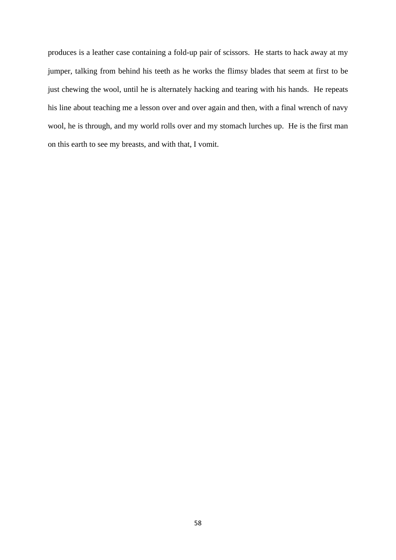produces is a leather case containing a fold-up pair of scissors. He starts to hack away at my jumper, talking from behind his teeth as he works the flimsy blades that seem at first to be just chewing the wool, until he is alternately hacking and tearing with his hands. He repeats his line about teaching me a lesson over and over again and then, with a final wrench of navy wool, he is through, and my world rolls over and my stomach lurches up. He is the first man on this earth to see my breasts, and with that, I vomit.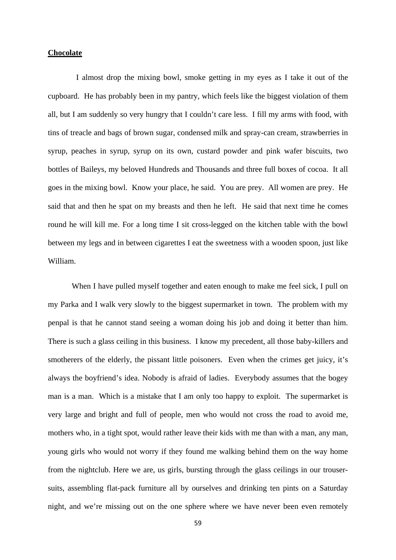## **Chocolate**

I almost drop the mixing bowl, smoke getting in my eyes as I take it out of the cupboard. He has probably been in my pantry, which feels like the biggest violation of them all, but I am suddenly so very hungry that I couldn't care less. I fill my arms with food, with tins of treacle and bags of brown sugar, condensed milk and spray-can cream, strawberries in syrup, peaches in syrup, syrup on its own, custard powder and pink wafer biscuits, two bottles of Baileys, my beloved Hundreds and Thousands and three full boxes of cocoa. It all goes in the mixing bowl. Know your place, he said. You are prey. All women are prey. He said that and then he spat on my breasts and then he left. He said that next time he comes round he will kill me. For a long time I sit cross-legged on the kitchen table with the bowl between my legs and in between cigarettes I eat the sweetness with a wooden spoon, just like William.

When I have pulled myself together and eaten enough to make me feel sick, I pull on my Parka and I walk very slowly to the biggest supermarket in town. The problem with my penpal is that he cannot stand seeing a woman doing his job and doing it better than him. There is such a glass ceiling in this business. I know my precedent, all those baby-killers and smotherers of the elderly, the pissant little poisoners. Even when the crimes get juicy, it's always the boyfriend's idea. Nobody is afraid of ladies. Everybody assumes that the bogey man is a man. Which is a mistake that I am only too happy to exploit. The supermarket is very large and bright and full of people, men who would not cross the road to avoid me, mothers who, in a tight spot, would rather leave their kids with me than with a man, any man, young girls who would not worry if they found me walking behind them on the way home from the nightclub. Here we are, us girls, bursting through the glass ceilings in our trousersuits, assembling flat-pack furniture all by ourselves and drinking ten pints on a Saturday night, and we're missing out on the one sphere where we have never been even remotely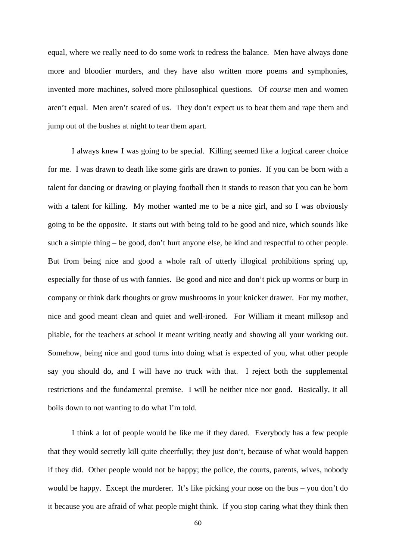equal, where we really need to do some work to redress the balance. Men have always done more and bloodier murders, and they have also written more poems and symphonies, invented more machines, solved more philosophical questions. Of *course* men and women aren't equal. Men aren't scared of us. They don't expect us to beat them and rape them and jump out of the bushes at night to tear them apart.

I always knew I was going to be special. Killing seemed like a logical career choice for me. I was drawn to death like some girls are drawn to ponies. If you can be born with a talent for dancing or drawing or playing football then it stands to reason that you can be born with a talent for killing. My mother wanted me to be a nice girl, and so I was obviously going to be the opposite. It starts out with being told to be good and nice, which sounds like such a simple thing – be good, don't hurt anyone else, be kind and respectful to other people. But from being nice and good a whole raft of utterly illogical prohibitions spring up, especially for those of us with fannies. Be good and nice and don't pick up worms or burp in company or think dark thoughts or grow mushrooms in your knicker drawer. For my mother, nice and good meant clean and quiet and well-ironed. For William it meant milksop and pliable, for the teachers at school it meant writing neatly and showing all your working out. Somehow, being nice and good turns into doing what is expected of you, what other people say you should do, and I will have no truck with that. I reject both the supplemental restrictions and the fundamental premise. I will be neither nice nor good. Basically, it all boils down to not wanting to do what I'm told.

I think a lot of people would be like me if they dared. Everybody has a few people that they would secretly kill quite cheerfully; they just don't, because of what would happen if they did. Other people would not be happy; the police, the courts, parents, wives, nobody would be happy. Except the murderer. It's like picking your nose on the bus – you don't do it because you are afraid of what people might think. If you stop caring what they think then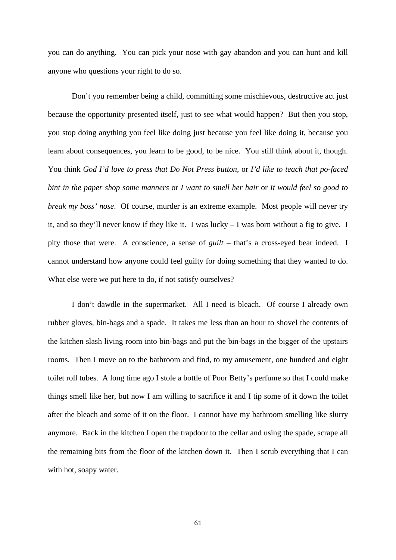you can do anything. You can pick your nose with gay abandon and you can hunt and kill anyone who questions your right to do so.

Don't you remember being a child, committing some mischievous, destructive act just because the opportunity presented itself, just to see what would happen? But then you stop, you stop doing anything you feel like doing just because you feel like doing it, because you learn about consequences, you learn to be good, to be nice. You still think about it, though. You think *God I'd love to press that Do Not Press button,* or *I'd like to teach that po-faced bint in the paper shop some manners* or *I want to smell her hair* or *It would feel so good to break my boss' nose*. Of course, murder is an extreme example. Most people will never try it, and so they'll never know if they like it. I was lucky – I was born without a fig to give. I pity those that were. A conscience, a sense of *guilt* – that's a cross-eyed bear indeed. I cannot understand how anyone could feel guilty for doing something that they wanted to do. What else were we put here to do, if not satisfy ourselves?

I don't dawdle in the supermarket. All I need is bleach. Of course I already own rubber gloves, bin-bags and a spade. It takes me less than an hour to shovel the contents of the kitchen slash living room into bin-bags and put the bin-bags in the bigger of the upstairs rooms. Then I move on to the bathroom and find, to my amusement, one hundred and eight toilet roll tubes. A long time ago I stole a bottle of Poor Betty's perfume so that I could make things smell like her, but now I am willing to sacrifice it and I tip some of it down the toilet after the bleach and some of it on the floor. I cannot have my bathroom smelling like slurry anymore. Back in the kitchen I open the trapdoor to the cellar and using the spade, scrape all the remaining bits from the floor of the kitchen down it. Then I scrub everything that I can with hot, soapy water.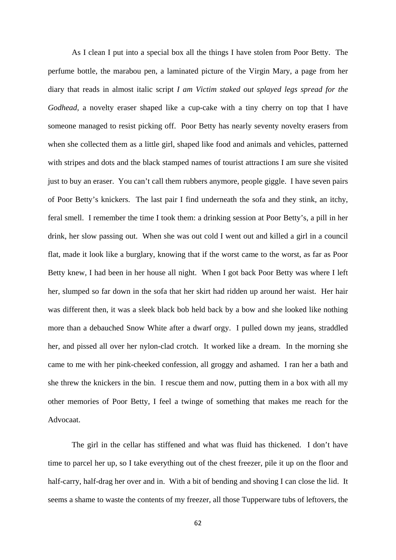As I clean I put into a special box all the things I have stolen from Poor Betty. The perfume bottle, the marabou pen, a laminated picture of the Virgin Mary, a page from her diary that reads in almost italic script *I am Victim staked out splayed legs spread for the Godhead,* a novelty eraser shaped like a cup-cake with a tiny cherry on top that I have someone managed to resist picking off. Poor Betty has nearly seventy novelty erasers from when she collected them as a little girl, shaped like food and animals and vehicles, patterned with stripes and dots and the black stamped names of tourist attractions I am sure she visited just to buy an eraser. You can't call them rubbers anymore, people giggle. I have seven pairs of Poor Betty's knickers. The last pair I find underneath the sofa and they stink, an itchy, feral smell. I remember the time I took them: a drinking session at Poor Betty's, a pill in her drink, her slow passing out. When she was out cold I went out and killed a girl in a council flat, made it look like a burglary, knowing that if the worst came to the worst, as far as Poor Betty knew, I had been in her house all night. When I got back Poor Betty was where I left her, slumped so far down in the sofa that her skirt had ridden up around her waist. Her hair was different then, it was a sleek black bob held back by a bow and she looked like nothing more than a debauched Snow White after a dwarf orgy. I pulled down my jeans, straddled her, and pissed all over her nylon-clad crotch. It worked like a dream. In the morning she came to me with her pink-cheeked confession, all groggy and ashamed. I ran her a bath and she threw the knickers in the bin. I rescue them and now, putting them in a box with all my other memories of Poor Betty, I feel a twinge of something that makes me reach for the Advocaat.

The girl in the cellar has stiffened and what was fluid has thickened. I don't have time to parcel her up, so I take everything out of the chest freezer, pile it up on the floor and half-carry, half-drag her over and in. With a bit of bending and shoving I can close the lid. It seems a shame to waste the contents of my freezer, all those Tupperware tubs of leftovers, the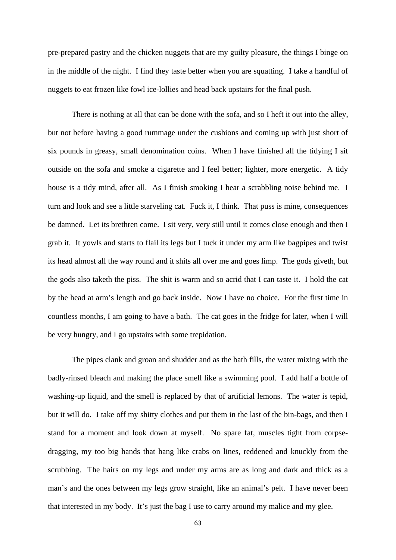pre-prepared pastry and the chicken nuggets that are my guilty pleasure, the things I binge on in the middle of the night. I find they taste better when you are squatting. I take a handful of nuggets to eat frozen like fowl ice-lollies and head back upstairs for the final push.

There is nothing at all that can be done with the sofa, and so I heft it out into the alley, but not before having a good rummage under the cushions and coming up with just short of six pounds in greasy, small denomination coins. When I have finished all the tidying I sit outside on the sofa and smoke a cigarette and I feel better; lighter, more energetic. A tidy house is a tidy mind, after all. As I finish smoking I hear a scrabbling noise behind me. I turn and look and see a little starveling cat. Fuck it, I think. That puss is mine, consequences be damned. Let its brethren come. I sit very, very still until it comes close enough and then I grab it. It yowls and starts to flail its legs but I tuck it under my arm like bagpipes and twist its head almost all the way round and it shits all over me and goes limp. The gods giveth, but the gods also taketh the piss. The shit is warm and so acrid that I can taste it. I hold the cat by the head at arm's length and go back inside. Now I have no choice. For the first time in countless months, I am going to have a bath. The cat goes in the fridge for later, when I will be very hungry, and I go upstairs with some trepidation.

The pipes clank and groan and shudder and as the bath fills, the water mixing with the badly-rinsed bleach and making the place smell like a swimming pool. I add half a bottle of washing-up liquid, and the smell is replaced by that of artificial lemons. The water is tepid, but it will do. I take off my shitty clothes and put them in the last of the bin-bags, and then I stand for a moment and look down at myself. No spare fat, muscles tight from corpsedragging, my too big hands that hang like crabs on lines, reddened and knuckly from the scrubbing. The hairs on my legs and under my arms are as long and dark and thick as a man's and the ones between my legs grow straight, like an animal's pelt. I have never been that interested in my body. It's just the bag I use to carry around my malice and my glee.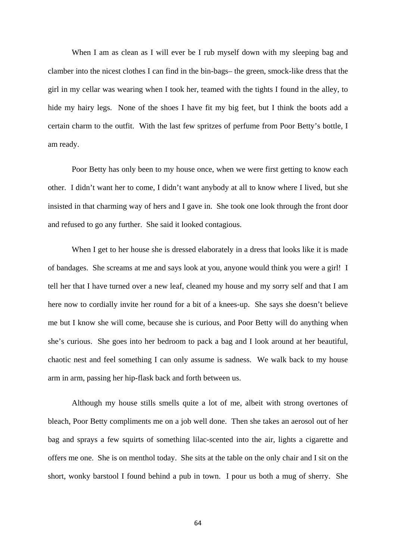When I am as clean as I will ever be I rub myself down with my sleeping bag and clamber into the nicest clothes I can find in the bin-bags– the green, smock-like dress that the girl in my cellar was wearing when I took her, teamed with the tights I found in the alley, to hide my hairy legs. None of the shoes I have fit my big feet, but I think the boots add a certain charm to the outfit. With the last few spritzes of perfume from Poor Betty's bottle, I am ready.

Poor Betty has only been to my house once, when we were first getting to know each other. I didn't want her to come, I didn't want anybody at all to know where I lived, but she insisted in that charming way of hers and I gave in. She took one look through the front door and refused to go any further. She said it looked contagious.

When I get to her house she is dressed elaborately in a dress that looks like it is made of bandages. She screams at me and says look at you, anyone would think you were a girl! I tell her that I have turned over a new leaf, cleaned my house and my sorry self and that I am here now to cordially invite her round for a bit of a knees-up. She says she doesn't believe me but I know she will come, because she is curious, and Poor Betty will do anything when she's curious. She goes into her bedroom to pack a bag and I look around at her beautiful, chaotic nest and feel something I can only assume is sadness. We walk back to my house arm in arm, passing her hip-flask back and forth between us.

Although my house stills smells quite a lot of me, albeit with strong overtones of bleach, Poor Betty compliments me on a job well done. Then she takes an aerosol out of her bag and sprays a few squirts of something lilac-scented into the air, lights a cigarette and offers me one. She is on menthol today. She sits at the table on the only chair and I sit on the short, wonky barstool I found behind a pub in town. I pour us both a mug of sherry. She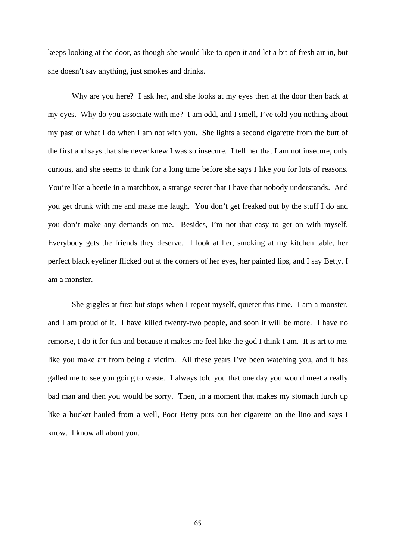keeps looking at the door, as though she would like to open it and let a bit of fresh air in, but she doesn't say anything, just smokes and drinks.

Why are you here? I ask her, and she looks at my eyes then at the door then back at my eyes. Why do you associate with me? I am odd, and I smell, I've told you nothing about my past or what I do when I am not with you. She lights a second cigarette from the butt of the first and says that she never knew I was so insecure. I tell her that I am not insecure, only curious, and she seems to think for a long time before she says I like you for lots of reasons. You're like a beetle in a matchbox, a strange secret that I have that nobody understands. And you get drunk with me and make me laugh. You don't get freaked out by the stuff I do and you don't make any demands on me. Besides, I'm not that easy to get on with myself. Everybody gets the friends they deserve. I look at her, smoking at my kitchen table, her perfect black eyeliner flicked out at the corners of her eyes, her painted lips, and I say Betty, I am a monster.

She giggles at first but stops when I repeat myself, quieter this time. I am a monster, and I am proud of it. I have killed twenty-two people, and soon it will be more. I have no remorse, I do it for fun and because it makes me feel like the god I think I am. It is art to me, like you make art from being a victim. All these years I've been watching you, and it has galled me to see you going to waste. I always told you that one day you would meet a really bad man and then you would be sorry. Then, in a moment that makes my stomach lurch up like a bucket hauled from a well, Poor Betty puts out her cigarette on the lino and says I know. I know all about you.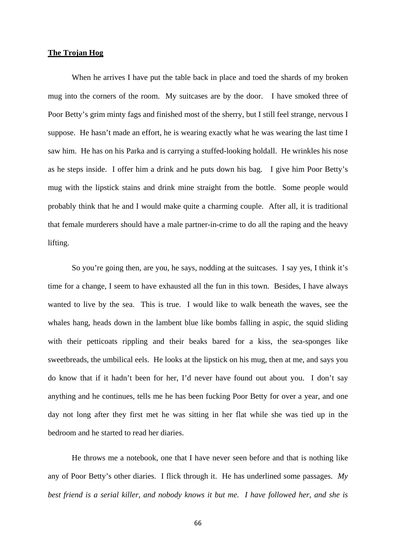## **The Trojan Hog**

When he arrives I have put the table back in place and toed the shards of my broken mug into the corners of the room. My suitcases are by the door. I have smoked three of Poor Betty's grim minty fags and finished most of the sherry, but I still feel strange, nervous I suppose. He hasn't made an effort, he is wearing exactly what he was wearing the last time I saw him. He has on his Parka and is carrying a stuffed-looking holdall. He wrinkles his nose as he steps inside. I offer him a drink and he puts down his bag. I give him Poor Betty's mug with the lipstick stains and drink mine straight from the bottle. Some people would probably think that he and I would make quite a charming couple. After all, it is traditional that female murderers should have a male partner-in-crime to do all the raping and the heavy lifting.

So you're going then, are you, he says, nodding at the suitcases. I say yes, I think it's time for a change, I seem to have exhausted all the fun in this town. Besides, I have always wanted to live by the sea. This is true. I would like to walk beneath the waves, see the whales hang, heads down in the lambent blue like bombs falling in aspic, the squid sliding with their petticoats rippling and their beaks bared for a kiss, the sea-sponges like sweetbreads, the umbilical eels. He looks at the lipstick on his mug, then at me, and says you do know that if it hadn't been for her, I'd never have found out about you. I don't say anything and he continues, tells me he has been fucking Poor Betty for over a year, and one day not long after they first met he was sitting in her flat while she was tied up in the bedroom and he started to read her diaries.

He throws me a notebook, one that I have never seen before and that is nothing like any of Poor Betty's other diaries. I flick through it. He has underlined some passages. *My best friend is a serial killer, and nobody knows it but me. I have followed her, and she is*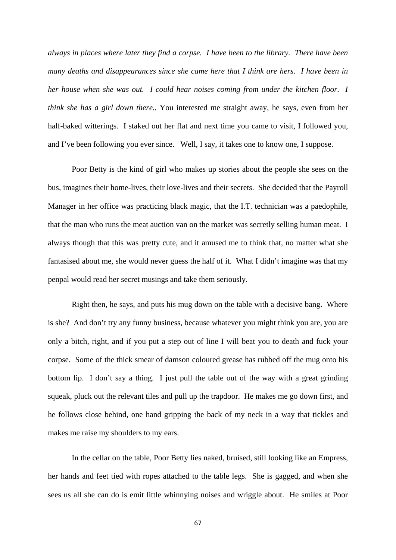*always in places where later they find a corpse. I have been to the library. There have been many deaths and disappearances since she came here that I think are hers. I have been in her house when she was out. I could hear noises coming from under the kitchen floor. I think she has a girl down there..* You interested me straight away, he says, even from her half-baked witterings. I staked out her flat and next time you came to visit, I followed you, and I've been following you ever since. Well, I say, it takes one to know one, I suppose.

Poor Betty is the kind of girl who makes up stories about the people she sees on the bus, imagines their home-lives, their love-lives and their secrets. She decided that the Payroll Manager in her office was practicing black magic, that the I.T. technician was a paedophile, that the man who runs the meat auction van on the market was secretly selling human meat. I always though that this was pretty cute, and it amused me to think that, no matter what she fantasised about me, she would never guess the half of it. What I didn't imagine was that my penpal would read her secret musings and take them seriously.

Right then, he says, and puts his mug down on the table with a decisive bang. Where is she? And don't try any funny business, because whatever you might think you are, you are only a bitch, right, and if you put a step out of line I will beat you to death and fuck your corpse. Some of the thick smear of damson coloured grease has rubbed off the mug onto his bottom lip. I don't say a thing. I just pull the table out of the way with a great grinding squeak, pluck out the relevant tiles and pull up the trapdoor. He makes me go down first, and he follows close behind, one hand gripping the back of my neck in a way that tickles and makes me raise my shoulders to my ears.

In the cellar on the table, Poor Betty lies naked, bruised, still looking like an Empress, her hands and feet tied with ropes attached to the table legs. She is gagged, and when she sees us all she can do is emit little whinnying noises and wriggle about. He smiles at Poor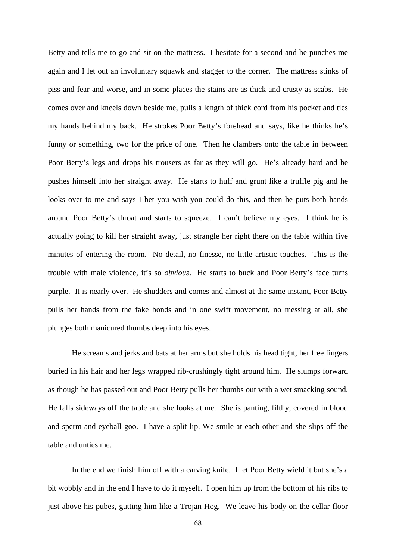Betty and tells me to go and sit on the mattress. I hesitate for a second and he punches me again and I let out an involuntary squawk and stagger to the corner. The mattress stinks of piss and fear and worse, and in some places the stains are as thick and crusty as scabs. He comes over and kneels down beside me, pulls a length of thick cord from his pocket and ties my hands behind my back. He strokes Poor Betty's forehead and says, like he thinks he's funny or something, two for the price of one. Then he clambers onto the table in between Poor Betty's legs and drops his trousers as far as they will go. He's already hard and he pushes himself into her straight away. He starts to huff and grunt like a truffle pig and he looks over to me and says I bet you wish you could do this, and then he puts both hands around Poor Betty's throat and starts to squeeze. I can't believe my eyes. I think he is actually going to kill her straight away, just strangle her right there on the table within five minutes of entering the room. No detail, no finesse, no little artistic touches. This is the trouble with male violence, it's so *obvious*. He starts to buck and Poor Betty's face turns purple. It is nearly over. He shudders and comes and almost at the same instant, Poor Betty pulls her hands from the fake bonds and in one swift movement, no messing at all, she plunges both manicured thumbs deep into his eyes.

He screams and jerks and bats at her arms but she holds his head tight, her free fingers buried in his hair and her legs wrapped rib-crushingly tight around him. He slumps forward as though he has passed out and Poor Betty pulls her thumbs out with a wet smacking sound. He falls sideways off the table and she looks at me. She is panting, filthy, covered in blood and sperm and eyeball goo. I have a split lip. We smile at each other and she slips off the table and unties me.

In the end we finish him off with a carving knife. I let Poor Betty wield it but she's a bit wobbly and in the end I have to do it myself. I open him up from the bottom of his ribs to just above his pubes, gutting him like a Trojan Hog. We leave his body on the cellar floor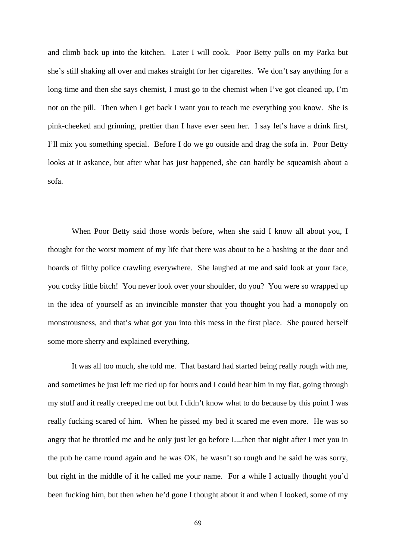and climb back up into the kitchen. Later I will cook. Poor Betty pulls on my Parka but she's still shaking all over and makes straight for her cigarettes. We don't say anything for a long time and then she says chemist, I must go to the chemist when I've got cleaned up, I'm not on the pill. Then when I get back I want you to teach me everything you know. She is pink-cheeked and grinning, prettier than I have ever seen her. I say let's have a drink first, I'll mix you something special. Before I do we go outside and drag the sofa in. Poor Betty looks at it askance, but after what has just happened, she can hardly be squeamish about a sofa.

When Poor Betty said those words before, when she said I know all about you, I thought for the worst moment of my life that there was about to be a bashing at the door and hoards of filthy police crawling everywhere. She laughed at me and said look at your face, you cocky little bitch! You never look over your shoulder, do you? You were so wrapped up in the idea of yourself as an invincible monster that you thought you had a monopoly on monstrousness, and that's what got you into this mess in the first place. She poured herself some more sherry and explained everything.

It was all too much, she told me. That bastard had started being really rough with me, and sometimes he just left me tied up for hours and I could hear him in my flat, going through my stuff and it really creeped me out but I didn't know what to do because by this point I was really fucking scared of him. When he pissed my bed it scared me even more. He was so angry that he throttled me and he only just let go before I....then that night after I met you in the pub he came round again and he was OK, he wasn't so rough and he said he was sorry, but right in the middle of it he called me your name. For a while I actually thought you'd been fucking him, but then when he'd gone I thought about it and when I looked, some of my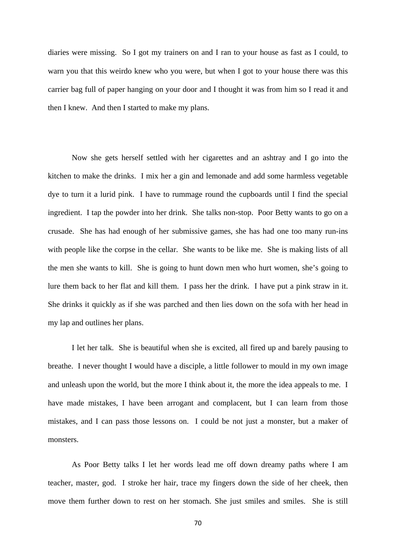diaries were missing. So I got my trainers on and I ran to your house as fast as I could, to warn you that this weirdo knew who you were, but when I got to your house there was this carrier bag full of paper hanging on your door and I thought it was from him so I read it and then I knew. And then I started to make my plans.

Now she gets herself settled with her cigarettes and an ashtray and I go into the kitchen to make the drinks. I mix her a gin and lemonade and add some harmless vegetable dye to turn it a lurid pink. I have to rummage round the cupboards until I find the special ingredient. I tap the powder into her drink. She talks non-stop. Poor Betty wants to go on a crusade. She has had enough of her submissive games, she has had one too many run-ins with people like the corpse in the cellar. She wants to be like me. She is making lists of all the men she wants to kill. She is going to hunt down men who hurt women, she's going to lure them back to her flat and kill them. I pass her the drink. I have put a pink straw in it. She drinks it quickly as if she was parched and then lies down on the sofa with her head in my lap and outlines her plans.

I let her talk. She is beautiful when she is excited, all fired up and barely pausing to breathe. I never thought I would have a disciple, a little follower to mould in my own image and unleash upon the world, but the more I think about it, the more the idea appeals to me. I have made mistakes, I have been arrogant and complacent, but I can learn from those mistakes, and I can pass those lessons on. I could be not just a monster, but a maker of monsters.

As Poor Betty talks I let her words lead me off down dreamy paths where I am teacher, master, god. I stroke her hair, trace my fingers down the side of her cheek, then move them further down to rest on her stomach. She just smiles and smiles. She is still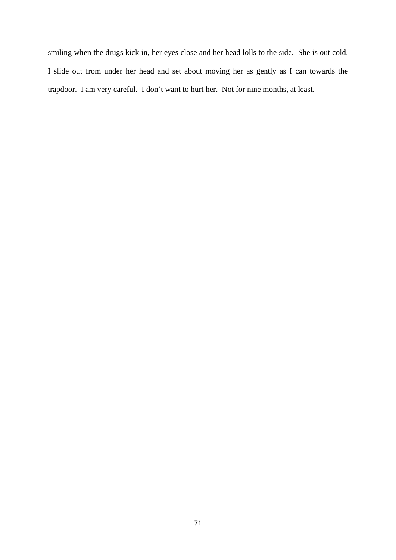smiling when the drugs kick in, her eyes close and her head lolls to the side. She is out cold. I slide out from under her head and set about moving her as gently as I can towards the trapdoor. I am very careful. I don't want to hurt her. Not for nine months, at least.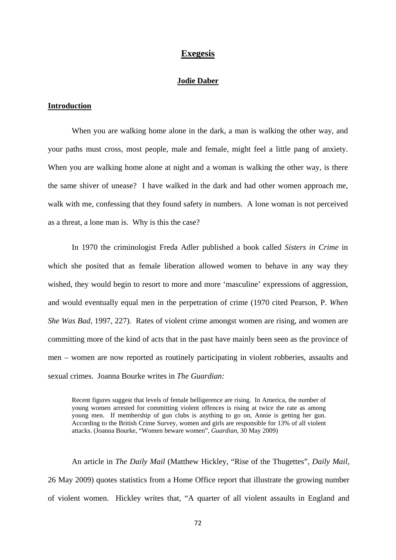# **Exegesis**

# **Jodie Daber**

### **Introduction**

When you are walking home alone in the dark, a man is walking the other way, and your paths must cross, most people, male and female, might feel a little pang of anxiety. When you are walking home alone at night and a woman is walking the other way, is there the same shiver of unease? I have walked in the dark and had other women approach me, walk with me, confessing that they found safety in numbers. A lone woman is not perceived as a threat, a lone man is. Why is this the case?

In 1970 the criminologist Freda Adler published a book called *Sisters in Crime* in which she posited that as female liberation allowed women to behave in any way they wished, they would begin to resort to more and more 'masculine' expressions of aggression, and would eventually equal men in the perpetration of crime (1970 cited Pearson, P. *When She Was Bad,* 1997, 227). Rates of violent crime amongst women are rising, and women are committing more of the kind of acts that in the past have mainly been seen as the province of men – women are now reported as routinely participating in violent robberies, assaults and sexual crimes. Joanna Bourke writes in *The Guardian:*

Recent figures suggest that levels of female belligerence are rising. In America, the number of young women arrested for committing violent offences is rising at twice the rate as among young men. If membership of gun clubs is anything to go on, Annie is getting her gun. According to the British Crime Survey, women and girls are responsible for 13% of all violent attacks. (Joanna Bourke, "Women beware women", *Guardian*, 30 May 2009)

An article in *The Daily Mail* (Matthew Hickley, "Rise of the Thugettes", *Daily Mail*, 26 May 2009) quotes statistics from a Home Office report that illustrate the growing number of violent women. Hickley writes that, "A quarter of all violent assaults in England and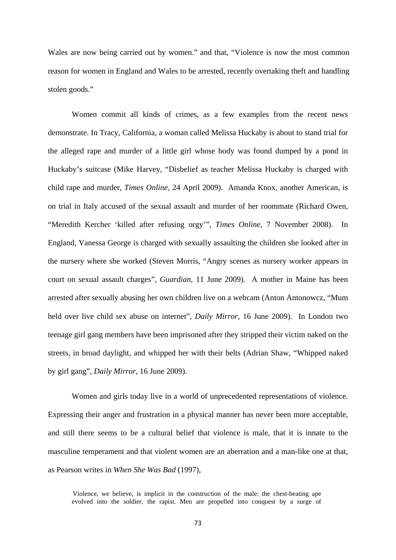Wales are now being carried out by women." and that, "Violence is now the most common reason for women in England and Wales to be arrested, recently overtaking theft and handling stolen goods."

Women commit all kinds of crimes, as a few examples from the recent news demonstrate. In Tracy, California, a woman called Melissa Huckaby is about to stand trial for the alleged rape and murder of a little girl whose body was found dumped by a pond in Huckaby's suitcase (Mike Harvey, "Disbelief as teacher Melissa Huckaby is charged with child rape and murder, *Times Online*, 24 April 2009). Amanda Knox, another American, is on trial in Italy accused of the sexual assault and murder of her roommate (Richard Owen, "Meredith Kercher 'killed after refusing orgy'", *Times Online*, 7 November 2008). In England, Vanessa George is charged with sexually assaulting the children she looked after in the nursery where she worked (Steven Morris, "Angry scenes as nursery worker appears in court on sexual assault charges", *Guardian*, 11 June 2009). A mother in Maine has been arrested after sexually abusing her own children live on a webcam (Anton Antonowcz, "Mum held over live child sex abuse on internet", *Daily Mirror*, 16 June 2009). In London two teenage girl gang members have been imprisoned after they stripped their victim naked on the streets, in broad daylight, and whipped her with their belts (Adrian Shaw, "Whipped naked by girl gang", *Daily Mirror*, 16 June 2009).

Women and girls today live in a world of unprecedented representations of violence. Expressing their anger and frustration in a physical manner has never been more acceptable, and still there seems to be a cultural belief that violence is male, that it is innate to the masculine temperament and that violent women are an aberration and a man-like one at that, as Pearson writes in *When She Was Bad* (1997),

Violence, we believe, is implicit in the construction of the male: the chest-beating ape evolved into the soldier, the rapist. Men are propelled into conquest by a surge of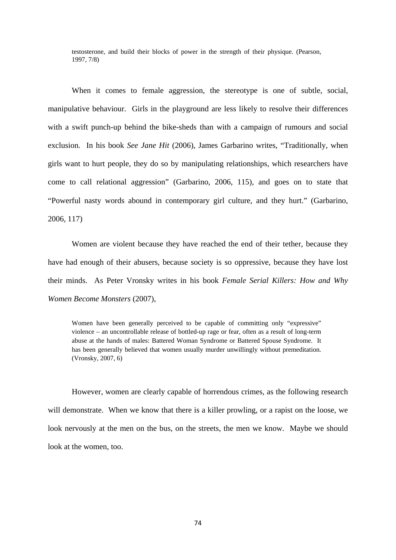testosterone, and build their blocks of power in the strength of their physique. (Pearson, 1997, 7/8)

When it comes to female aggression, the stereotype is one of subtle, social, manipulative behaviour. Girls in the playground are less likely to resolve their differences with a swift punch-up behind the bike-sheds than with a campaign of rumours and social exclusion. In his book *See Jane Hit* (2006), James Garbarino writes, "Traditionally, when girls want to hurt people, they do so by manipulating relationships, which researchers have come to call relational aggression" (Garbarino, 2006, 115), and goes on to state that "Powerful nasty words abound in contemporary girl culture, and they hurt." (Garbarino, 2006, 117)

Women are violent because they have reached the end of their tether, because they have had enough of their abusers, because society is so oppressive, because they have lost their minds. As Peter Vronsky writes in his book *Female Serial Killers: How and Why Women Become Monsters* (2007),

Women have been generally perceived to be capable of committing only "expressive" violence – an uncontrollable release of bottled-up rage or fear, often as a result of long-term abuse at the hands of males: Battered Woman Syndrome or Battered Spouse Syndrome. It has been generally believed that women usually murder unwillingly without premeditation. (Vronsky, 2007, 6)

However, women are clearly capable of horrendous crimes, as the following research will demonstrate. When we know that there is a killer prowling, or a rapist on the loose, we look nervously at the men on the bus, on the streets, the men we know. Maybe we should look at the women, too.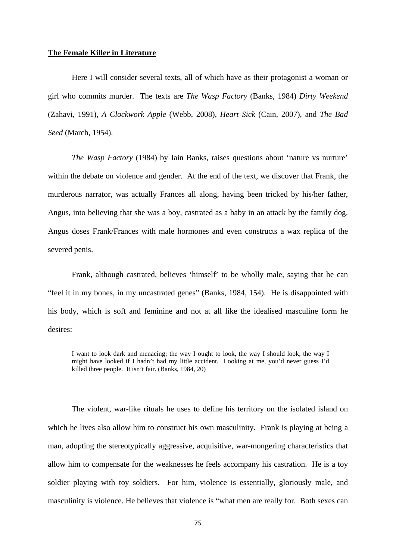# **The Female Killer in Literature**

Here I will consider several texts, all of which have as their protagonist a woman or girl who commits murder. The texts are *The Wasp Factory* (Banks, 1984) *Dirty Weekend* (Zahavi, 1991), *A Clockwork Apple* (Webb, 2008), *Heart Sick* (Cain, 2007), and *The Bad Seed* (March, 1954).

*The Wasp Factory* (1984) by Iain Banks, raises questions about 'nature vs nurture' within the debate on violence and gender. At the end of the text, we discover that Frank, the murderous narrator, was actually Frances all along, having been tricked by his/her father, Angus, into believing that she was a boy, castrated as a baby in an attack by the family dog. Angus doses Frank/Frances with male hormones and even constructs a wax replica of the severed penis.

Frank, although castrated, believes 'himself' to be wholly male, saying that he can "feel it in my bones, in my uncastrated genes" (Banks, 1984, 154). He is disappointed with his body, which is soft and feminine and not at all like the idealised masculine form he desires:

I want to look dark and menacing; the way I ought to look, the way I should look, the way I might have looked if I hadn't had my little accident. Looking at me, you'd never guess I'd killed three people. It isn't fair. (Banks, 1984, 20)

The violent, war-like rituals he uses to define his territory on the isolated island on which he lives also allow him to construct his own masculinity. Frank is playing at being a man, adopting the stereotypically aggressive, acquisitive, war-mongering characteristics that allow him to compensate for the weaknesses he feels accompany his castration. He is a toy soldier playing with toy soldiers. For him, violence is essentially, gloriously male, and masculinity is violence. He believes that violence is "what men are really for. Both sexes can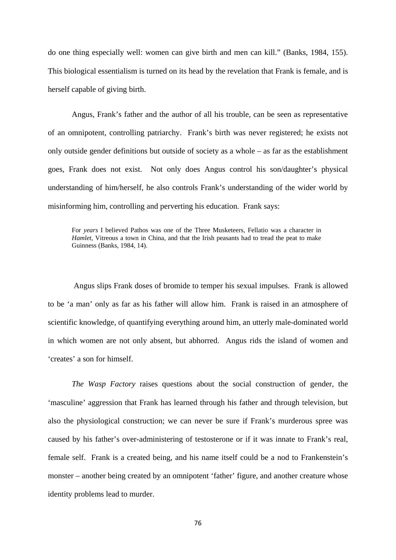do one thing especially well: women can give birth and men can kill." (Banks, 1984, 155). This biological essentialism is turned on its head by the revelation that Frank is female, and is herself capable of giving birth.

Angus, Frank's father and the author of all his trouble, can be seen as representative of an omnipotent, controlling patriarchy. Frank's birth was never registered; he exists not only outside gender definitions but outside of society as a whole – as far as the establishment goes, Frank does not exist. Not only does Angus control his son/daughter's physical understanding of him/herself, he also controls Frank's understanding of the wider world by misinforming him, controlling and perverting his education. Frank says:

For *years* I believed Pathos was one of the Three Musketeers, Fellatio was a character in *Hamlet*, Vitreous a town in China, and that the Irish peasants had to tread the peat to make Guinness (Banks, 1984, 14).

 Angus slips Frank doses of bromide to temper his sexual impulses. Frank is allowed to be 'a man' only as far as his father will allow him. Frank is raised in an atmosphere of scientific knowledge, of quantifying everything around him, an utterly male-dominated world in which women are not only absent, but abhorred. Angus rids the island of women and 'creates' a son for himself.

*The Wasp Factory* raises questions about the social construction of gender, the 'masculine' aggression that Frank has learned through his father and through television, but also the physiological construction; we can never be sure if Frank's murderous spree was caused by his father's over-administering of testosterone or if it was innate to Frank's real, female self. Frank is a created being, and his name itself could be a nod to Frankenstein's monster – another being created by an omnipotent 'father' figure, and another creature whose identity problems lead to murder.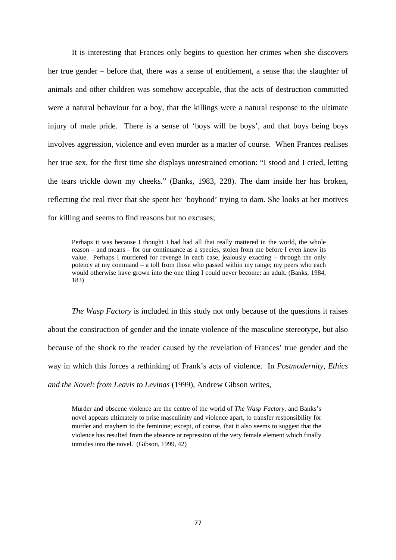It is interesting that Frances only begins to question her crimes when she discovers her true gender – before that, there was a sense of entitlement, a sense that the slaughter of animals and other children was somehow acceptable, that the acts of destruction committed were a natural behaviour for a boy, that the killings were a natural response to the ultimate injury of male pride. There is a sense of 'boys will be boys', and that boys being boys involves aggression, violence and even murder as a matter of course. When Frances realises her true sex, for the first time she displays unrestrained emotion: "I stood and I cried, letting the tears trickle down my cheeks." (Banks, 1983, 228). The dam inside her has broken, reflecting the real river that she spent her 'boyhood' trying to dam. She looks at her motives for killing and seems to find reasons but no excuses;

Perhaps it was because I thought I had had all that really mattered in the world, the whole reason – and means – for our continuance as a species, stolen from me before I even knew its value. Perhaps I murdered for revenge in each case, jealously exacting – through the only potency at my command – a toll from those who passed within my range; my peers who each would otherwise have grown into the one thing I could never become: an adult. (Banks, 1984, 183)

*The Wasp Factory* is included in this study not only because of the questions it raises about the construction of gender and the innate violence of the masculine stereotype, but also because of the shock to the reader caused by the revelation of Frances' true gender and the way in which this forces a rethinking of Frank's acts of violence. In *Postmodernity, Ethics and the Novel: from Leavis to Levinas* (1999), Andrew Gibson writes,

Murder and obscene violence are the centre of the world of *The Wasp Factory*, and Banks's novel appears ultimately to prise masculinity and violence apart, to transfer responsibility for murder and mayhem to the feminine; except, of course, that it also seems to suggest that the violence has resulted from the absence or repression of the very female element which finally intrudes into the novel. (Gibson, 1999, 42)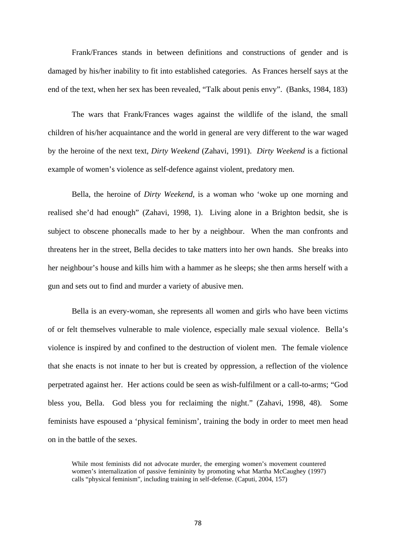Frank/Frances stands in between definitions and constructions of gender and is damaged by his/her inability to fit into established categories. As Frances herself says at the end of the text, when her sex has been revealed, "Talk about penis envy". (Banks, 1984, 183)

The wars that Frank/Frances wages against the wildlife of the island, the small children of his/her acquaintance and the world in general are very different to the war waged by the heroine of the next text, *Dirty Weekend* (Zahavi, 1991). *Dirty Weekend* is a fictional example of women's violence as self-defence against violent, predatory men.

Bella, the heroine of *Dirty Weekend*, is a woman who 'woke up one morning and realised she'd had enough" (Zahavi, 1998, 1). Living alone in a Brighton bedsit, she is subject to obscene phonecalls made to her by a neighbour. When the man confronts and threatens her in the street, Bella decides to take matters into her own hands. She breaks into her neighbour's house and kills him with a hammer as he sleeps; she then arms herself with a gun and sets out to find and murder a variety of abusive men.

Bella is an every-woman, she represents all women and girls who have been victims of or felt themselves vulnerable to male violence, especially male sexual violence. Bella's violence is inspired by and confined to the destruction of violent men. The female violence that she enacts is not innate to her but is created by oppression, a reflection of the violence perpetrated against her. Her actions could be seen as wish-fulfilment or a call-to-arms; "God bless you, Bella. God bless you for reclaiming the night." (Zahavi, 1998, 48). Some feminists have espoused a 'physical feminism', training the body in order to meet men head on in the battle of the sexes.

While most feminists did not advocate murder, the emerging women's movement countered women's internalization of passive femininity by promoting what Martha McCaughey (1997) calls "physical feminism", including training in self-defense. (Caputi, 2004, 157)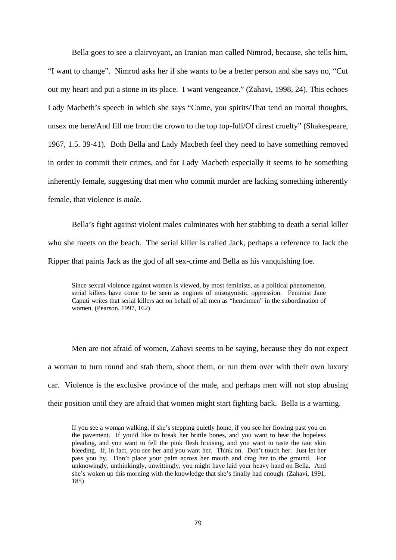Bella goes to see a clairvoyant, an Iranian man called Nimrod, because, she tells him, "I want to change". Nimrod asks her if she wants to be a better person and she says no, "Cut out my heart and put a stone in its place. I want vengeance." (Zahavi, 1998, 24). This echoes Lady Macbeth's speech in which she says "Come, you spirits/That tend on mortal thoughts, unsex me here/And fill me from the crown to the top top-full/Of direst cruelty" (Shakespeare, 1967, 1.5. 39-41). Both Bella and Lady Macbeth feel they need to have something removed in order to commit their crimes, and for Lady Macbeth especially it seems to be something inherently female, suggesting that men who commit murder are lacking something inherently female, that violence is *male*.

Bella's fight against violent males culminates with her stabbing to death a serial killer who she meets on the beach. The serial killer is called Jack, perhaps a reference to Jack the Ripper that paints Jack as the god of all sex-crime and Bella as his vanquishing foe.

Since sexual violence against women is viewed, by most feminists, as a political phenomenon, serial killers have come to be seen as engines of misogynistic oppression. Feminist Jane Caputi writes that serial killers act on behalf of all men as "henchmen" in the subordination of women. (Pearson, 1997, 162)

Men are not afraid of women, Zahavi seems to be saying, because they do not expect a woman to turn round and stab them, shoot them, or run them over with their own luxury car. Violence is the exclusive province of the male, and perhaps men will not stop abusing their position until they are afraid that women might start fighting back. Bella is a warning.

If you see a woman walking, if she's stepping quietly home, if you see her flowing past you on the pavement. If you'd like to break her brittle bones, and you want to hear the hopeless pleading, and you want to fell the pink flesh bruising, and you want to taste the taut skin bleeding. If, in fact, you see her and you want her. Think on. Don't touch her. Just let her pass you by. Don't place your palm across her mouth and drag her to the ground. For unknowingly, unthinkingly, unwittingly, you might have laid your heavy hand on Bella. And she's woken up this morning with the knowledge that she's finally had enough. (Zahavi, 1991, 185)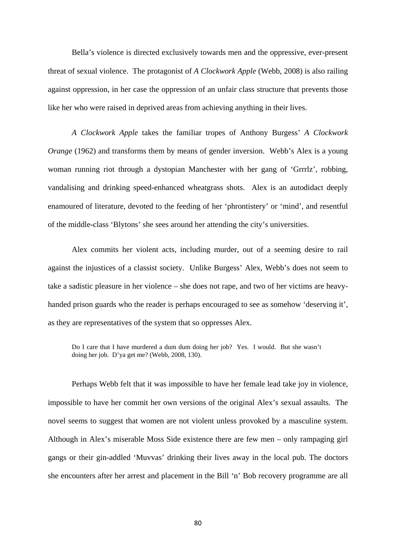Bella's violence is directed exclusively towards men and the oppressive, ever-present threat of sexual violence. The protagonist of *A Clockwork Apple* (Webb, 2008) is also railing against oppression, in her case the oppression of an unfair class structure that prevents those like her who were raised in deprived areas from achieving anything in their lives.

*A Clockwork Apple* takes the familiar tropes of Anthony Burgess' *A Clockwork Orange* (1962) and transforms them by means of gender inversion. Webb's Alex is a young woman running riot through a dystopian Manchester with her gang of 'Grrrlz', robbing, vandalising and drinking speed-enhanced wheatgrass shots. Alex is an autodidact deeply enamoured of literature, devoted to the feeding of her 'phrontistery' or 'mind', and resentful of the middle-class 'Blytons' she sees around her attending the city's universities.

Alex commits her violent acts, including murder, out of a seeming desire to rail against the injustices of a classist society. Unlike Burgess' Alex, Webb's does not seem to take a sadistic pleasure in her violence – she does not rape, and two of her victims are heavyhanded prison guards who the reader is perhaps encouraged to see as somehow 'deserving it', as they are representatives of the system that so oppresses Alex.

Do I care that I have murdered a dum dum doing her job? Yes. I would. But she wasn't doing her job. D'ya get me? (Webb, 2008, 130).

Perhaps Webb felt that it was impossible to have her female lead take joy in violence, impossible to have her commit her own versions of the original Alex's sexual assaults. The novel seems to suggest that women are not violent unless provoked by a masculine system. Although in Alex's miserable Moss Side existence there are few men – only rampaging girl gangs or their gin-addled 'Muvvas' drinking their lives away in the local pub. The doctors she encounters after her arrest and placement in the Bill 'n' Bob recovery programme are all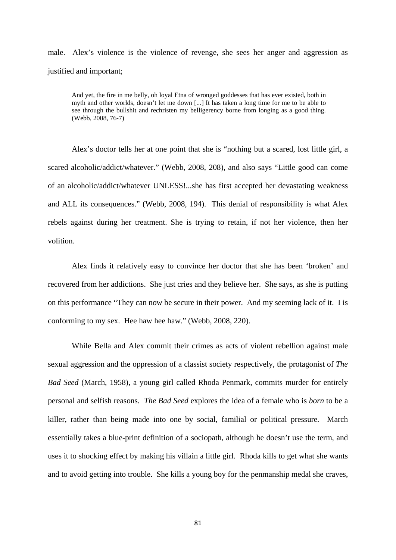male. Alex's violence is the violence of revenge, she sees her anger and aggression as justified and important;

And yet, the fire in me belly, oh loyal Etna of wronged goddesses that has ever existed, both in myth and other worlds, doesn't let me down [...] It has taken a long time for me to be able to see through the bullshit and rechristen my belligerency borne from longing as a good thing. (Webb, 2008, 76-7)

Alex's doctor tells her at one point that she is "nothing but a scared, lost little girl, a scared alcoholic/addict/whatever." (Webb, 2008, 208), and also says "Little good can come of an alcoholic/addict/whatever UNLESS!...she has first accepted her devastating weakness and ALL its consequences." (Webb, 2008, 194). This denial of responsibility is what Alex rebels against during her treatment. She is trying to retain, if not her violence, then her volition.

Alex finds it relatively easy to convince her doctor that she has been 'broken' and recovered from her addictions. She just cries and they believe her. She says, as she is putting on this performance "They can now be secure in their power. And my seeming lack of it. I is conforming to my sex. Hee haw hee haw." (Webb, 2008, 220).

While Bella and Alex commit their crimes as acts of violent rebellion against male sexual aggression and the oppression of a classist society respectively, the protagonist of *The Bad Seed* (March, 1958), a young girl called Rhoda Penmark, commits murder for entirely personal and selfish reasons. *The Bad Seed* explores the idea of a female who is *born* to be a killer, rather than being made into one by social, familial or political pressure*.* March essentially takes a blue-print definition of a sociopath, although he doesn't use the term, and uses it to shocking effect by making his villain a little girl. Rhoda kills to get what she wants and to avoid getting into trouble. She kills a young boy for the penmanship medal she craves,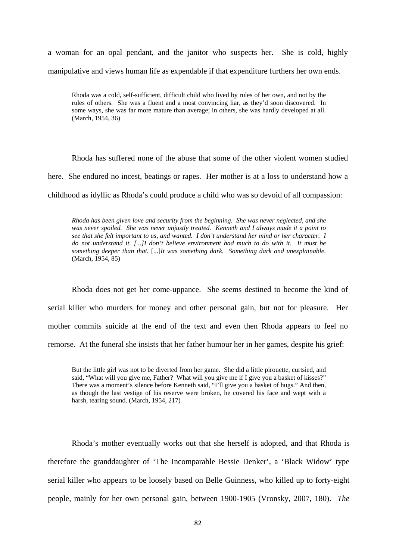a woman for an opal pendant, and the janitor who suspects her. She is cold, highly manipulative and views human life as expendable if that expenditure furthers her own ends.

Rhoda was a cold, self-sufficient, difficult child who lived by rules of her own, and not by the rules of others. She was a fluent and a most convincing liar, as they'd soon discovered. In some ways, she was far more mature than average; in others, she was hardly developed at all. (March, 1954, 36)

Rhoda has suffered none of the abuse that some of the other violent women studied here. She endured no incest, beatings or rapes. Her mother is at a loss to understand how a childhood as idyllic as Rhoda's could produce a child who was so devoid of all compassion:

*Rhoda has been given love and security from the beginning. She was never neglected, and she was never spoiled. She was never unjustly treated. Kenneth and I always made it a point to see that she felt important to us, and wanted. I don't understand her mind or her character. I do not understand it. [...]I don't believe environment had much to do with it. It must be something deeper than that.* [...]*It was something dark. Something dark and unexplainable.*  (March, 1954, 85)

Rhoda does not get her come-uppance. She seems destined to become the kind of serial killer who murders for money and other personal gain, but not for pleasure. Her mother commits suicide at the end of the text and even then Rhoda appears to feel no remorse. At the funeral she insists that her father humour her in her games, despite his grief:

But the little girl was not to be diverted from her game. She did a little pirouette, curtsied, and said, "What will you give me, Father? What will you give me if I give you a basket of kisses?" There was a moment's silence before Kenneth said, "I'll give you a basket of hugs." And then, as though the last vestige of his reserve were broken, he covered his face and wept with a harsh, tearing sound. (March, 1954, 217)

Rhoda's mother eventually works out that she herself is adopted, and that Rhoda is therefore the granddaughter of 'The Incomparable Bessie Denker', a 'Black Widow' type serial killer who appears to be loosely based on Belle Guinness, who killed up to forty-eight people, mainly for her own personal gain, between 1900-1905 (Vronsky, 2007, 180). *The*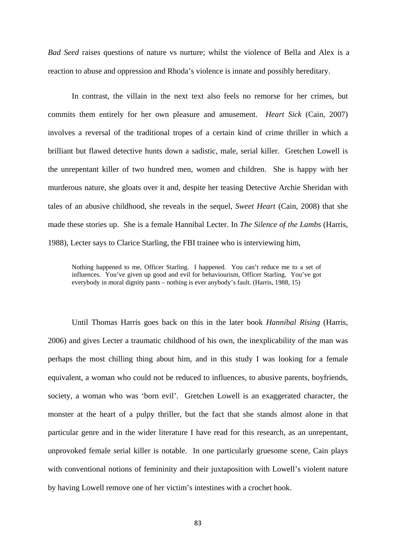*Bad Seed* raises questions of nature vs nurture; whilst the violence of Bella and Alex is a reaction to abuse and oppression and Rhoda's violence is innate and possibly hereditary.

In contrast, the villain in the next text also feels no remorse for her crimes, but commits them entirely for her own pleasure and amusement. *Heart Sick* (Cain, 2007) involves a reversal of the traditional tropes of a certain kind of crime thriller in which a brilliant but flawed detective hunts down a sadistic, male, serial killer. Gretchen Lowell is the unrepentant killer of two hundred men, women and children. She is happy with her murderous nature, she gloats over it and, despite her teasing Detective Archie Sheridan with tales of an abusive childhood, she reveals in the sequel, *Sweet Heart* (Cain, 2008) that she made these stories up. She is a female Hannibal Lecter. In *The Silence of the Lambs* (Harris, 1988), Lecter says to Clarice Starling, the FBI trainee who is interviewing him,

Nothing happened to me, Officer Starling. I happened. You can't reduce me to a set of influences. You've given up good and evil for behaviourism, Officer Starling. You've got everybody in moral dignity pants – nothing is ever anybody's fault. (Harris, 1988, 15)

Until Thomas Harris goes back on this in the later book *Hannibal Rising* (Harris, 2006) and gives Lecter a traumatic childhood of his own, the inexplicability of the man was perhaps the most chilling thing about him, and in this study I was looking for a female equivalent, a woman who could not be reduced to influences, to abusive parents, boyfriends, society, a woman who was 'born evil'. Gretchen Lowell is an exaggerated character, the monster at the heart of a pulpy thriller, but the fact that she stands almost alone in that particular genre and in the wider literature I have read for this research, as an unrepentant, unprovoked female serial killer is notable. In one particularly gruesome scene, Cain plays with conventional notions of femininity and their juxtaposition with Lowell's violent nature by having Lowell remove one of her victim's intestines with a crochet hook.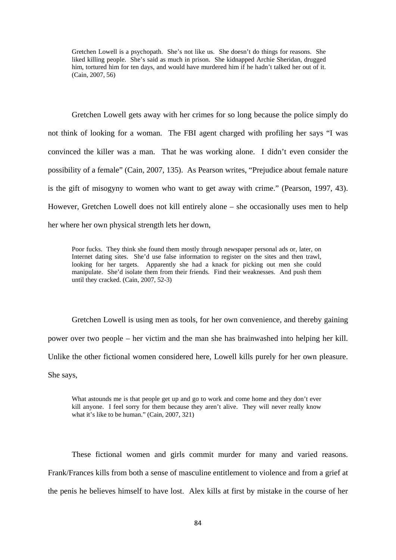Gretchen Lowell is a psychopath. She's not like us. She doesn't do things for reasons. She liked killing people. She's said as much in prison. She kidnapped Archie Sheridan, drugged him, tortured him for ten days, and would have murdered him if he hadn't talked her out of it. (Cain, 2007, 56)

Gretchen Lowell gets away with her crimes for so long because the police simply do not think of looking for a woman. The FBI agent charged with profiling her says "I was convinced the killer was a man. That he was working alone. I didn't even consider the possibility of a female" (Cain, 2007, 135). As Pearson writes, "Prejudice about female nature is the gift of misogyny to women who want to get away with crime." (Pearson, 1997, 43). However, Gretchen Lowell does not kill entirely alone – she occasionally uses men to help her where her own physical strength lets her down,

Poor fucks. They think she found them mostly through newspaper personal ads or, later, on Internet dating sites. She'd use false information to register on the sites and then trawl, looking for her targets. Apparently she had a knack for picking out men she could manipulate. She'd isolate them from their friends. Find their weaknesses. And push them until they cracked. (Cain, 2007, 52-3)

Gretchen Lowell is using men as tools, for her own convenience, and thereby gaining power over two people – her victim and the man she has brainwashed into helping her kill. Unlike the other fictional women considered here, Lowell kills purely for her own pleasure. She says,

What astounds me is that people get up and go to work and come home and they don't ever kill anyone. I feel sorry for them because they aren't alive. They will never really know what it's like to be human." (Cain, 2007, 321)

These fictional women and girls commit murder for many and varied reasons. Frank/Frances kills from both a sense of masculine entitlement to violence and from a grief at the penis he believes himself to have lost. Alex kills at first by mistake in the course of her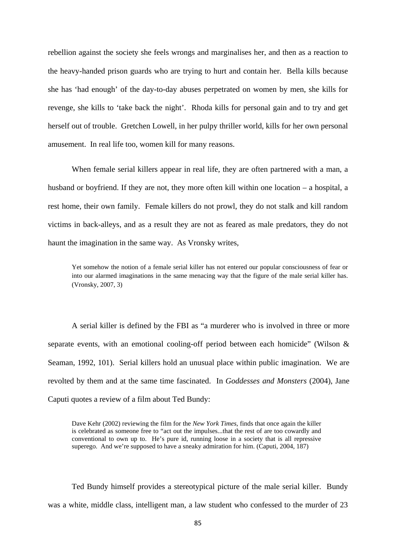rebellion against the society she feels wrongs and marginalises her, and then as a reaction to the heavy-handed prison guards who are trying to hurt and contain her. Bella kills because she has 'had enough' of the day-to-day abuses perpetrated on women by men, she kills for revenge, she kills to 'take back the night'. Rhoda kills for personal gain and to try and get herself out of trouble. Gretchen Lowell, in her pulpy thriller world, kills for her own personal amusement. In real life too, women kill for many reasons.

When female serial killers appear in real life, they are often partnered with a man, a husband or boyfriend. If they are not, they more often kill within one location – a hospital, a rest home, their own family. Female killers do not prowl, they do not stalk and kill random victims in back-alleys, and as a result they are not as feared as male predators, they do not haunt the imagination in the same way. As Vronsky writes,

Yet somehow the notion of a female serial killer has not entered our popular consciousness of fear or into our alarmed imaginations in the same menacing way that the figure of the male serial killer has. (Vronsky, 2007, 3)

A serial killer is defined by the FBI as "a murderer who is involved in three or more separate events, with an emotional cooling-off period between each homicide" (Wilson & Seaman, 1992, 101). Serial killers hold an unusual place within public imagination. We are revolted by them and at the same time fascinated. In *Goddesses and Monsters* (2004), Jane Caputi quotes a review of a film about Ted Bundy:

Dave Kehr (2002) reviewing the film for the *New York Times*, finds that once again the killer is celebrated as someone free to "act out the impulses...that the rest of are too cowardly and conventional to own up to. He's pure id, running loose in a society that is all repressive superego. And we're supposed to have a sneaky admiration for him. (Caputi, 2004, 187)

Ted Bundy himself provides a stereotypical picture of the male serial killer. Bundy was a white, middle class, intelligent man, a law student who confessed to the murder of 23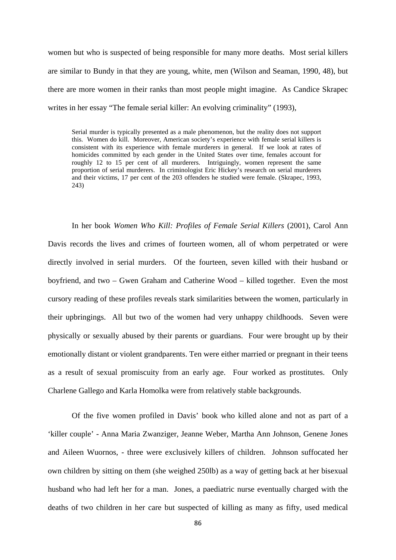women but who is suspected of being responsible for many more deaths. Most serial killers are similar to Bundy in that they are young, white, men (Wilson and Seaman, 1990, 48), but there are more women in their ranks than most people might imagine. As Candice Skrapec writes in her essay "The female serial killer: An evolving criminality" (1993),

Serial murder is typically presented as a male phenomenon, but the reality does not support this. Women do kill. Moreover, American society's experience with female serial killers is consistent with its experience with female murderers in general. If we look at rates of homicides committed by each gender in the United States over time, females account for roughly 12 to 15 per cent of all murderers. Intriguingly, women represent the same proportion of serial murderers. In criminologist Eric Hickey's research on serial murderers and their victims, 17 per cent of the 203 offenders he studied were female. (Skrapec, 1993, 243)

In her book *Women Who Kill: Profiles of Female Serial Killers* (2001), Carol Ann Davis records the lives and crimes of fourteen women, all of whom perpetrated or were directly involved in serial murders. Of the fourteen, seven killed with their husband or boyfriend, and two – Gwen Graham and Catherine Wood – killed together. Even the most cursory reading of these profiles reveals stark similarities between the women, particularly in their upbringings. All but two of the women had very unhappy childhoods. Seven were physically or sexually abused by their parents or guardians. Four were brought up by their emotionally distant or violent grandparents. Ten were either married or pregnant in their teens as a result of sexual promiscuity from an early age. Four worked as prostitutes. Only Charlene Gallego and Karla Homolka were from relatively stable backgrounds.

Of the five women profiled in Davis' book who killed alone and not as part of a 'killer couple' - Anna Maria Zwanziger, Jeanne Weber, Martha Ann Johnson, Genene Jones and Aileen Wuornos, - three were exclusively killers of children. Johnson suffocated her own children by sitting on them (she weighed 250lb) as a way of getting back at her bisexual husband who had left her for a man. Jones, a paediatric nurse eventually charged with the deaths of two children in her care but suspected of killing as many as fifty, used medical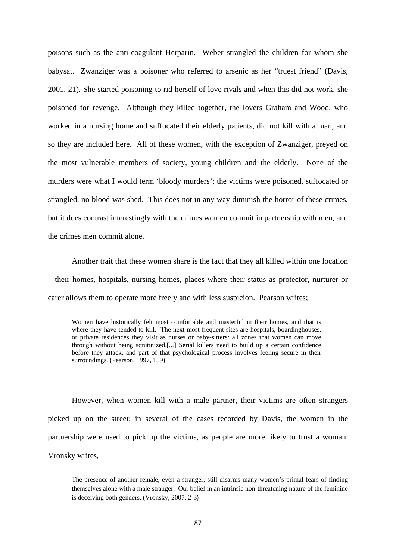poisons such as the anti-coagulant Herparin. Weber strangled the children for whom she babysat. Zwanziger was a poisoner who referred to arsenic as her "truest friend" (Davis, 2001, 21). She started poisoning to rid herself of love rivals and when this did not work, she poisoned for revenge. Although they killed together, the lovers Graham and Wood, who worked in a nursing home and suffocated their elderly patients, did not kill with a man, and so they are included here. All of these women, with the exception of Zwanziger, preyed on the most vulnerable members of society, young children and the elderly. None of the murders were what I would term 'bloody murders'; the victims were poisoned, suffocated or strangled, no blood was shed. This does not in any way diminish the horror of these crimes, but it does contrast interestingly with the crimes women commit in partnership with men, and the crimes men commit alone.

Another trait that these women share is the fact that they all killed within one location – their homes, hospitals, nursing homes, places where their status as protector, nurturer or carer allows them to operate more freely and with less suspicion. Pearson writes;

Women have historically felt most comfortable and masterful in their homes, and that is where they have tended to kill. The next most frequent sites are hospitals, boardinghouses, or private residences they visit as nurses or baby-sitters: all zones that women can move through without being scrutinized.[...] Serial killers need to build up a certain confidence before they attack, and part of that psychological process involves feeling secure in their surroundings. (Pearson, 1997, 159)

However, when women kill with a male partner, their victims are often strangers picked up on the street; in several of the cases recorded by Davis, the women in the partnership were used to pick up the victims, as people are more likely to trust a woman. Vronsky writes,

The presence of another female, even a stranger, still disarms many women's primal fears of finding themselves alone with a male stranger. Our belief in an intrinsic non-threatening nature of the feminine is deceiving both genders. (Vronsky, 2007, 2-3)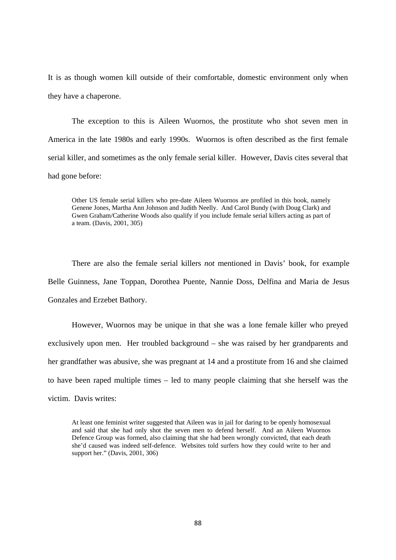It is as though women kill outside of their comfortable, domestic environment only when they have a chaperone.

The exception to this is Aileen Wuornos, the prostitute who shot seven men in America in the late 1980s and early 1990s. Wuornos is often described as the first female serial killer, and sometimes as the only female serial killer. However, Davis cites several that had gone before:

Other US female serial killers who pre-date Aileen Wuornos are profiled in this book, namely Genene Jones, Martha Ann Johnson and Judith Neelly. And Carol Bundy (with Doug Clark) and Gwen Graham/Catherine Woods also qualify if you include female serial killers acting as part of a team. (Davis, 2001, 305)

There are also the female serial killers *not* mentioned in Davis' book, for example Belle Guinness, Jane Toppan, Dorothea Puente, Nannie Doss, Delfina and Maria de Jesus Gonzales and Erzebet Bathory.

However, Wuornos may be unique in that she was a lone female killer who preyed exclusively upon men. Her troubled background – she was raised by her grandparents and her grandfather was abusive, she was pregnant at 14 and a prostitute from 16 and she claimed to have been raped multiple times – led to many people claiming that she herself was the victim. Davis writes:

At least one feminist writer suggested that Aileen was in jail for daring to be openly homosexual and said that she had only shot the seven men to defend herself. And an Aileen Wuornos Defence Group was formed, also claiming that she had been wrongly convicted, that each death she'd caused was indeed self-defence. Websites told surfers how they could write to her and support her." (Davis, 2001, 306)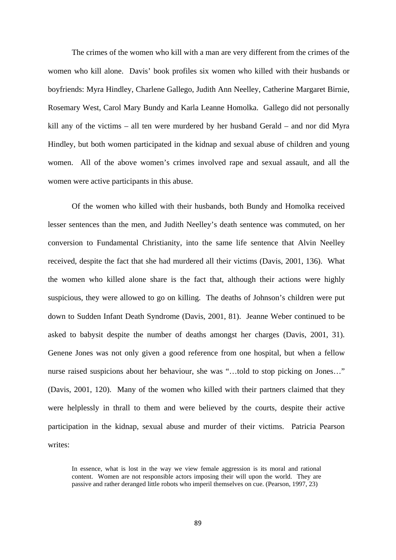The crimes of the women who kill with a man are very different from the crimes of the women who kill alone. Davis' book profiles six women who killed with their husbands or boyfriends: Myra Hindley, Charlene Gallego, Judith Ann Neelley, Catherine Margaret Birnie, Rosemary West, Carol Mary Bundy and Karla Leanne Homolka. Gallego did not personally kill any of the victims – all ten were murdered by her husband Gerald – and nor did Myra Hindley, but both women participated in the kidnap and sexual abuse of children and young women. All of the above women's crimes involved rape and sexual assault, and all the women were active participants in this abuse.

Of the women who killed with their husbands, both Bundy and Homolka received lesser sentences than the men, and Judith Neelley's death sentence was commuted, on her conversion to Fundamental Christianity, into the same life sentence that Alvin Neelley received, despite the fact that she had murdered all their victims (Davis, 2001, 136). What the women who killed alone share is the fact that, although their actions were highly suspicious, they were allowed to go on killing. The deaths of Johnson's children were put down to Sudden Infant Death Syndrome (Davis, 2001, 81). Jeanne Weber continued to be asked to babysit despite the number of deaths amongst her charges (Davis, 2001, 31). Genene Jones was not only given a good reference from one hospital, but when a fellow nurse raised suspicions about her behaviour, she was "…told to stop picking on Jones…" (Davis, 2001, 120). Many of the women who killed with their partners claimed that they were helplessly in thrall to them and were believed by the courts, despite their active participation in the kidnap, sexual abuse and murder of their victims. Patricia Pearson writes:

In essence, what is lost in the way we view female aggression is its moral and rational content. Women are not responsible actors imposing their will upon the world. They are passive and rather deranged little robots who imperil themselves on cue. (Pearson, 1997, 23)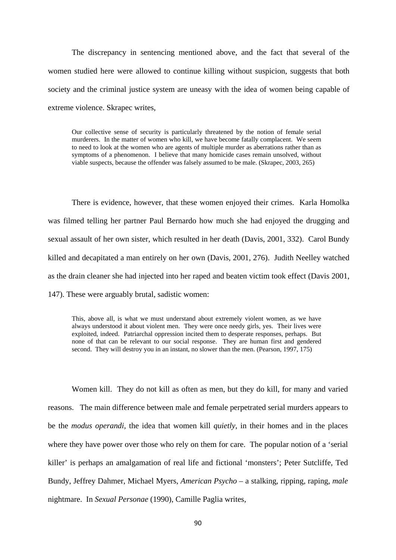The discrepancy in sentencing mentioned above, and the fact that several of the women studied here were allowed to continue killing without suspicion, suggests that both society and the criminal justice system are uneasy with the idea of women being capable of extreme violence. Skrapec writes,

Our collective sense of security is particularly threatened by the notion of female serial murderers. In the matter of women who kill, we have become fatally complacent. We seem to need to look at the women who are agents of multiple murder as aberrations rather than as symptoms of a phenomenon. I believe that many homicide cases remain unsolved, without viable suspects, because the offender was falsely assumed to be male. (Skrapec, 2003, 265)

There is evidence, however, that these women enjoyed their crimes. Karla Homolka was filmed telling her partner Paul Bernardo how much she had enjoyed the drugging and sexual assault of her own sister, which resulted in her death (Davis, 2001, 332). Carol Bundy killed and decapitated a man entirely on her own (Davis, 2001, 276). Judith Neelley watched as the drain cleaner she had injected into her raped and beaten victim took effect (Davis 2001, 147). These were arguably brutal, sadistic women:

This, above all, is what we must understand about extremely violent women, as we have always understood it about violent men. They were once needy girls, yes. Their lives were exploited, indeed. Patriarchal oppression incited them to desperate responses, perhaps. But none of that can be relevant to our social response. They are human first and gendered second. They will destroy you in an instant, no slower than the men. (Pearson, 1997, 175)

Women kill. They do not kill as often as men, but they do kill, for many and varied reasons. The main difference between male and female perpetrated serial murders appears to be the *modus operandi*, the idea that women kill *quietly*, in their homes and in the places where they have power over those who rely on them for care. The popular notion of a 'serial killer' is perhaps an amalgamation of real life and fictional 'monsters'; Peter Sutcliffe, Ted Bundy, Jeffrey Dahmer, Michael Myers, *American Psycho* – a stalking, ripping, raping, *male*  nightmare. In *Sexual Personae* (1990), Camille Paglia writes,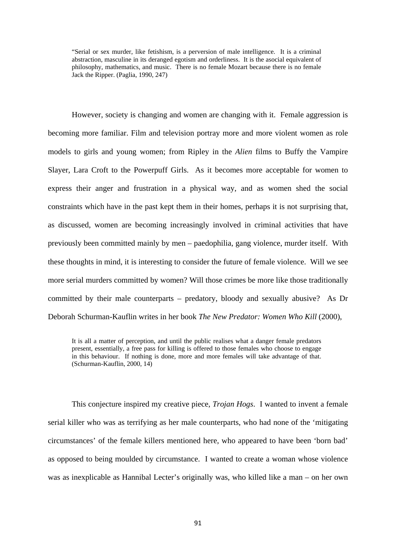"Serial or sex murder, like fetishism, is a perversion of male intelligence. It is a criminal abstraction, masculine in its deranged egotism and orderliness. It is the asocial equivalent of philosophy, mathematics, and music. There is no female Mozart because there is no female Jack the Ripper. (Paglia, 1990, 247)

However, society is changing and women are changing with it. Female aggression is becoming more familiar. Film and television portray more and more violent women as role models to girls and young women; from Ripley in the *Alien* films to Buffy the Vampire Slayer, Lara Croft to the Powerpuff Girls. As it becomes more acceptable for women to express their anger and frustration in a physical way, and as women shed the social constraints which have in the past kept them in their homes, perhaps it is not surprising that, as discussed, women are becoming increasingly involved in criminal activities that have previously been committed mainly by men – paedophilia, gang violence, murder itself. With these thoughts in mind, it is interesting to consider the future of female violence. Will we see more serial murders committed by women? Will those crimes be more like those traditionally committed by their male counterparts – predatory, bloody and sexually abusive? As Dr Deborah Schurman-Kauflin writes in her book *The New Predator: Women Who Kill* (2000),

It is all a matter of perception, and until the public realises what a danger female predators present, essentially, a free pass for killing is offered to those females who choose to engage in this behaviour. If nothing is done, more and more females will take advantage of that. (Schurman-Kauflin, 2000, 14)

This conjecture inspired my creative piece, *Trojan Hogs*. I wanted to invent a female serial killer who was as terrifying as her male counterparts, who had none of the 'mitigating circumstances' of the female killers mentioned here, who appeared to have been 'born bad' as opposed to being moulded by circumstance. I wanted to create a woman whose violence was as inexplicable as Hannibal Lecter's originally was, who killed like a man – on her own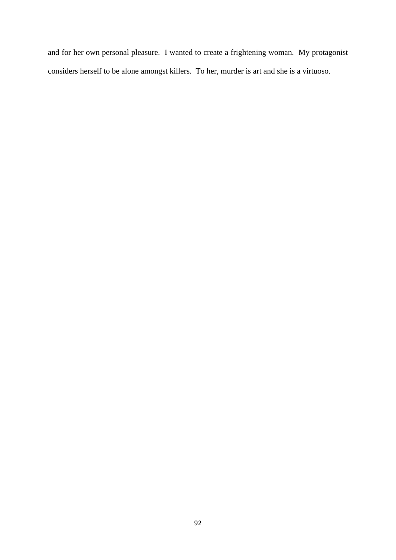and for her own personal pleasure. I wanted to create a frightening woman. My protagonist considers herself to be alone amongst killers. To her, murder is art and she is a virtuoso.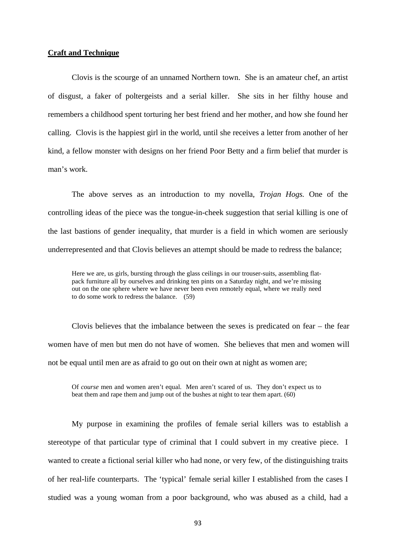# **Craft and Technique**

Clovis is the scourge of an unnamed Northern town. She is an amateur chef, an artist of disgust, a faker of poltergeists and a serial killer. She sits in her filthy house and remembers a childhood spent torturing her best friend and her mother, and how she found her calling. Clovis is the happiest girl in the world, until she receives a letter from another of her kind, a fellow monster with designs on her friend Poor Betty and a firm belief that murder is man's work.

The above serves as an introduction to my novella, *Trojan Hogs.* One of the controlling ideas of the piece was the tongue-in-cheek suggestion that serial killing is one of the last bastions of gender inequality, that murder is a field in which women are seriously underrepresented and that Clovis believes an attempt should be made to redress the balance;

Here we are, us girls, bursting through the glass ceilings in our trouser-suits, assembling flatpack furniture all by ourselves and drinking ten pints on a Saturday night, and we're missing out on the one sphere where we have never been even remotely equal, where we really need to do some work to redress the balance. (59)

Clovis believes that the imbalance between the sexes is predicated on fear – the fear women have of men but men do not have of women. She believes that men and women will not be equal until men are as afraid to go out on their own at night as women are;

Of *course* men and women aren't equal. Men aren't scared of us. They don't expect us to beat them and rape them and jump out of the bushes at night to tear them apart. (60)

My purpose in examining the profiles of female serial killers was to establish a stereotype of that particular type of criminal that I could subvert in my creative piece. I wanted to create a fictional serial killer who had none, or very few, of the distinguishing traits of her real-life counterparts. The 'typical' female serial killer I established from the cases I studied was a young woman from a poor background, who was abused as a child, had a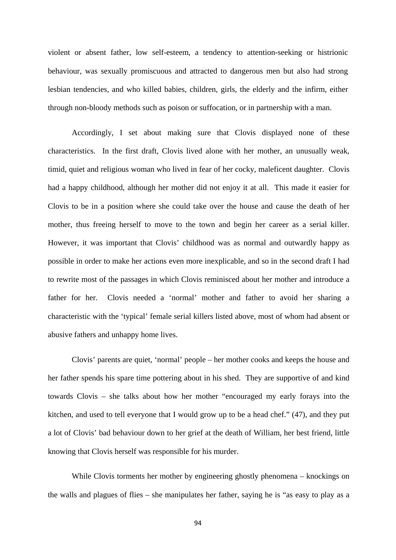violent or absent father, low self-esteem, a tendency to attention-seeking or histrionic behaviour, was sexually promiscuous and attracted to dangerous men but also had strong lesbian tendencies, and who killed babies, children, girls, the elderly and the infirm, either through non-bloody methods such as poison or suffocation, or in partnership with a man.

Accordingly, I set about making sure that Clovis displayed none of these characteristics. In the first draft, Clovis lived alone with her mother, an unusually weak, timid, quiet and religious woman who lived in fear of her cocky, maleficent daughter. Clovis had a happy childhood, although her mother did not enjoy it at all. This made it easier for Clovis to be in a position where she could take over the house and cause the death of her mother, thus freeing herself to move to the town and begin her career as a serial killer. However, it was important that Clovis' childhood was as normal and outwardly happy as possible in order to make her actions even more inexplicable, and so in the second draft I had to rewrite most of the passages in which Clovis reminisced about her mother and introduce a father for her. Clovis needed a 'normal' mother and father to avoid her sharing a characteristic with the 'typical' female serial killers listed above, most of whom had absent or abusive fathers and unhappy home lives.

Clovis' parents are quiet, 'normal' people – her mother cooks and keeps the house and her father spends his spare time pottering about in his shed. They are supportive of and kind towards Clovis – she talks about how her mother "encouraged my early forays into the kitchen, and used to tell everyone that I would grow up to be a head chef." (47), and they put a lot of Clovis' bad behaviour down to her grief at the death of William, her best friend, little knowing that Clovis herself was responsible for his murder.

While Clovis torments her mother by engineering ghostly phenomena – knockings on the walls and plagues of flies – she manipulates her father, saying he is "as easy to play as a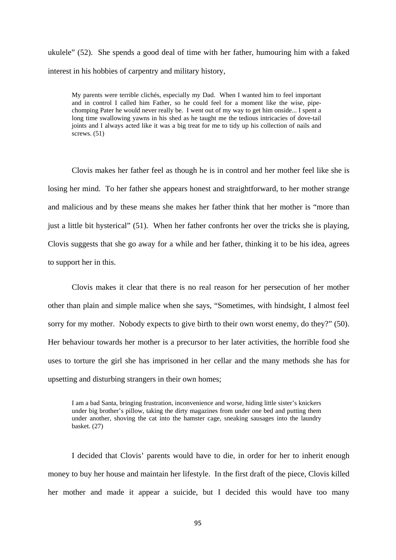ukulele" (52). She spends a good deal of time with her father, humouring him with a faked interest in his hobbies of carpentry and military history,

My parents were terrible clichés, especially my Dad. When I wanted him to feel important and in control I called him Father, so he could feel for a moment like the wise, pipechomping Pater he would never really be. I went out of my way to get him onside... I spent a long time swallowing yawns in his shed as he taught me the tedious intricacies of dove-tail joints and I always acted like it was a big treat for me to tidy up his collection of nails and screws.  $(51)$ 

Clovis makes her father feel as though he is in control and her mother feel like she is losing her mind. To her father she appears honest and straightforward, to her mother strange and malicious and by these means she makes her father think that her mother is "more than just a little bit hysterical" (51). When her father confronts her over the tricks she is playing, Clovis suggests that she go away for a while and her father, thinking it to be his idea, agrees to support her in this.

Clovis makes it clear that there is no real reason for her persecution of her mother other than plain and simple malice when she says, "Sometimes, with hindsight, I almost feel sorry for my mother. Nobody expects to give birth to their own worst enemy, do they?" (50). Her behaviour towards her mother is a precursor to her later activities, the horrible food she uses to torture the girl she has imprisoned in her cellar and the many methods she has for upsetting and disturbing strangers in their own homes;

I am a bad Santa, bringing frustration, inconvenience and worse, hiding little sister's knickers under big brother's pillow, taking the dirty magazines from under one bed and putting them under another, shoving the cat into the hamster cage, sneaking sausages into the laundry basket. (27)

I decided that Clovis' parents would have to die, in order for her to inherit enough money to buy her house and maintain her lifestyle. In the first draft of the piece, Clovis killed her mother and made it appear a suicide, but I decided this would have too many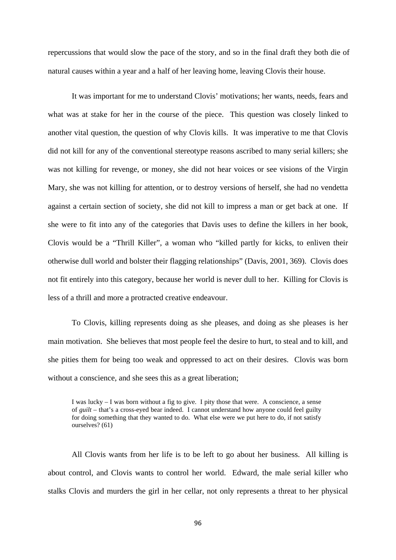repercussions that would slow the pace of the story, and so in the final draft they both die of natural causes within a year and a half of her leaving home, leaving Clovis their house.

It was important for me to understand Clovis' motivations; her wants, needs, fears and what was at stake for her in the course of the piece. This question was closely linked to another vital question, the question of why Clovis kills. It was imperative to me that Clovis did not kill for any of the conventional stereotype reasons ascribed to many serial killers; she was not killing for revenge, or money, she did not hear voices or see visions of the Virgin Mary, she was not killing for attention, or to destroy versions of herself, she had no vendetta against a certain section of society, she did not kill to impress a man or get back at one. If she were to fit into any of the categories that Davis uses to define the killers in her book, Clovis would be a "Thrill Killer", a woman who "killed partly for kicks, to enliven their otherwise dull world and bolster their flagging relationships" (Davis, 2001, 369). Clovis does not fit entirely into this category, because her world is never dull to her. Killing for Clovis is less of a thrill and more a protracted creative endeavour.

To Clovis, killing represents doing as she pleases, and doing as she pleases is her main motivation. She believes that most people feel the desire to hurt, to steal and to kill, and she pities them for being too weak and oppressed to act on their desires. Clovis was born without a conscience, and she sees this as a great liberation;

I was lucky – I was born without a fig to give. I pity those that were. A conscience, a sense of *guilt* – that's a cross-eyed bear indeed. I cannot understand how anyone could feel guilty for doing something that they wanted to do. What else were we put here to do, if not satisfy ourselves? (61)

All Clovis wants from her life is to be left to go about her business. All killing is about control, and Clovis wants to control her world. Edward, the male serial killer who stalks Clovis and murders the girl in her cellar, not only represents a threat to her physical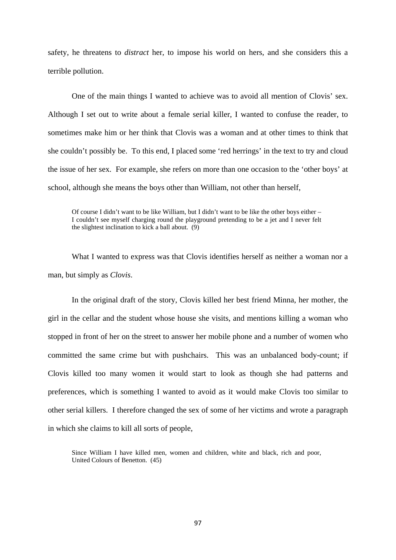safety, he threatens to *distract* her, to impose his world on hers, and she considers this a terrible pollution.

One of the main things I wanted to achieve was to avoid all mention of Clovis' sex. Although I set out to write about a female serial killer, I wanted to confuse the reader, to sometimes make him or her think that Clovis was a woman and at other times to think that she couldn't possibly be. To this end, I placed some 'red herrings' in the text to try and cloud the issue of her sex. For example, she refers on more than one occasion to the 'other boys' at school, although she means the boys other than William, not other than herself,

Of course I didn't want to be like William, but I didn't want to be like the other boys either – I couldn't see myself charging round the playground pretending to be a jet and I never felt the slightest inclination to kick a ball about. (9)

What I wanted to express was that Clovis identifies herself as neither a woman nor a man, but simply as *Clovis*.

In the original draft of the story, Clovis killed her best friend Minna, her mother, the girl in the cellar and the student whose house she visits, and mentions killing a woman who stopped in front of her on the street to answer her mobile phone and a number of women who committed the same crime but with pushchairs. This was an unbalanced body-count; if Clovis killed too many women it would start to look as though she had patterns and preferences, which is something I wanted to avoid as it would make Clovis too similar to other serial killers. I therefore changed the sex of some of her victims and wrote a paragraph in which she claims to kill all sorts of people,

Since William I have killed men, women and children, white and black, rich and poor, United Colours of Benetton. (45)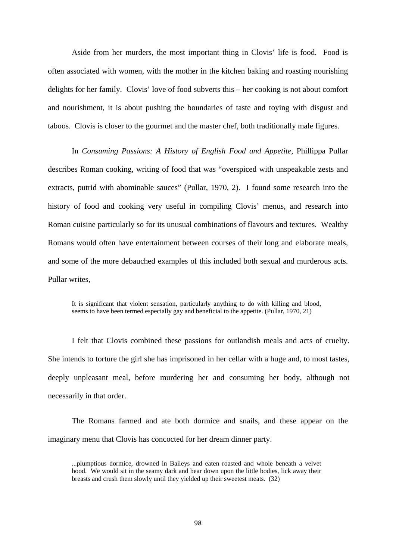Aside from her murders, the most important thing in Clovis' life is food. Food is often associated with women, with the mother in the kitchen baking and roasting nourishing delights for her family. Clovis' love of food subverts this – her cooking is not about comfort and nourishment, it is about pushing the boundaries of taste and toying with disgust and taboos. Clovis is closer to the gourmet and the master chef, both traditionally male figures.

In *Consuming Passions: A History of English Food and Appetite*, Phillippa Pullar describes Roman cooking, writing of food that was "overspiced with unspeakable zests and extracts, putrid with abominable sauces" (Pullar, 1970, 2). I found some research into the history of food and cooking very useful in compiling Clovis' menus, and research into Roman cuisine particularly so for its unusual combinations of flavours and textures. Wealthy Romans would often have entertainment between courses of their long and elaborate meals, and some of the more debauched examples of this included both sexual and murderous acts. Pullar writes,

It is significant that violent sensation, particularly anything to do with killing and blood, seems to have been termed especially gay and beneficial to the appetite. (Pullar, 1970, 21)

I felt that Clovis combined these passions for outlandish meals and acts of cruelty. She intends to torture the girl she has imprisoned in her cellar with a huge and, to most tastes, deeply unpleasant meal, before murdering her and consuming her body, although not necessarily in that order.

 The Romans farmed and ate both dormice and snails, and these appear on the imaginary menu that Clovis has concocted for her dream dinner party.

<sup>...</sup>plumptious dormice, drowned in Baileys and eaten roasted and whole beneath a velvet hood. We would sit in the seamy dark and bear down upon the little bodies, lick away their breasts and crush them slowly until they yielded up their sweetest meats. (32)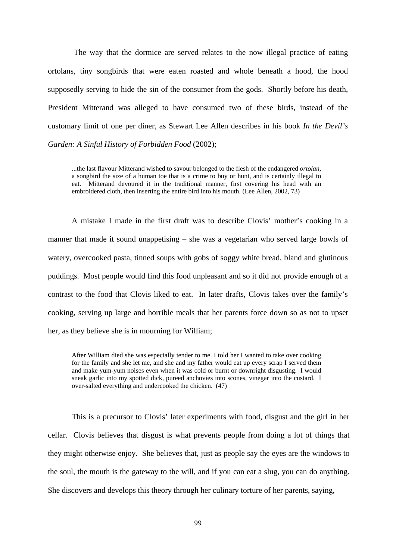The way that the dormice are served relates to the now illegal practice of eating ortolans, tiny songbirds that were eaten roasted and whole beneath a hood, the hood supposedly serving to hide the sin of the consumer from the gods. Shortly before his death, President Mitterand was alleged to have consumed two of these birds, instead of the customary limit of one per diner, as Stewart Lee Allen describes in his book *In the Devil's Garden: A Sinful History of Forbidden Food* (2002);

...the last flavour Mitterand wished to savour belonged to the flesh of the endangered *ortolan*, a songbird the size of a human toe that is a crime to buy or hunt, and is certainly illegal to eat. Mitterand devoured it in the traditional manner, first covering his head with an embroidered cloth, then inserting the entire bird into his mouth. (Lee Allen, 2002, 73)

A mistake I made in the first draft was to describe Clovis' mother's cooking in a manner that made it sound unappetising – she was a vegetarian who served large bowls of watery, overcooked pasta, tinned soups with gobs of soggy white bread, bland and glutinous puddings. Most people would find this food unpleasant and so it did not provide enough of a contrast to the food that Clovis liked to eat. In later drafts, Clovis takes over the family's cooking, serving up large and horrible meals that her parents force down so as not to upset her, as they believe she is in mourning for William;

After William died she was especially tender to me. I told her I wanted to take over cooking for the family and she let me, and she and my father would eat up every scrap I served them and make yum-yum noises even when it was cold or burnt or downright disgusting. I would sneak garlic into my spotted dick, pureed anchovies into scones, vinegar into the custard. I over-salted everything and undercooked the chicken. (47)

This is a precursor to Clovis' later experiments with food, disgust and the girl in her cellar. Clovis believes that disgust is what prevents people from doing a lot of things that they might otherwise enjoy. She believes that, just as people say the eyes are the windows to the soul, the mouth is the gateway to the will, and if you can eat a slug, you can do anything. She discovers and develops this theory through her culinary torture of her parents, saying,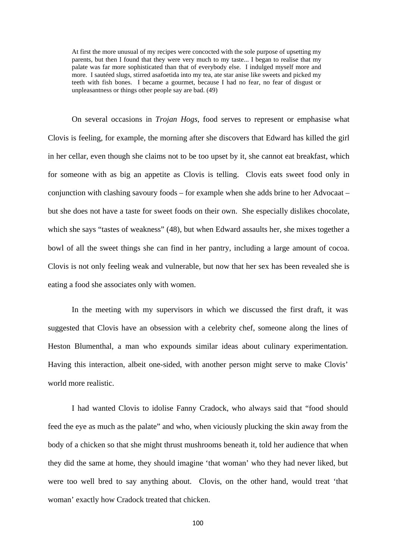At first the more unusual of my recipes were concocted with the sole purpose of upsetting my parents, but then I found that they were very much to my taste... I began to realise that my palate was far more sophisticated than that of everybody else. I indulged myself more and more. I sautéed slugs, stirred asafoetida into my tea, ate star anise like sweets and picked my teeth with fish bones. I became a gourmet, because I had no fear, no fear of disgust or unpleasantness or things other people say are bad. (49)

On several occasions in *Trojan Hogs*, food serves to represent or emphasise what Clovis is feeling, for example, the morning after she discovers that Edward has killed the girl in her cellar, even though she claims not to be too upset by it, she cannot eat breakfast, which for someone with as big an appetite as Clovis is telling. Clovis eats sweet food only in conjunction with clashing savoury foods – for example when she adds brine to her Advocaat – but she does not have a taste for sweet foods on their own. She especially dislikes chocolate, which she says "tastes of weakness" (48), but when Edward assaults her, she mixes together a bowl of all the sweet things she can find in her pantry, including a large amount of cocoa. Clovis is not only feeling weak and vulnerable, but now that her sex has been revealed she is eating a food she associates only with women.

In the meeting with my supervisors in which we discussed the first draft, it was suggested that Clovis have an obsession with a celebrity chef, someone along the lines of Heston Blumenthal, a man who expounds similar ideas about culinary experimentation. Having this interaction, albeit one-sided, with another person might serve to make Clovis' world more realistic.

I had wanted Clovis to idolise Fanny Cradock, who always said that "food should feed the eye as much as the palate" and who, when viciously plucking the skin away from the body of a chicken so that she might thrust mushrooms beneath it, told her audience that when they did the same at home, they should imagine 'that woman' who they had never liked, but were too well bred to say anything about. Clovis, on the other hand, would treat 'that woman' exactly how Cradock treated that chicken.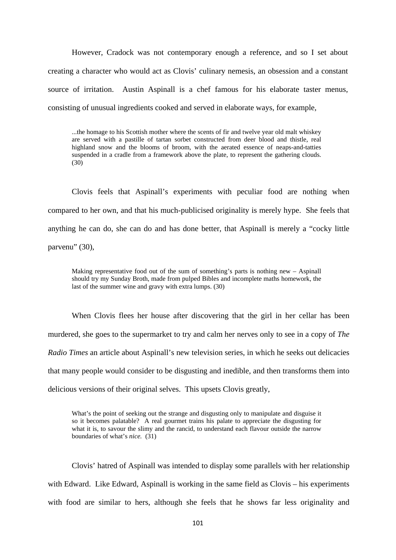However, Cradock was not contemporary enough a reference, and so I set about creating a character who would act as Clovis' culinary nemesis, an obsession and a constant source of irritation. Austin Aspinall is a chef famous for his elaborate taster menus, consisting of unusual ingredients cooked and served in elaborate ways, for example,

...the homage to his Scottish mother where the scents of fir and twelve year old malt whiskey are served with a pastille of tartan sorbet constructed from deer blood and thistle, real highland snow and the blooms of broom, with the aerated essence of neaps-and-tatties suspended in a cradle from a framework above the plate, to represent the gathering clouds. (30)

Clovis feels that Aspinall's experiments with peculiar food are nothing when compared to her own, and that his much-publicised originality is merely hype. She feels that anything he can do, she can do and has done better, that Aspinall is merely a "cocky little parvenu" (30),

Making representative food out of the sum of something's parts is nothing new – Aspinall should try my Sunday Broth, made from pulped Bibles and incomplete maths homework, the last of the summer wine and gravy with extra lumps. (30)

When Clovis flees her house after discovering that the girl in her cellar has been murdered, she goes to the supermarket to try and calm her nerves only to see in a copy of *The Radio Times* an article about Aspinall's new television series, in which he seeks out delicacies that many people would consider to be disgusting and inedible, and then transforms them into delicious versions of their original selves. This upsets Clovis greatly,

What's the point of seeking out the strange and disgusting only to manipulate and disguise it so it becomes palatable? A real gourmet trains his palate to appreciate the disgusting for what it is, to savour the slimy and the rancid, to understand each flavour outside the narrow boundaries of what's *nice.* (31)

Clovis' hatred of Aspinall was intended to display some parallels with her relationship with Edward. Like Edward, Aspinall is working in the same field as Clovis – his experiments with food are similar to hers, although she feels that he shows far less originality and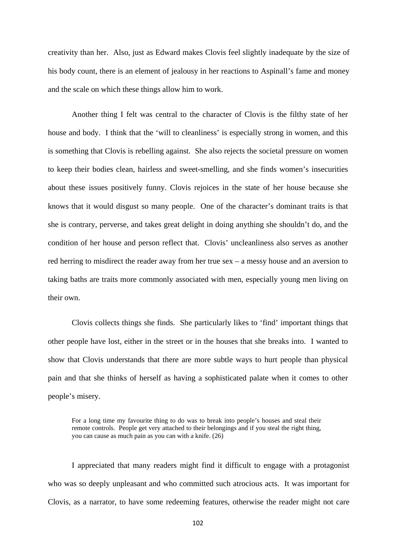creativity than her. Also, just as Edward makes Clovis feel slightly inadequate by the size of his body count, there is an element of jealousy in her reactions to Aspinall's fame and money and the scale on which these things allow him to work.

Another thing I felt was central to the character of Clovis is the filthy state of her house and body. I think that the 'will to cleanliness' is especially strong in women, and this is something that Clovis is rebelling against. She also rejects the societal pressure on women to keep their bodies clean, hairless and sweet-smelling, and she finds women's insecurities about these issues positively funny. Clovis rejoices in the state of her house because she knows that it would disgust so many people. One of the character's dominant traits is that she is contrary, perverse, and takes great delight in doing anything she shouldn't do, and the condition of her house and person reflect that. Clovis' uncleanliness also serves as another red herring to misdirect the reader away from her true sex – a messy house and an aversion to taking baths are traits more commonly associated with men, especially young men living on their own.

Clovis collects things she finds. She particularly likes to 'find' important things that other people have lost, either in the street or in the houses that she breaks into. I wanted to show that Clovis understands that there are more subtle ways to hurt people than physical pain and that she thinks of herself as having a sophisticated palate when it comes to other people's misery.

For a long time my favourite thing to do was to break into people's houses and steal their remote controls. People get very attached to their belongings and if you steal the right thing, you can cause as much pain as you can with a knife. (26)

I appreciated that many readers might find it difficult to engage with a protagonist who was so deeply unpleasant and who committed such atrocious acts. It was important for Clovis, as a narrator, to have some redeeming features, otherwise the reader might not care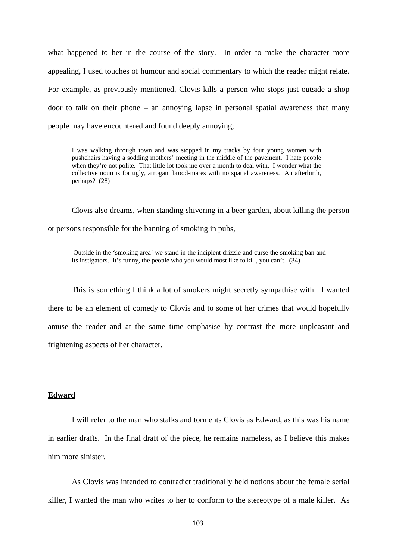what happened to her in the course of the story. In order to make the character more appealing, I used touches of humour and social commentary to which the reader might relate. For example, as previously mentioned, Clovis kills a person who stops just outside a shop door to talk on their phone – an annoying lapse in personal spatial awareness that many people may have encountered and found deeply annoying;

I was walking through town and was stopped in my tracks by four young women with pushchairs having a sodding mothers' meeting in the middle of the pavement. I hate people when they're not polite. That little lot took me over a month to deal with. I wonder what the collective noun is for ugly, arrogant brood-mares with no spatial awareness. An afterbirth, perhaps? (28)

Clovis also dreams, when standing shivering in a beer garden, about killing the person or persons responsible for the banning of smoking in pubs,

Outside in the 'smoking area' we stand in the incipient drizzle and curse the smoking ban and its instigators. It's funny, the people who you would most like to kill, you can't.  $(34)$ 

This is something I think a lot of smokers might secretly sympathise with. I wanted there to be an element of comedy to Clovis and to some of her crimes that would hopefully amuse the reader and at the same time emphasise by contrast the more unpleasant and frightening aspects of her character.

#### **Edward**

 I will refer to the man who stalks and torments Clovis as Edward, as this was his name in earlier drafts. In the final draft of the piece, he remains nameless, as I believe this makes him more sinister.

As Clovis was intended to contradict traditionally held notions about the female serial killer, I wanted the man who writes to her to conform to the stereotype of a male killer. As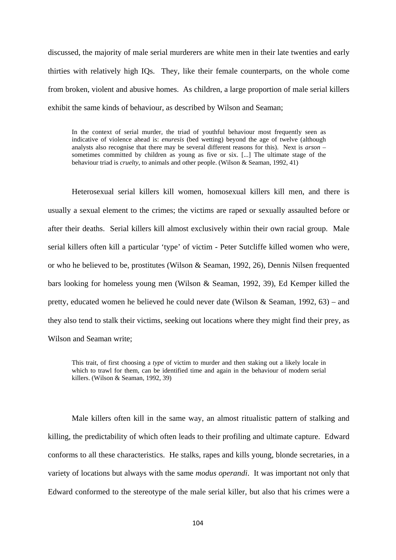discussed, the majority of male serial murderers are white men in their late twenties and early thirties with relatively high IQs. They, like their female counterparts, on the whole come from broken, violent and abusive homes. As children, a large proportion of male serial killers exhibit the same kinds of behaviour, as described by Wilson and Seaman;

In the context of serial murder, the triad of youthful behaviour most frequently seen as indicative of violence ahead is: *enuresis* (bed wetting) beyond the age of twelve (although analysts also recognise that there may be several different reasons for this). Next is *arson* – sometimes committed by children as young as five or six. [...] The ultimate stage of the behaviour triad is *cruelty*, to animals and other people. (Wilson & Seaman, 1992, 41)

Heterosexual serial killers kill women, homosexual killers kill men, and there is usually a sexual element to the crimes; the victims are raped or sexually assaulted before or after their deaths. Serial killers kill almost exclusively within their own racial group. Male serial killers often kill a particular 'type' of victim - Peter Sutcliffe killed women who were, or who he believed to be, prostitutes (Wilson & Seaman, 1992, 26), Dennis Nilsen frequented bars looking for homeless young men (Wilson & Seaman, 1992, 39), Ed Kemper killed the pretty, educated women he believed he could never date (Wilson & Seaman, 1992, 63) – and they also tend to stalk their victims, seeking out locations where they might find their prey, as Wilson and Seaman write;

This trait, of first choosing a *type* of victim to murder and then staking out a likely locale in which to trawl for them, can be identified time and again in the behaviour of modern serial killers. (Wilson & Seaman, 1992, 39)

Male killers often kill in the same way, an almost ritualistic pattern of stalking and killing, the predictability of which often leads to their profiling and ultimate capture. Edward conforms to all these characteristics. He stalks, rapes and kills young, blonde secretaries, in a variety of locations but always with the same *modus operandi*. It was important not only that Edward conformed to the stereotype of the male serial killer, but also that his crimes were a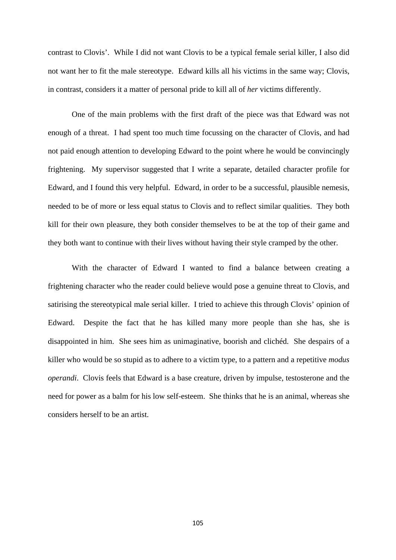contrast to Clovis'. While I did not want Clovis to be a typical female serial killer, I also did not want her to fit the male stereotype. Edward kills all his victims in the same way; Clovis, in contrast, considers it a matter of personal pride to kill all of *her* victims differently.

One of the main problems with the first draft of the piece was that Edward was not enough of a threat. I had spent too much time focussing on the character of Clovis, and had not paid enough attention to developing Edward to the point where he would be convincingly frightening. My supervisor suggested that I write a separate, detailed character profile for Edward, and I found this very helpful. Edward, in order to be a successful, plausible nemesis, needed to be of more or less equal status to Clovis and to reflect similar qualities. They both kill for their own pleasure, they both consider themselves to be at the top of their game and they both want to continue with their lives without having their style cramped by the other.

With the character of Edward I wanted to find a balance between creating a frightening character who the reader could believe would pose a genuine threat to Clovis, and satirising the stereotypical male serial killer. I tried to achieve this through Clovis' opinion of Edward. Despite the fact that he has killed many more people than she has, she is disappointed in him. She sees him as unimaginative, boorish and clichéd. She despairs of a killer who would be so stupid as to adhere to a victim type, to a pattern and a repetitive *modus operandi*. Clovis feels that Edward is a base creature, driven by impulse, testosterone and the need for power as a balm for his low self-esteem. She thinks that he is an animal, whereas she considers herself to be an artist.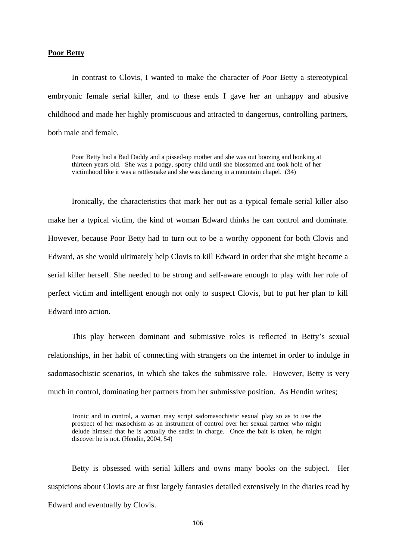#### **Poor Betty**

In contrast to Clovis, I wanted to make the character of Poor Betty a stereotypical embryonic female serial killer, and to these ends I gave her an unhappy and abusive childhood and made her highly promiscuous and attracted to dangerous, controlling partners, both male and female.

Poor Betty had a Bad Daddy and a pissed-up mother and she was out boozing and bonking at thirteen years old. She was a podgy, spotty child until she blossomed and took hold of her victimhood like it was a rattlesnake and she was dancing in a mountain chapel. (34)

Ironically, the characteristics that mark her out as a typical female serial killer also make her a typical victim, the kind of woman Edward thinks he can control and dominate. However, because Poor Betty had to turn out to be a worthy opponent for both Clovis and Edward, as she would ultimately help Clovis to kill Edward in order that she might become a serial killer herself. She needed to be strong and self-aware enough to play with her role of perfect victim and intelligent enough not only to suspect Clovis, but to put her plan to kill Edward into action.

This play between dominant and submissive roles is reflected in Betty's sexual relationships, in her habit of connecting with strangers on the internet in order to indulge in sadomasochistic scenarios, in which she takes the submissive role. However, Betty is very much in control, dominating her partners from her submissive position. As Hendin writes;

Ironic and in control, a woman may script sadomasochistic sexual play so as to use the prospect of her masochism as an instrument of control over her sexual partner who might delude himself that he is actually the sadist in charge. Once the bait is taken, he might discover he is not. (Hendin, 2004, 54)

Betty is obsessed with serial killers and owns many books on the subject. Her suspicions about Clovis are at first largely fantasies detailed extensively in the diaries read by Edward and eventually by Clovis.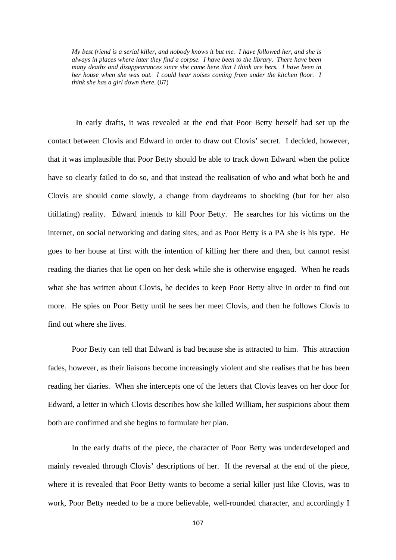*My best friend is a serial killer, and nobody knows it but me. I have followed her, and she is always in places where later they find a corpse. I have been to the library. There have been many deaths and disappearances since she came here that I think are hers. I have been in her house when she was out. I could hear noises coming from under the kitchen floor. I think she has a girl down there.* (67)

 In early drafts, it was revealed at the end that Poor Betty herself had set up the contact between Clovis and Edward in order to draw out Clovis' secret. I decided, however, that it was implausible that Poor Betty should be able to track down Edward when the police have so clearly failed to do so, and that instead the realisation of who and what both he and Clovis are should come slowly, a change from daydreams to shocking (but for her also titillating) reality. Edward intends to kill Poor Betty. He searches for his victims on the internet, on social networking and dating sites, and as Poor Betty is a PA she is his type. He goes to her house at first with the intention of killing her there and then, but cannot resist reading the diaries that lie open on her desk while she is otherwise engaged. When he reads what she has written about Clovis, he decides to keep Poor Betty alive in order to find out more. He spies on Poor Betty until he sees her meet Clovis, and then he follows Clovis to find out where she lives.

Poor Betty can tell that Edward is bad because she is attracted to him. This attraction fades, however, as their liaisons become increasingly violent and she realises that he has been reading her diaries. When she intercepts one of the letters that Clovis leaves on her door for Edward, a letter in which Clovis describes how she killed William, her suspicions about them both are confirmed and she begins to formulate her plan.

In the early drafts of the piece, the character of Poor Betty was underdeveloped and mainly revealed through Clovis' descriptions of her. If the reversal at the end of the piece, where it is revealed that Poor Betty wants to become a serial killer just like Clovis, was to work, Poor Betty needed to be a more believable, well-rounded character, and accordingly I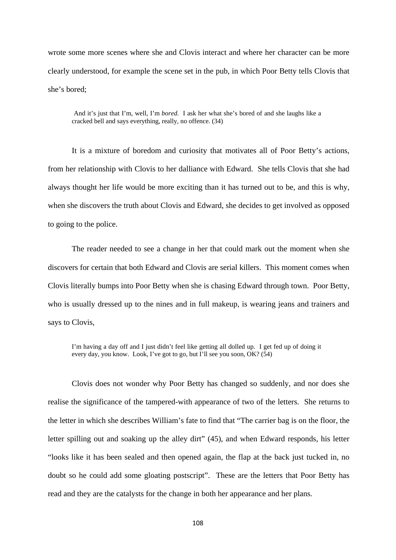wrote some more scenes where she and Clovis interact and where her character can be more clearly understood, for example the scene set in the pub, in which Poor Betty tells Clovis that she's bored;

And it's just that I'm, well, I'm *bored.* I ask her what she's bored of and she laughs like a cracked bell and says everything, really, no offence. (34)

It is a mixture of boredom and curiosity that motivates all of Poor Betty's actions, from her relationship with Clovis to her dalliance with Edward. She tells Clovis that she had always thought her life would be more exciting than it has turned out to be, and this is why, when she discovers the truth about Clovis and Edward, she decides to get involved as opposed to going to the police.

The reader needed to see a change in her that could mark out the moment when she discovers for certain that both Edward and Clovis are serial killers. This moment comes when Clovis literally bumps into Poor Betty when she is chasing Edward through town. Poor Betty, who is usually dressed up to the nines and in full makeup, is wearing jeans and trainers and says to Clovis,

I'm having a day off and I just didn't feel like getting all dolled up. I get fed up of doing it every day, you know. Look, I've got to go, but I'll see you soon, OK? (54)

Clovis does not wonder why Poor Betty has changed so suddenly, and nor does she realise the significance of the tampered-with appearance of two of the letters. She returns to the letter in which she describes William's fate to find that "The carrier bag is on the floor, the letter spilling out and soaking up the alley dirt" (45), and when Edward responds, his letter "looks like it has been sealed and then opened again, the flap at the back just tucked in, no doubt so he could add some gloating postscript". These are the letters that Poor Betty has read and they are the catalysts for the change in both her appearance and her plans.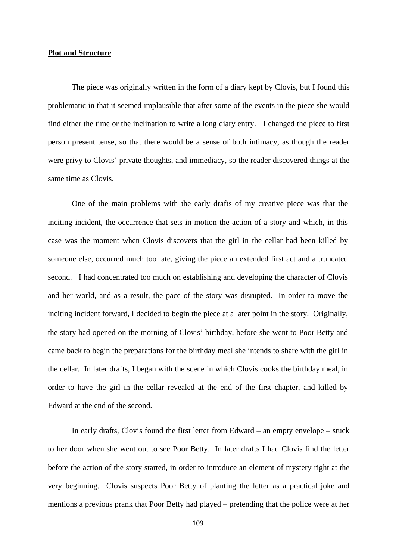## **Plot and Structure**

The piece was originally written in the form of a diary kept by Clovis, but I found this problematic in that it seemed implausible that after some of the events in the piece she would find either the time or the inclination to write a long diary entry. I changed the piece to first person present tense, so that there would be a sense of both intimacy, as though the reader were privy to Clovis' private thoughts, and immediacy, so the reader discovered things at the same time as Clovis.

One of the main problems with the early drafts of my creative piece was that the inciting incident, the occurrence that sets in motion the action of a story and which, in this case was the moment when Clovis discovers that the girl in the cellar had been killed by someone else, occurred much too late, giving the piece an extended first act and a truncated second. I had concentrated too much on establishing and developing the character of Clovis and her world, and as a result, the pace of the story was disrupted. In order to move the inciting incident forward, I decided to begin the piece at a later point in the story. Originally, the story had opened on the morning of Clovis' birthday, before she went to Poor Betty and came back to begin the preparations for the birthday meal she intends to share with the girl in the cellar. In later drafts, I began with the scene in which Clovis cooks the birthday meal, in order to have the girl in the cellar revealed at the end of the first chapter, and killed by Edward at the end of the second.

In early drafts, Clovis found the first letter from Edward – an empty envelope – stuck to her door when she went out to see Poor Betty. In later drafts I had Clovis find the letter before the action of the story started, in order to introduce an element of mystery right at the very beginning. Clovis suspects Poor Betty of planting the letter as a practical joke and mentions a previous prank that Poor Betty had played – pretending that the police were at her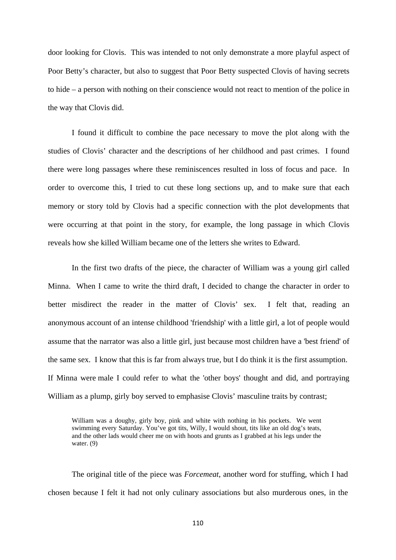door looking for Clovis. This was intended to not only demonstrate a more playful aspect of Poor Betty's character, but also to suggest that Poor Betty suspected Clovis of having secrets to hide – a person with nothing on their conscience would not react to mention of the police in the way that Clovis did.

I found it difficult to combine the pace necessary to move the plot along with the studies of Clovis' character and the descriptions of her childhood and past crimes. I found there were long passages where these reminiscences resulted in loss of focus and pace. In order to overcome this, I tried to cut these long sections up, and to make sure that each memory or story told by Clovis had a specific connection with the plot developments that were occurring at that point in the story, for example, the long passage in which Clovis reveals how she killed William became one of the letters she writes to Edward.

In the first two drafts of the piece, the character of William was a young girl called Minna. When I came to write the third draft, I decided to change the character in order to better misdirect the reader in the matter of Clovis' sex. I felt that, reading an anonymous account of an intense childhood 'friendship' with a little girl, a lot of people would assume that the narrator was also a little girl, just because most children have a 'best friend' of the same sex. I know that this is far from always true, but I do think it is the first assumption. If Minna were male I could refer to what the 'other boys' thought and did, and portraying William as a plump, girly boy served to emphasise Clovis' masculine traits by contrast;

William was a doughy, girly boy, pink and white with nothing in his pockets. We went swimming every Saturday. You've got tits, Willy, I would shout, tits like an old dog's teats, and the other lads would cheer me on with hoots and grunts as I grabbed at his legs under the water. (9)

The original title of the piece was *Forcemeat*, another word for stuffing, which I had chosen because I felt it had not only culinary associations but also murderous ones, in the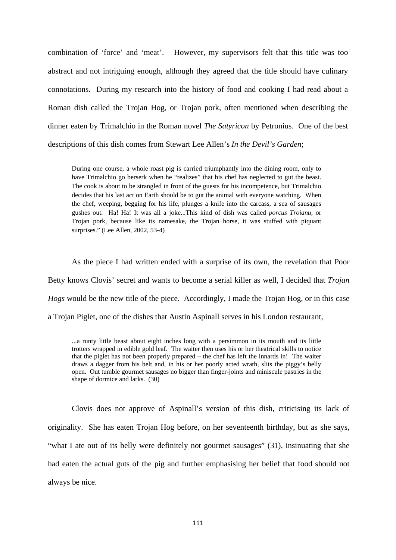combination of 'force' and 'meat'. However, my supervisors felt that this title was too abstract and not intriguing enough, although they agreed that the title should have culinary connotations. During my research into the history of food and cooking I had read about a Roman dish called the Trojan Hog, or Trojan pork, often mentioned when describing the dinner eaten by Trimalchio in the Roman novel *The Satyricon* by Petronius. One of the best descriptions of this dish comes from Stewart Lee Allen's *In the Devil's Garden*;

During one course, a whole roast pig is carried triumphantly into the dining room, only to have Trimalchio go berserk when he "realizes" that his chef has neglected to gut the beast. The cook is about to be strangled in front of the guests for his incompetence, but Trimalchio decides that his last act on Earth should be to gut the animal with everyone watching. When the chef, weeping, begging for his life, plunges a knife into the carcass, a sea of sausages gushes out. Ha! Ha! It was all a joke...This kind of dish was called *porcus Troianu,* or Trojan pork, because like its namesake, the Trojan horse, it was stuffed with piquant surprises." (Lee Allen, 2002, 53-4)

As the piece I had written ended with a surprise of its own, the revelation that Poor Betty knows Clovis' secret and wants to become a serial killer as well, I decided that *Trojan Hogs* would be the new title of the piece. Accordingly, I made the Trojan Hog, or in this case a Trojan Piglet, one of the dishes that Austin Aspinall serves in his London restaurant,

...a runty little beast about eight inches long with a persimmon in its mouth and its little trotters wrapped in edible gold leaf. The waiter then uses his or her theatrical skills to notice that the piglet has not been properly prepared – the chef has left the innards in! The waiter draws a dagger from his belt and, in his or her poorly acted wrath, slits the piggy's belly open. Out tumble gourmet sausages no bigger than finger-joints and miniscule pastries in the shape of dormice and larks. (30)

Clovis does not approve of Aspinall's version of this dish, criticising its lack of originality. She has eaten Trojan Hog before, on her seventeenth birthday, but as she says, "what I ate out of its belly were definitely not gourmet sausages" (31), insinuating that she had eaten the actual guts of the pig and further emphasising her belief that food should not always be nice.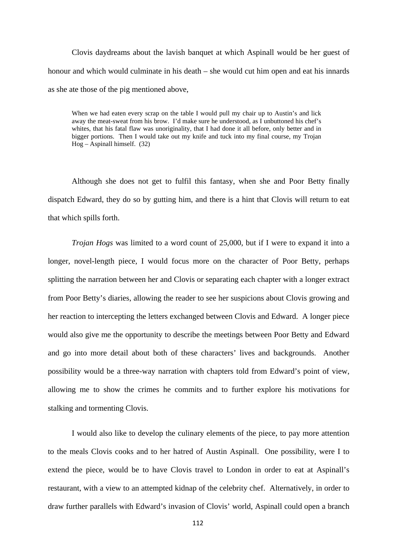Clovis daydreams about the lavish banquet at which Aspinall would be her guest of honour and which would culminate in his death – she would cut him open and eat his innards as she ate those of the pig mentioned above,

When we had eaten every scrap on the table I would pull my chair up to Austin's and lick away the meat-sweat from his brow. I'd make sure he understood, as I unbuttoned his chef's whites, that his fatal flaw was unoriginality, that I had done it all before, only better and in bigger portions. Then I would take out my knife and tuck into my final course, my Trojan  $Hog - Aspinall himself. (32)$ 

Although she does not get to fulfil this fantasy, when she and Poor Betty finally dispatch Edward, they do so by gutting him, and there is a hint that Clovis will return to eat that which spills forth.

*Trojan Hogs* was limited to a word count of 25,000, but if I were to expand it into a longer, novel-length piece, I would focus more on the character of Poor Betty, perhaps splitting the narration between her and Clovis or separating each chapter with a longer extract from Poor Betty's diaries, allowing the reader to see her suspicions about Clovis growing and her reaction to intercepting the letters exchanged between Clovis and Edward. A longer piece would also give me the opportunity to describe the meetings between Poor Betty and Edward and go into more detail about both of these characters' lives and backgrounds. Another possibility would be a three-way narration with chapters told from Edward's point of view, allowing me to show the crimes he commits and to further explore his motivations for stalking and tormenting Clovis.

I would also like to develop the culinary elements of the piece, to pay more attention to the meals Clovis cooks and to her hatred of Austin Aspinall. One possibility, were I to extend the piece, would be to have Clovis travel to London in order to eat at Aspinall's restaurant, with a view to an attempted kidnap of the celebrity chef. Alternatively, in order to draw further parallels with Edward's invasion of Clovis' world, Aspinall could open a branch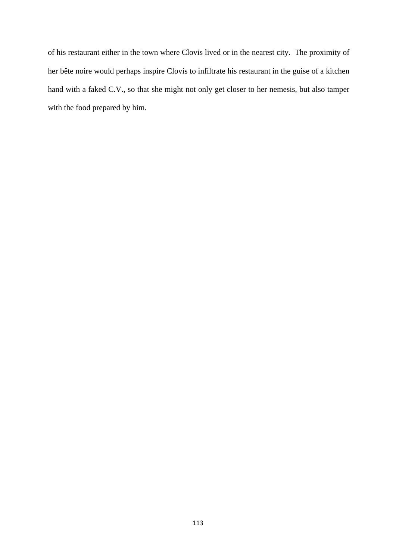of his restaurant either in the town where Clovis lived or in the nearest city. The proximity of her bête noire would perhaps inspire Clovis to infiltrate his restaurant in the guise of a kitchen hand with a faked C.V., so that she might not only get closer to her nemesis, but also tamper with the food prepared by him.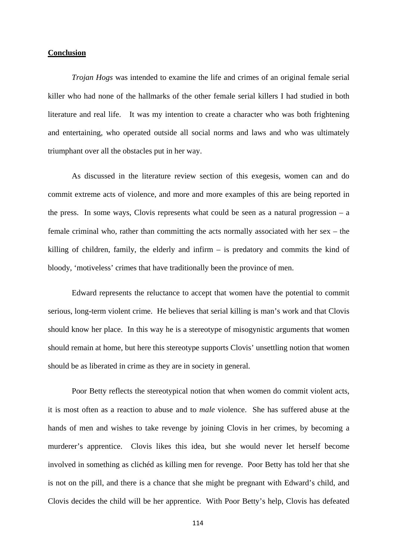## **Conclusion**

 *Trojan Hogs* was intended to examine the life and crimes of an original female serial killer who had none of the hallmarks of the other female serial killers I had studied in both literature and real life. It was my intention to create a character who was both frightening and entertaining, who operated outside all social norms and laws and who was ultimately triumphant over all the obstacles put in her way.

As discussed in the literature review section of this exegesis, women can and do commit extreme acts of violence, and more and more examples of this are being reported in the press. In some ways, Clovis represents what could be seen as a natural progression  $-$  a female criminal who, rather than committing the acts normally associated with her sex – the killing of children, family, the elderly and infirm – is predatory and commits the kind of bloody, 'motiveless' crimes that have traditionally been the province of men.

Edward represents the reluctance to accept that women have the potential to commit serious, long-term violent crime. He believes that serial killing is man's work and that Clovis should know her place. In this way he is a stereotype of misogynistic arguments that women should remain at home, but here this stereotype supports Clovis' unsettling notion that women should be as liberated in crime as they are in society in general.

Poor Betty reflects the stereotypical notion that when women do commit violent acts, it is most often as a reaction to abuse and to *male* violence. She has suffered abuse at the hands of men and wishes to take revenge by joining Clovis in her crimes, by becoming a murderer's apprentice. Clovis likes this idea, but she would never let herself become involved in something as clichéd as killing men for revenge. Poor Betty has told her that she is not on the pill, and there is a chance that she might be pregnant with Edward's child, and Clovis decides the child will be her apprentice. With Poor Betty's help, Clovis has defeated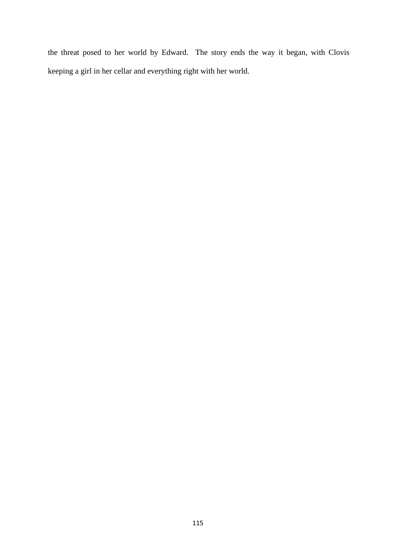the threat posed to her world by Edward. The story ends the way it began, with Clovis keeping a girl in her cellar and everything right with her world.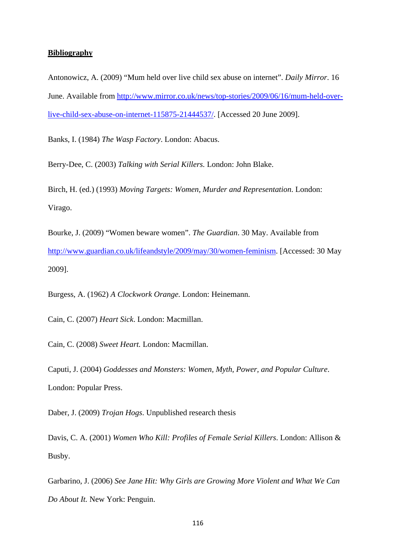## **Bibliography**

Antonowicz, A. (2009) "Mum held over live child sex abuse on internet". *Daily Mirror*. 16 June. Available from http://www.mirror.co.uk/news/top-stories/2009/06/16/mum-held-overlive-child-sex-abuse-on-internet-115875-21444537/. [Accessed 20 June 2009].

Banks, I. (1984) *The Wasp Factory*. London: Abacus.

Berry-Dee, C. (2003) *Talking with Serial Killers.* London: John Blake.

Birch, H. (ed.) (1993) *Moving Targets: Women, Murder and Representation*. London: Virago.

Bourke, J. (2009) "Women beware women". *The Guardian*. 30 May. Available from http://www.guardian.co.uk/lifeandstyle/2009/may/30/women-feminism. [Accessed: 30 May 2009].

Burgess, A. (1962) *A Clockwork Orange.* London: Heinemann.

Cain, C. (2007) *Heart Sick*. London: Macmillan.

Cain, C. (2008) *Sweet Heart.* London: Macmillan.

Caputi, J. (2004) *Goddesses and Monsters: Women, Myth, Power, and Popular Culture*. London: Popular Press.

Daber, J. (2009) *Trojan Hogs*. Unpublished research thesis

Davis, C. A. (2001) *Women Who Kill: Profiles of Female Serial Killers*. London: Allison & Busby.

Garbarino, J. (2006) *See Jane Hit: Why Girls are Growing More Violent and What We Can Do About It.* New York: Penguin.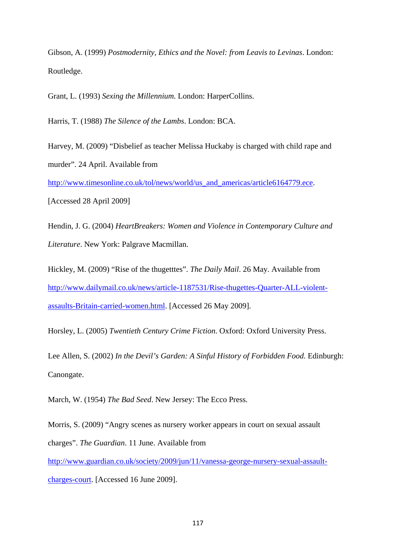Gibson, A. (1999) *Postmodernity, Ethics and the Novel: from Leavis to Levinas*. London: Routledge.

Grant, L. (1993) *Sexing the Millennium.* London: HarperCollins.

Harris, T. (1988) *The Silence of the Lambs*. London: BCA.

Harvey, M. (2009) "Disbelief as teacher Melissa Huckaby is charged with child rape and murder". 24 April. Available from

http://www.timesonline.co.uk/tol/news/world/us\_and\_americas/article6164779.ece.

[Accessed 28 April 2009]

Hendin, J. G. (2004) *HeartBreakers: Women and Violence in Contemporary Culture and Literature*. New York: Palgrave Macmillan.

Hickley, M. (2009) "Rise of the thugetttes". *The Daily Mail*. 26 May. Available from http://www.dailymail.co.uk/news/article-1187531/Rise-thugettes-Quarter-ALL-violentassaults-Britain-carried-women.html. [Accessed 26 May 2009].

Horsley, L. (2005) *Twentieth Century Crime Fiction*. Oxford: Oxford University Press.

Lee Allen, S. (2002) *In the Devil's Garden: A Sinful History of Forbidden Food*. Edinburgh: Canongate.

March, W. (1954) *The Bad Seed*. New Jersey: The Ecco Press.

Morris, S. (2009) "Angry scenes as nursery worker appears in court on sexual assault charges". *The Guardian*. 11 June. Available from

http://www.guardian.co.uk/society/2009/jun/11/vanessa-george-nursery-sexual-assaultcharges-court. [Accessed 16 June 2009].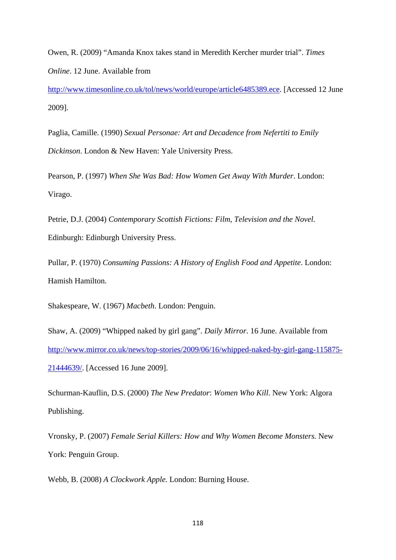Owen, R. (2009) "Amanda Knox takes stand in Meredith Kercher murder trial". *Times Online*. 12 June. Available from

http://www.timesonline.co.uk/tol/news/world/europe/article6485389.ece. [Accessed 12 June 2009].

Paglia, Camille. (1990) *Sexual Personae: Art and Decadence from Nefertiti to Emily Dickinson*. London & New Haven: Yale University Press.

Pearson, P. (1997) *When She Was Bad: How Women Get Away With Murder*. London: Virago.

Petrie, D.J. (2004) *Contemporary Scottish Fictions: Film, Television and the Novel.*  Edinburgh: Edinburgh University Press.

Pullar, P. (1970) *Consuming Passions: A History of English Food and Appetite*. London: Hamish Hamilton.

Shakespeare, W. (1967) *Macbeth*. London: Penguin.

Shaw, A. (2009) "Whipped naked by girl gang". *Daily Mirror*. 16 June. Available from http://www.mirror.co.uk/news/top-stories/2009/06/16/whipped-naked-by-girl-gang-115875- 21444639/. [Accessed 16 June 2009].

Schurman-Kauflin, D.S. (2000) *The New Predator*: *Women Who Kill*. New York: Algora Publishing.

Vronsky, P. (2007) *Female Serial Killers: How and Why Women Become Monsters.* New York: Penguin Group.

Webb, B. (2008) *A Clockwork Apple*. London: Burning House.